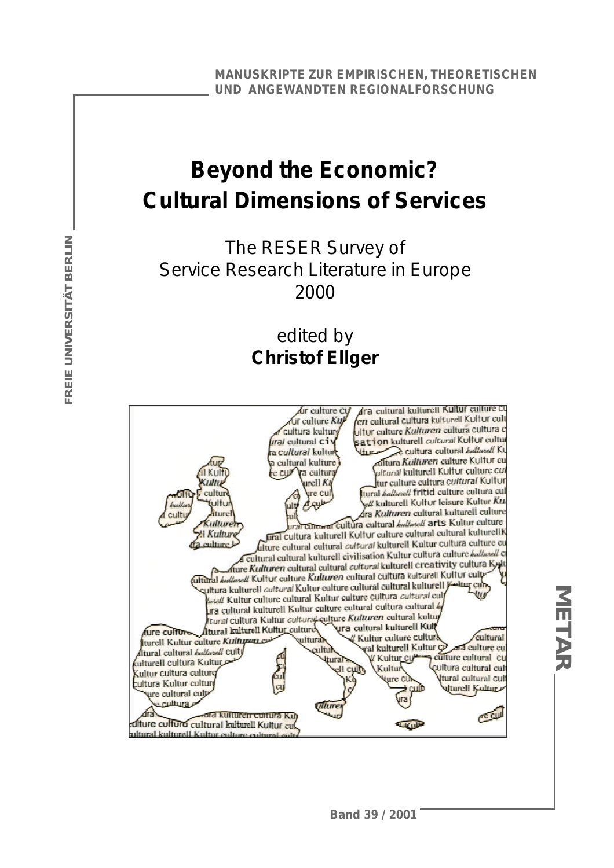# **Beyond the Economic? Cultural Dimensions of Services**

The RESER Survey of Service Research Literature in Europe 2000

## edited by **Christof Ellger**

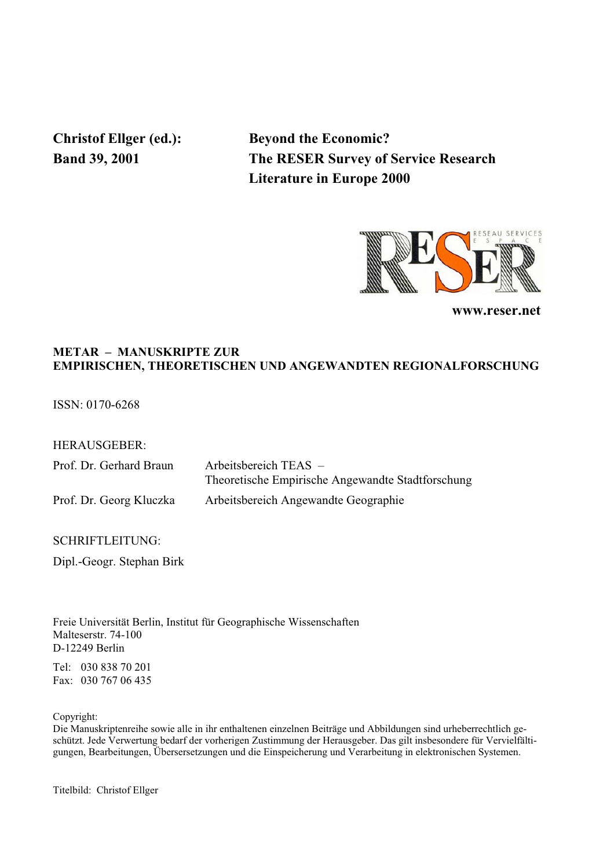**Christof Ellger (ed.): Beyond the Economic? Band 39, 2001 The RESER Survey of Service Research Literature in Europe 2000** 



**www.reser.net**

#### **METAR – MANUSKRIPTE ZUR EMPIRISCHEN, THEORETISCHEN UND ANGEWANDTEN REGIONALFORSCHUNG**

ISSN: 0170-6268

HERAUSGEBER:

| Prof. Dr. Gerhard Braun | Arbeitsbereich TEAS –                             |
|-------------------------|---------------------------------------------------|
|                         | Theoretische Empirische Angewandte Stadtforschung |
| Prof. Dr. Georg Kluczka | Arbeitsbereich Angewandte Geographie              |

SCHRIFTLEITUNG:

Dipl.-Geogr. Stephan Birk

Freie Universität Berlin, Institut für Geographische Wissenschaften Malteserstr. 74-100 D-12249 Berlin

Tel: 030 838 70 201 Fax: 030 767 06 435

Copyright:

Die Manuskriptenreihe sowie alle in ihr enthaltenen einzelnen Beiträge und Abbildungen sind urheberrechtlich geschützt. Jede Verwertung bedarf der vorherigen Zustimmung der Herausgeber. Das gilt insbesondere für Vervielfältigungen, Bearbeitungen, Übersersetzungen und die Einspeicherung und Verarbeitung in elektronischen Systemen.

Titelbild: Christof Ellger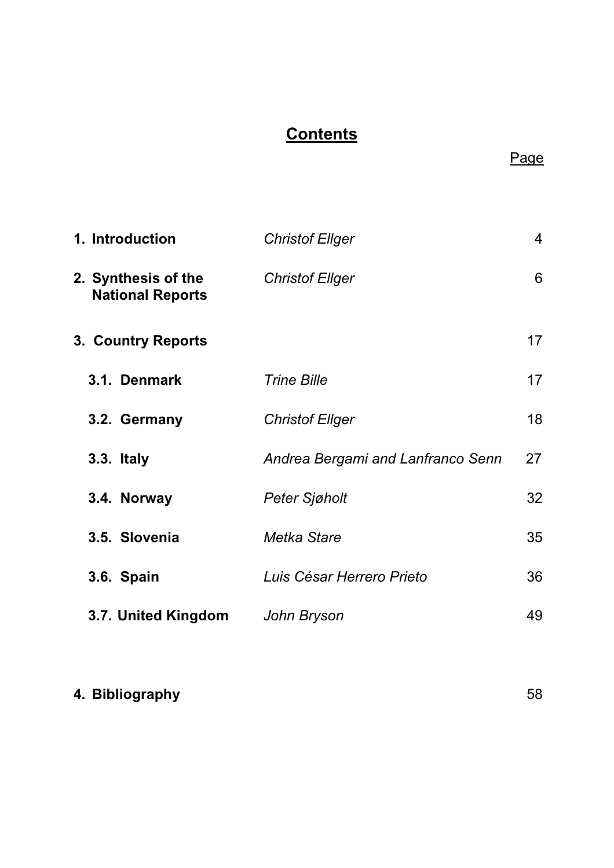## **Contents**

| 1. Introduction                                | <b>Christof Ellger</b>            | $\overline{4}$ |
|------------------------------------------------|-----------------------------------|----------------|
| 2. Synthesis of the<br><b>National Reports</b> | <b>Christof Ellger</b>            | 6              |
| 3. Country Reports                             |                                   | 17             |
| 3.1. Denmark                                   | <b>Trine Bille</b>                | 17             |
| 3.2. Germany                                   | <b>Christof Ellger</b>            | 18             |
| 3.3. Italy                                     | Andrea Bergami and Lanfranco Senn | 27             |
| 3.4. Norway                                    | Peter Sjøholt                     | 32             |
| 3.5. Slovenia                                  | Metka Stare                       | 35             |
| 3.6. Spain                                     | Luis César Herrero Prieto         | 36             |
| 3.7. United Kingdom                            | John Bryson                       | 49             |

## **4. Bibliography** 58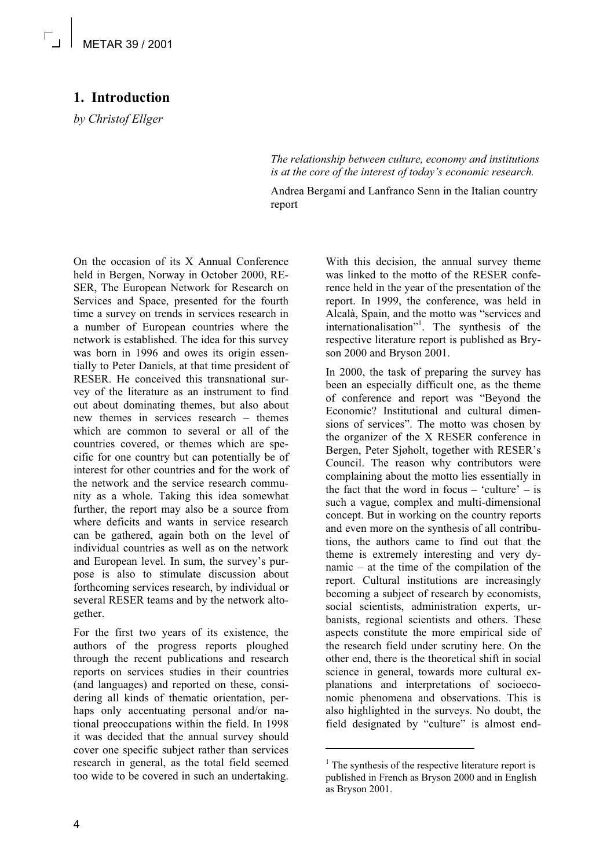## **1. Introduction**

*by Christof Ellger* 

*The relationship between culture, economy and institutions is at the core of the interest of today's economic research.*

Andrea Bergami and Lanfranco Senn in the Italian country report

On the occasion of its X Annual Conference held in Bergen, Norway in October 2000, RE-SER, The European Network for Research on Services and Space, presented for the fourth time a survey on trends in services research in a number of European countries where the network is established. The idea for this survey was born in 1996 and owes its origin essentially to Peter Daniels, at that time president of RESER. He conceived this transnational survey of the literature as an instrument to find out about dominating themes, but also about new themes in services research – themes which are common to several or all of the countries covered, or themes which are specific for one country but can potentially be of interest for other countries and for the work of the network and the service research community as a whole. Taking this idea somewhat further, the report may also be a source from where deficits and wants in service research can be gathered, again both on the level of individual countries as well as on the network and European level. In sum, the survey's purpose is also to stimulate discussion about forthcoming services research, by individual or several RESER teams and by the network altogether.

For the first two years of its existence, the authors of the progress reports ploughed through the recent publications and research reports on services studies in their countries (and languages) and reported on these, considering all kinds of thematic orientation, perhaps only accentuating personal and/or national preoccupations within the field. In 1998 it was decided that the annual survey should cover one specific subject rather than services research in general, as the total field seemed too wide to be covered in such an undertaking.

With this decision, the annual survey theme was linked to the motto of the RESER conference held in the year of the presentation of the report. In 1999, the conference, was held in Alcalà, Spain, and the motto was "services and internationalisation"1 . The synthesis of the respective literature report is published as Bryson 2000 and Bryson 2001.

In 2000, the task of preparing the survey has been an especially difficult one, as the theme of conference and report was "Beyond the Economic? Institutional and cultural dimensions of services". The motto was chosen by the organizer of the X RESER conference in Bergen, Peter Sjøholt, together with RESER's Council. The reason why contributors were complaining about the motto lies essentially in the fact that the word in focus – 'culture' – is such a vague, complex and multi-dimensional concept. But in working on the country reports and even more on the synthesis of all contributions, the authors came to find out that the theme is extremely interesting and very dynamic – at the time of the compilation of the report. Cultural institutions are increasingly becoming a subject of research by economists, social scientists, administration experts, urbanists, regional scientists and others. These aspects constitute the more empirical side of the research field under scrutiny here. On the other end, there is the theoretical shift in social science in general, towards more cultural explanations and interpretations of socioeconomic phenomena and observations. This is also highlighted in the surveys. No doubt, the field designated by "culture" is almost end-

<sup>&</sup>lt;sup>1</sup> The synthesis of the respective literature report is published in French as Bryson 2000 and in English as Bryson 2001.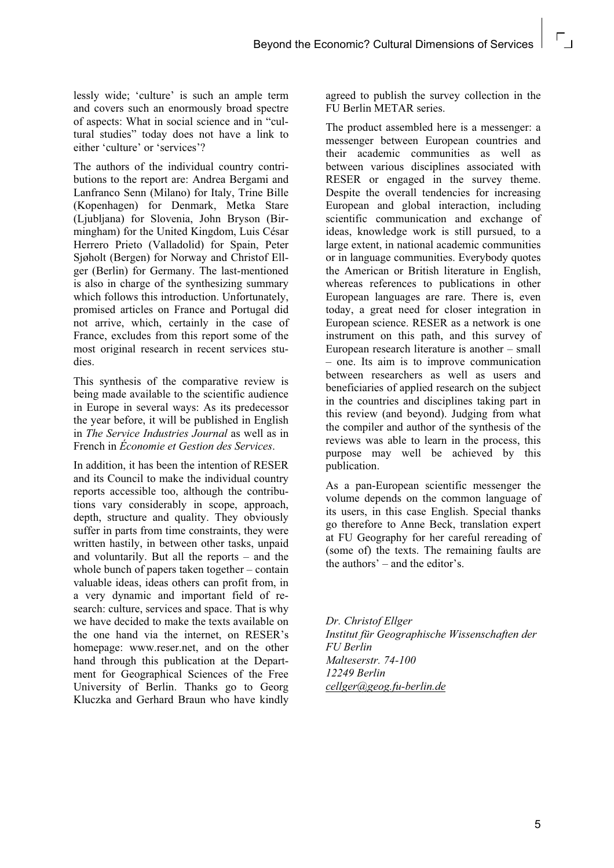The authors of the individual country contributions to the report are: Andrea Bergami and Lanfranco Senn (Milano) for Italy, Trine Bille (Kopenhagen) for Denmark, Metka Stare (Ljubljana) for Slovenia, John Bryson (Birmingham) for the United Kingdom, Luis César Herrero Prieto (Valladolid) for Spain, Peter Sjøholt (Bergen) for Norway and Christof Ellger (Berlin) for Germany. The last-mentioned is also in charge of the synthesizing summary which follows this introduction. Unfortunately, promised articles on France and Portugal did not arrive, which, certainly in the case of France, excludes from this report some of the most original research in recent services studies.

This synthesis of the comparative review is being made available to the scientific audience in Europe in several ways: As its predecessor the year before, it will be published in English in *The Service Industries Journal* as well as in French in *Économie et Gestion des Services*.

In addition, it has been the intention of RESER and its Council to make the individual country reports accessible too, although the contributions vary considerably in scope, approach, depth, structure and quality. They obviously suffer in parts from time constraints, they were written hastily, in between other tasks, unpaid and voluntarily. But all the reports – and the whole bunch of papers taken together – contain valuable ideas, ideas others can profit from, in a very dynamic and important field of research: culture, services and space. That is why we have decided to make the texts available on the one hand via the internet, on RESER's homepage: www.reser.net, and on the other hand through this publication at the Department for Geographical Sciences of the Free University of Berlin. Thanks go to Georg Kluczka and Gerhard Braun who have kindly

agreed to publish the survey collection in the FU Berlin METAR series.

The product assembled here is a messenger: a messenger between European countries and their academic communities as well as between various disciplines associated with RESER or engaged in the survey theme. Despite the overall tendencies for increasing European and global interaction, including scientific communication and exchange of ideas, knowledge work is still pursued, to a large extent, in national academic communities or in language communities. Everybody quotes the American or British literature in English, whereas references to publications in other European languages are rare. There is, even today, a great need for closer integration in European science. RESER as a network is one instrument on this path, and this survey of European research literature is another – small – one. Its aim is to improve communication between researchers as well as users and beneficiaries of applied research on the subject in the countries and disciplines taking part in this review (and beyond). Judging from what the compiler and author of the synthesis of the reviews was able to learn in the process, this purpose may well be achieved by this publication.

As a pan-European scientific messenger the volume depends on the common language of its users, in this case English. Special thanks go therefore to Anne Beck, translation expert at FU Geography for her careful rereading of (some of) the texts. The remaining faults are the authors' – and the editor's.

*Dr. Christof Ellger Institut für Geographische Wissenschaften der FU Berlin Malteserstr. 74-100 12249 Berlin cellger@geog.fu-berlin.de*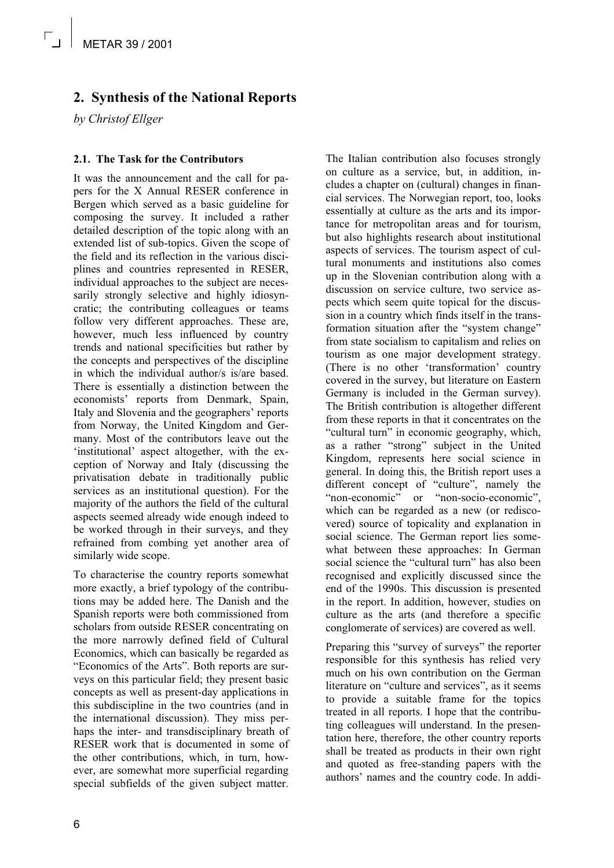## **2. Synthesis of the National Reports**

*by Christof Ellger* 

#### **2.1. The Task for the Contributors**

It was the announcement and the call for papers for the X Annual RESER conference in Bergen which served as a basic guideline for composing the survey. It included a rather detailed description of the topic along with an extended list of sub-topics. Given the scope of the field and its reflection in the various disciplines and countries represented in RESER, individual approaches to the subject are necessarily strongly selective and highly idiosyncratic; the contributing colleagues or teams follow very different approaches. These are, however, much less influenced by country trends and national specificities but rather by the concepts and perspectives of the discipline in which the individual author/s is/are based. There is essentially a distinction between the economists' reports from Denmark, Spain, Italy and Slovenia and the geographers' reports from Norway, the United Kingdom and Germany. Most of the contributors leave out the 'institutional' aspect altogether, with the exception of Norway and Italy (discussing the privatisation debate in traditionally public services as an institutional question). For the majority of the authors the field of the cultural aspects seemed already wide enough indeed to be worked through in their surveys, and they refrained from combing yet another area of similarly wide scope.

To characterise the country reports somewhat more exactly, a brief typology of the contributions may be added here. The Danish and the Spanish reports were both commissioned from scholars from outside RESER concentrating on the more narrowly defined field of Cultural Economics, which can basically be regarded as "Economics of the Arts". Both reports are surveys on this particular field; they present basic concepts as well as present-day applications in this subdiscipline in the two countries (and in the international discussion). They miss perhaps the inter- and transdisciplinary breath of RESER work that is documented in some of the other contributions, which, in turn, however, are somewhat more superficial regarding special subfields of the given subject matter.

The Italian contribution also focuses strongly on culture as a service, but, in addition, includes a chapter on (cultural) changes in financial services. The Norwegian report, too, looks essentially at culture as the arts and its importance for metropolitan areas and for tourism, but also highlights research about institutional aspects of services. The tourism aspect of cultural monuments and institutions also comes up in the Slovenian contribution along with a discussion on service culture, two service aspects which seem quite topical for the discussion in a country which finds itself in the transformation situation after the "system change" from state socialism to capitalism and relies on tourism as one major development strategy. (There is no other 'transformation' country covered in the survey, but literature on Eastern Germany is included in the German survey). The British contribution is altogether different from these reports in that it concentrates on the "cultural turn" in economic geography, which, as a rather "strong" subject in the United Kingdom, represents here social science in general. In doing this, the British report uses a different concept of "culture", namely the "non-economic" or "non-socio-economic", which can be regarded as a new (or rediscovered) source of topicality and explanation in social science. The German report lies somewhat between these approaches: In German social science the "cultural turn" has also been recognised and explicitly discussed since the end of the 1990s. This discussion is presented in the report. In addition, however, studies on culture as the arts (and therefore a specific conglomerate of services) are covered as well.

Preparing this "survey of surveys" the reporter responsible for this synthesis has relied very much on his own contribution on the German literature on "culture and services", as it seems to provide a suitable frame for the topics treated in all reports. I hope that the contributing colleagues will understand. In the presentation here, therefore, the other country reports shall be treated as products in their own right and quoted as free-standing papers with the authors' names and the country code. In addi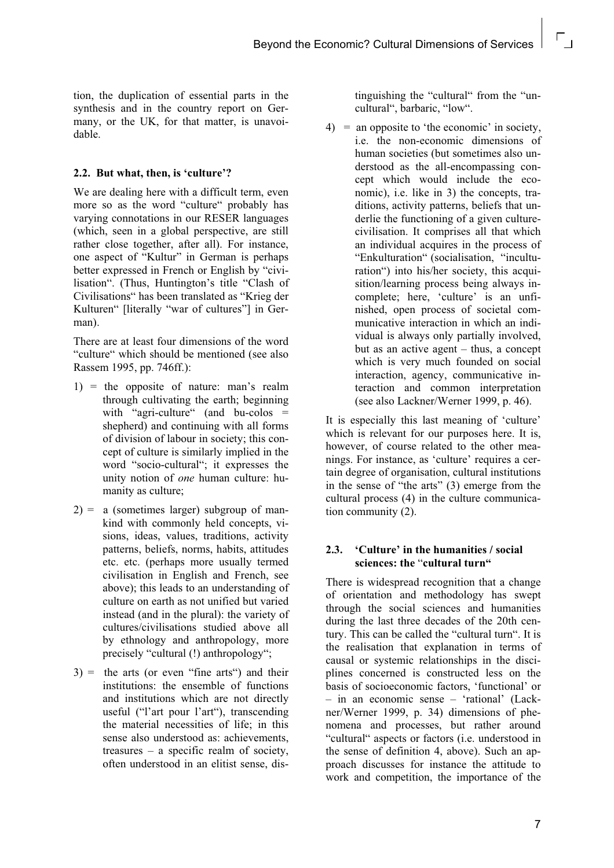tion, the duplication of essential parts in the synthesis and in the country report on Germany, or the UK, for that matter, is unavoidable.

#### **2.2. But what, then, is 'culture'?**

We are dealing here with a difficult term, even more so as the word "culture" probably has varying connotations in our RESER languages (which, seen in a global perspective, are still rather close together, after all). For instance, one aspect of "Kultur" in German is perhaps better expressed in French or English by "civilisation". (Thus, Huntington's title "Clash of Civilisations" has been translated as "Krieg der Kulturen" [literally "war of cultures"] in German).

There are at least four dimensions of the word "culture" which should be mentioned (see also Rassem 1995, pp. 746ff.):

- 1) = the opposite of nature: man's realm through cultivating the earth; beginning with "agri-culture" (and bu-colos = shepherd) and continuing with all forms of division of labour in society; this concept of culture is similarly implied in the word "socio-cultural"; it expresses the unity notion of *one* human culture: humanity as culture;
- $2) = a$  (sometimes larger) subgroup of mankind with commonly held concepts, visions, ideas, values, traditions, activity patterns, beliefs, norms, habits, attitudes etc. etc. (perhaps more usually termed civilisation in English and French, see above); this leads to an understanding of culture on earth as not unified but varied instead (and in the plural): the variety of cultures/civilisations studied above all by ethnology and anthropology, more precisely "cultural (!) anthropology";
- $3$ ) = the arts (or even "fine arts") and their institutions: the ensemble of functions and institutions which are not directly useful ("l'art pour l'art"), transcending the material necessities of life; in this sense also understood as: achievements, treasures – a specific realm of society, often understood in an elitist sense, dis-

tinguishing the "cultural" from the "uncultural", barbaric, "low".

4) = an opposite to 'the economic' in society, i.e. the non-economic dimensions of human societies (but sometimes also understood as the all-encompassing concept which would include the economic), i.e. like in 3) the concepts, traditions, activity patterns, beliefs that underlie the functioning of a given culturecivilisation. It comprises all that which an individual acquires in the process of "Enkulturation" (socialisation, "inculturation") into his/her society, this acquisition/learning process being always incomplete; here, 'culture' is an unfinished, open process of societal communicative interaction in which an individual is always only partially involved, but as an active agent – thus, a concept which is very much founded on social interaction, agency, communicative interaction and common interpretation (see also Lackner/Werner 1999, p. 46).

It is especially this last meaning of 'culture' which is relevant for our purposes here. It is, however, of course related to the other meanings. For instance, as 'culture' requires a certain degree of organisation, cultural institutions in the sense of "the arts" (3) emerge from the cultural process (4) in the culture communication community (2).

#### **2.3. 'Culture' in the humanities / social sciences: the** "**cultural turn"**

There is widespread recognition that a change of orientation and methodology has swept through the social sciences and humanities during the last three decades of the 20th century. This can be called the "cultural turn". It is the realisation that explanation in terms of causal or systemic relationships in the disciplines concerned is constructed less on the basis of socioeconomic factors, 'functional' or – in an economic sense – 'rational' (Lackner/Werner 1999, p. 34) dimensions of phenomena and processes, but rather around "cultural" aspects or factors (i.e. understood in the sense of definition 4, above). Such an approach discusses for instance the attitude to work and competition, the importance of the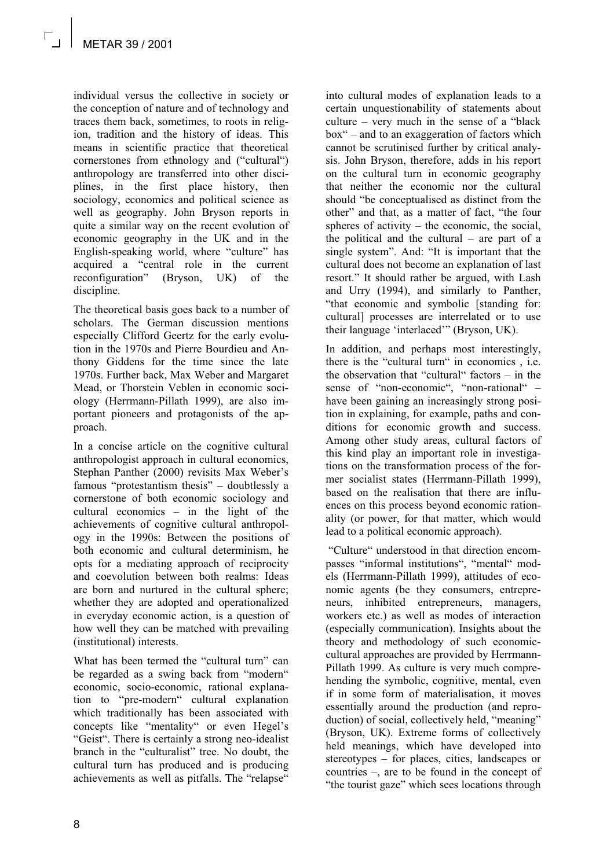individual versus the collective in society or the conception of nature and of technology and traces them back, sometimes, to roots in religion, tradition and the history of ideas. This means in scientific practice that theoretical cornerstones from ethnology and ("cultural") anthropology are transferred into other disciplines, in the first place history, then sociology, economics and political science as well as geography. John Bryson reports in quite a similar way on the recent evolution of economic geography in the UK and in the English-speaking world, where "culture" has acquired a "central role in the current reconfiguration" (Bryson, UK) of the discipline.

The theoretical basis goes back to a number of scholars. The German discussion mentions especially Clifford Geertz for the early evolution in the 1970s and Pierre Bourdieu and Anthony Giddens for the time since the late 1970s. Further back, Max Weber and Margaret Mead, or Thorstein Veblen in economic sociology (Herrmann-Pillath 1999), are also important pioneers and protagonists of the approach.

In a concise article on the cognitive cultural anthropologist approach in cultural economics, Stephan Panther (2000) revisits Max Weber's famous "protestantism thesis" – doubtlessly a cornerstone of both economic sociology and cultural economics – in the light of the achievements of cognitive cultural anthropology in the 1990s: Between the positions of both economic and cultural determinism, he opts for a mediating approach of reciprocity and coevolution between both realms: Ideas are born and nurtured in the cultural sphere; whether they are adopted and operationalized in everyday economic action, is a question of how well they can be matched with prevailing (institutional) interests.

What has been termed the "cultural turn" can be regarded as a swing back from "modern" economic, socio-economic, rational explanation to "pre-modern" cultural explanation which traditionally has been associated with concepts like "mentality" or even Hegel's "Geist". There is certainly a strong neo-idealist branch in the "culturalist" tree. No doubt, the cultural turn has produced and is producing achievements as well as pitfalls. The "relapse"

into cultural modes of explanation leads to a certain unquestionability of statements about culture – very much in the sense of a "black" box" – and to an exaggeration of factors which cannot be scrutinised further by critical analysis. John Bryson, therefore, adds in his report on the cultural turn in economic geography that neither the economic nor the cultural should "be conceptualised as distinct from the other" and that, as a matter of fact, "the four spheres of activity – the economic, the social, the political and the cultural – are part of a single system". And: "It is important that the cultural does not become an explanation of last resort." It should rather be argued, with Lash and Urry (1994), and similarly to Panther, "that economic and symbolic [standing for: cultural] processes are interrelated or to use their language 'interlaced'" (Bryson, UK).

In addition, and perhaps most interestingly, there is the "cultural turn" in economics , i.e. the observation that "cultural" factors – in the sense of "non-economic", "non-rational" – have been gaining an increasingly strong position in explaining, for example, paths and conditions for economic growth and success. Among other study areas, cultural factors of this kind play an important role in investigations on the transformation process of the former socialist states (Herrmann-Pillath 1999), based on the realisation that there are influences on this process beyond economic rationality (or power, for that matter, which would lead to a political economic approach).

"Culture" understood in that direction encompasses "informal institutions", "mental" models (Herrmann-Pillath 1999), attitudes of economic agents (be they consumers, entrepreneurs, inhibited entrepreneurs, managers, workers etc.) as well as modes of interaction (especially communication). Insights about the theory and methodology of such economiccultural approaches are provided by Herrmann-Pillath 1999. As culture is very much comprehending the symbolic, cognitive, mental, even if in some form of materialisation, it moves essentially around the production (and reproduction) of social, collectively held, "meaning" (Bryson, UK). Extreme forms of collectively held meanings, which have developed into stereotypes – for places, cities, landscapes or countries –, are to be found in the concept of "the tourist gaze" which sees locations through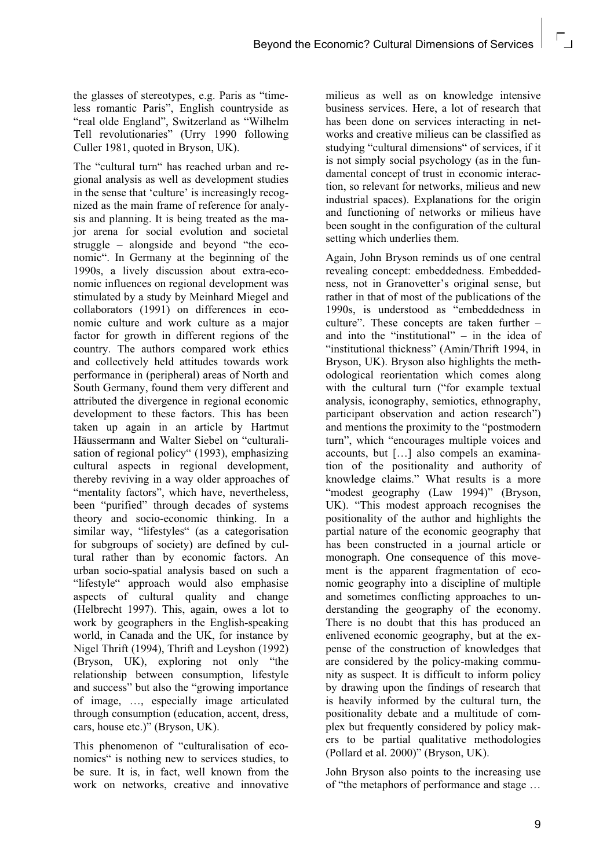the glasses of stereotypes, e.g. Paris as "timeless romantic Paris", English countryside as "real olde England", Switzerland as "Wilhelm Tell revolutionaries" (Urry 1990 following Culler 1981, quoted in Bryson, UK).

The "cultural turn" has reached urban and regional analysis as well as development studies in the sense that 'culture' is increasingly recognized as the main frame of reference for analysis and planning. It is being treated as the major arena for social evolution and societal struggle – alongside and beyond "the economic". In Germany at the beginning of the 1990s, a lively discussion about extra-economic influences on regional development was stimulated by a study by Meinhard Miegel and collaborators (1991) on differences in economic culture and work culture as a major factor for growth in different regions of the country. The authors compared work ethics and collectively held attitudes towards work performance in (peripheral) areas of North and South Germany, found them very different and attributed the divergence in regional economic development to these factors. This has been taken up again in an article by Hartmut Häussermann and Walter Siebel on "culturalisation of regional policy" (1993), emphasizing cultural aspects in regional development, thereby reviving in a way older approaches of "mentality factors", which have, nevertheless, been "purified" through decades of systems theory and socio-economic thinking. In a similar way, "lifestyles" (as a categorisation for subgroups of society) are defined by cultural rather than by economic factors. An urban socio-spatial analysis based on such a "lifestyle" approach would also emphasise aspects of cultural quality and change (Helbrecht 1997). This, again, owes a lot to work by geographers in the English-speaking world, in Canada and the UK, for instance by Nigel Thrift (1994), Thrift and Leyshon (1992) (Bryson, UK), exploring not only "the relationship between consumption, lifestyle and success" but also the "growing importance of image, …, especially image articulated through consumption (education, accent, dress, cars, house etc.)" (Bryson, UK).

This phenomenon of "culturalisation of economics" is nothing new to services studies, to be sure. It is, in fact, well known from the work on networks, creative and innovative milieus as well as on knowledge intensive business services. Here, a lot of research that has been done on services interacting in networks and creative milieus can be classified as studying "cultural dimensions" of services, if it is not simply social psychology (as in the fundamental concept of trust in economic interaction, so relevant for networks, milieus and new industrial spaces). Explanations for the origin and functioning of networks or milieus have been sought in the configuration of the cultural setting which underlies them.

Again, John Bryson reminds us of one central revealing concept: embeddedness. Embeddedness, not in Granovetter's original sense, but rather in that of most of the publications of the 1990s, is understood as "embeddedness in culture". These concepts are taken further – and into the "institutional" – in the idea of "institutional thickness" (Amin/Thrift 1994, in Bryson, UK). Bryson also highlights the methodological reorientation which comes along with the cultural turn ("for example textual analysis, iconography, semiotics, ethnography, participant observation and action research") and mentions the proximity to the "postmodern turn", which "encourages multiple voices and accounts, but […] also compels an examination of the positionality and authority of knowledge claims." What results is a more "modest geography (Law 1994)" (Bryson, UK). "This modest approach recognises the positionality of the author and highlights the partial nature of the economic geography that has been constructed in a journal article or monograph. One consequence of this movement is the apparent fragmentation of economic geography into a discipline of multiple and sometimes conflicting approaches to understanding the geography of the economy. There is no doubt that this has produced an enlivened economic geography, but at the expense of the construction of knowledges that are considered by the policy-making community as suspect. It is difficult to inform policy by drawing upon the findings of research that is heavily informed by the cultural turn, the positionality debate and a multitude of complex but frequently considered by policy makers to be partial qualitative methodologies (Pollard et al. 2000)" (Bryson, UK).

John Bryson also points to the increasing use of "the metaphors of performance and stage …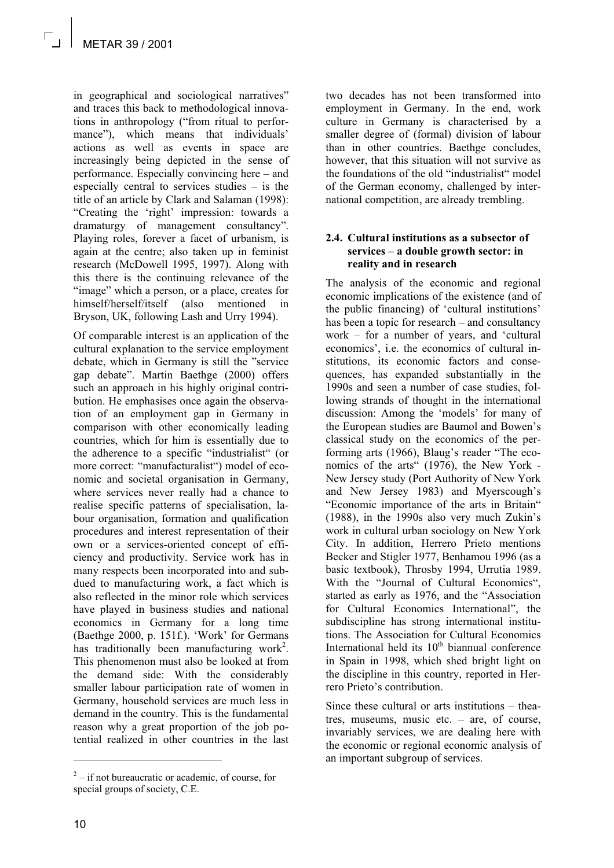in geographical and sociological narratives" and traces this back to methodological innovations in anthropology ("from ritual to performance"), which means that individuals' actions as well as events in space are increasingly being depicted in the sense of performance. Especially convincing here – and especially central to services studies – is the title of an article by Clark and Salaman (1998): "Creating the 'right' impression: towards a dramaturgy of management consultancy". Playing roles, forever a facet of urbanism, is again at the centre; also taken up in feminist research (McDowell 1995, 1997). Along with this there is the continuing relevance of the "image" which a person, or a place, creates for himself/herself/itself (also mentioned in Bryson, UK, following Lash and Urry 1994).

Of comparable interest is an application of the cultural explanation to the service employment debate, which in Germany is still the "service gap debate". Martin Baethge (2000) offers such an approach in his highly original contribution. He emphasises once again the observation of an employment gap in Germany in comparison with other economically leading countries, which for him is essentially due to the adherence to a specific "industrialist" (or more correct: "manufacturalist") model of economic and societal organisation in Germany, where services never really had a chance to realise specific patterns of specialisation, labour organisation, formation and qualification procedures and interest representation of their own or a services-oriented concept of efficiency and productivity. Service work has in many respects been incorporated into and subdued to manufacturing work, a fact which is also reflected in the minor role which services have played in business studies and national economics in Germany for a long time (Baethge 2000, p. 151f.). 'Work' for Germans has traditionally been manufacturing work<sup>2</sup>. This phenomenon must also be looked at from the demand side: With the considerably smaller labour participation rate of women in Germany, household services are much less in demand in the country. This is the fundamental reason why a great proportion of the job potential realized in other countries in the last

two decades has not been transformed into employment in Germany. In the end, work culture in Germany is characterised by a smaller degree of (formal) division of labour than in other countries. Baethge concludes, however, that this situation will not survive as the foundations of the old "industrialist" model of the German economy, challenged by international competition, are already trembling.

#### **2.4. Cultural institutions as a subsector of services – a double growth sector: in reality and in research**

The analysis of the economic and regional economic implications of the existence (and of the public financing) of 'cultural institutions' has been a topic for research – and consultancy work – for a number of years, and 'cultural economics', i.e. the economics of cultural institutions, its economic factors and consequences, has expanded substantially in the 1990s and seen a number of case studies, following strands of thought in the international discussion: Among the 'models' for many of the European studies are Baumol and Bowen's classical study on the economics of the performing arts (1966), Blaug's reader "The economics of the arts" (1976), the New York - New Jersey study (Port Authority of New York and New Jersey 1983) and Myerscough's "Economic importance of the arts in Britain" (1988), in the 1990s also very much Zukin's work in cultural urban sociology on New York City. In addition, Herrero Prieto mentions Becker and Stigler 1977, Benhamou 1996 (as a basic textbook), Throsby 1994, Urrutia 1989. With the "Journal of Cultural Economics", started as early as 1976, and the "Association for Cultural Economics International", the subdiscipline has strong international institutions. The Association for Cultural Economics International held its  $10<sup>th</sup>$  biannual conference in Spain in 1998, which shed bright light on the discipline in this country, reported in Herrero Prieto's contribution.

Since these cultural or arts institutions – theatres, museums, music etc. – are, of course, invariably services, we are dealing here with the economic or regional economic analysis of an important subgroup of services.

 $2^2$  – if not bureaucratic or academic, of course, for special groups of society, C.E.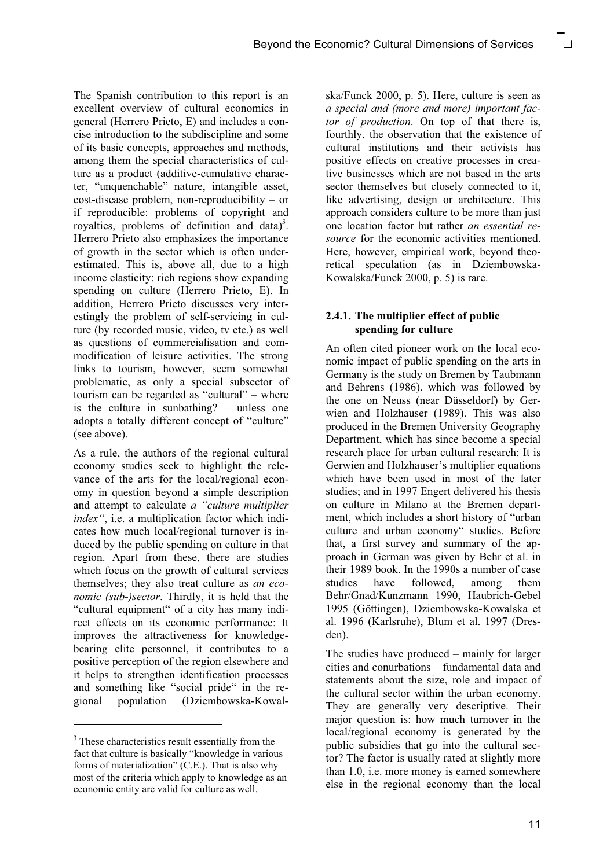The Spanish contribution to this report is an excellent overview of cultural economics in general (Herrero Prieto, E) and includes a concise introduction to the subdiscipline and some of its basic concepts, approaches and methods, among them the special characteristics of culture as a product (additive-cumulative character, "unquenchable" nature, intangible asset, cost-disease problem, non-reproducibility – or if reproducible: problems of copyright and royalties, problems of definition and data)<sup>3</sup>. Herrero Prieto also emphasizes the importance of growth in the sector which is often underestimated. This is, above all, due to a high income elasticity: rich regions show expanding spending on culture (Herrero Prieto, E). In addition, Herrero Prieto discusses very interestingly the problem of self-servicing in culture (by recorded music, video, tv etc.) as well as questions of commercialisation and commodification of leisure activities. The strong links to tourism, however, seem somewhat problematic, as only a special subsector of tourism can be regarded as "cultural" – where is the culture in sunbathing? – unless one adopts a totally different concept of "culture" (see above).

As a rule, the authors of the regional cultural economy studies seek to highlight the relevance of the arts for the local/regional economy in question beyond a simple description and attempt to calculate *a "culture multiplier index"*, i.e. a multiplication factor which indicates how much local/regional turnover is induced by the public spending on culture in that region. Apart from these, there are studies which focus on the growth of cultural services themselves; they also treat culture as *an economic (sub-)sector*. Thirdly, it is held that the "cultural equipment" of a city has many indirect effects on its economic performance: It improves the attractiveness for knowledgebearing elite personnel, it contributes to a positive perception of the region elsewhere and it helps to strengthen identification processes and something like "social pride" in the regional population (Dziembowska-Kowalska/Funck 2000, p. 5). Here, culture is seen as *a special and (more and more) important factor of production*. On top of that there is, fourthly, the observation that the existence of cultural institutions and their activists has positive effects on creative processes in creative businesses which are not based in the arts sector themselves but closely connected to it, like advertising, design or architecture. This approach considers culture to be more than just one location factor but rather *an essential resource* for the economic activities mentioned. Here, however, empirical work, beyond theoretical speculation (as in Dziembowska-Kowalska/Funck 2000, p. 5) is rare.

#### **2.4.1. The multiplier effect of public spending for culture**

An often cited pioneer work on the local economic impact of public spending on the arts in Germany is the study on Bremen by Taubmann and Behrens (1986). which was followed by the one on Neuss (near Düsseldorf) by Gerwien and Holzhauser (1989). This was also produced in the Bremen University Geography Department, which has since become a special research place for urban cultural research: It is Gerwien and Holzhauser's multiplier equations which have been used in most of the later studies; and in 1997 Engert delivered his thesis on culture in Milano at the Bremen department, which includes a short history of "urban culture and urban economy" studies. Before that, a first survey and summary of the approach in German was given by Behr et al. in their 1989 book. In the 1990s a number of case studies have followed, among them Behr/Gnad/Kunzmann 1990, Haubrich-Gebel 1995 (Göttingen), Dziembowska-Kowalska et al. 1996 (Karlsruhe), Blum et al. 1997 (Dresden).

The studies have produced – mainly for larger cities and conurbations – fundamental data and statements about the size, role and impact of the cultural sector within the urban economy. They are generally very descriptive. Their major question is: how much turnover in the local/regional economy is generated by the public subsidies that go into the cultural sector? The factor is usually rated at slightly more than 1.0, i.e. more money is earned somewhere else in the regional economy than the local

<sup>&</sup>lt;sup>3</sup> These characteristics result essentially from the fact that culture is basically "knowledge in various forms of materialization" (C.E.). That is also why most of the criteria which apply to knowledge as an economic entity are valid for culture as well.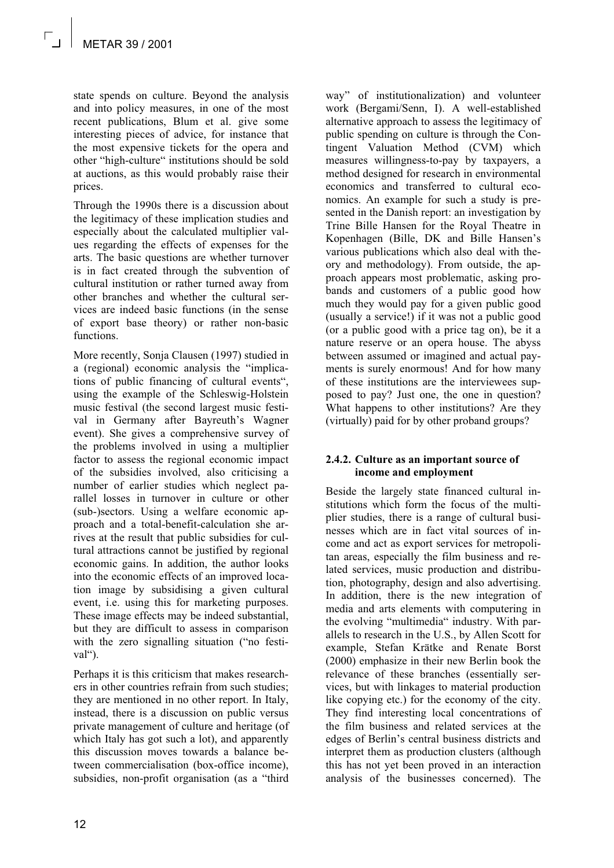state spends on culture. Beyond the analysis and into policy measures, in one of the most recent publications, Blum et al. give some interesting pieces of advice, for instance that the most expensive tickets for the opera and other "high-culture" institutions should be sold at auctions, as this would probably raise their prices.

Through the 1990s there is a discussion about the legitimacy of these implication studies and especially about the calculated multiplier values regarding the effects of expenses for the arts. The basic questions are whether turnover is in fact created through the subvention of cultural institution or rather turned away from other branches and whether the cultural services are indeed basic functions (in the sense of export base theory) or rather non-basic functions.

More recently, Sonja Clausen (1997) studied in a (regional) economic analysis the "implications of public financing of cultural events", using the example of the Schleswig-Holstein music festival (the second largest music festival in Germany after Bayreuth's Wagner event). She gives a comprehensive survey of the problems involved in using a multiplier factor to assess the regional economic impact of the subsidies involved, also criticising a number of earlier studies which neglect parallel losses in turnover in culture or other (sub-)sectors. Using a welfare economic approach and a total-benefit-calculation she arrives at the result that public subsidies for cultural attractions cannot be justified by regional economic gains. In addition, the author looks into the economic effects of an improved location image by subsidising a given cultural event, i.e. using this for marketing purposes. These image effects may be indeed substantial, but they are difficult to assess in comparison with the zero signalling situation ("no festival").

Perhaps it is this criticism that makes researchers in other countries refrain from such studies; they are mentioned in no other report. In Italy, instead, there is a discussion on public versus private management of culture and heritage (of which Italy has got such a lot), and apparently this discussion moves towards a balance between commercialisation (box-office income), subsidies, non-profit organisation (as a "third way" of institutionalization) and volunteer work (Bergami/Senn, I). A well-established alternative approach to assess the legitimacy of public spending on culture is through the Contingent Valuation Method (CVM) which measures willingness-to-pay by taxpayers, a method designed for research in environmental economics and transferred to cultural economics. An example for such a study is presented in the Danish report: an investigation by Trine Bille Hansen for the Royal Theatre in Kopenhagen (Bille, DK and Bille Hansen's various publications which also deal with theory and methodology). From outside, the approach appears most problematic, asking probands and customers of a public good how much they would pay for a given public good (usually a service!) if it was not a public good (or a public good with a price tag on), be it a nature reserve or an opera house. The abyss between assumed or imagined and actual payments is surely enormous! And for how many of these institutions are the interviewees supposed to pay? Just one, the one in question? What happens to other institutions? Are they (virtually) paid for by other proband groups?

#### **2.4.2. Culture as an important source of income and employment**

Beside the largely state financed cultural institutions which form the focus of the multiplier studies, there is a range of cultural businesses which are in fact vital sources of income and act as export services for metropolitan areas, especially the film business and related services, music production and distribution, photography, design and also advertising. In addition, there is the new integration of media and arts elements with computering in the evolving "multimedia" industry. With parallels to research in the U.S., by Allen Scott for example, Stefan Krätke and Renate Borst (2000) emphasize in their new Berlin book the relevance of these branches (essentially services, but with linkages to material production like copying etc.) for the economy of the city. They find interesting local concentrations of the film business and related services at the edges of Berlin's central business districts and interpret them as production clusters (although this has not yet been proved in an interaction analysis of the businesses concerned). The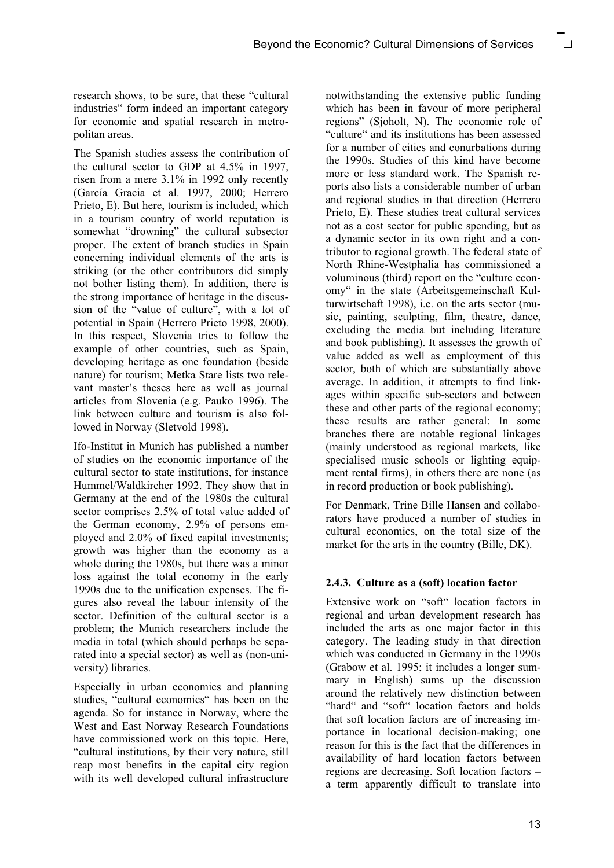research shows, to be sure, that these "cultural industries" form indeed an important category for economic and spatial research in metropolitan areas.

The Spanish studies assess the contribution of the cultural sector to GDP at 4.5% in 1997, risen from a mere 3.1% in 1992 only recently (García Gracia et al. 1997, 2000; Herrero Prieto, E). But here, tourism is included, which in a tourism country of world reputation is somewhat "drowning" the cultural subsector proper. The extent of branch studies in Spain concerning individual elements of the arts is striking (or the other contributors did simply not bother listing them). In addition, there is the strong importance of heritage in the discussion of the "value of culture", with a lot of potential in Spain (Herrero Prieto 1998, 2000). In this respect, Slovenia tries to follow the example of other countries, such as Spain, developing heritage as one foundation (beside nature) for tourism; Metka Stare lists two relevant master's theses here as well as journal articles from Slovenia (e.g. Pauko 1996). The link between culture and tourism is also followed in Norway (Sletvold 1998).

Ifo-Institut in Munich has published a number of studies on the economic importance of the cultural sector to state institutions, for instance Hummel/Waldkircher 1992. They show that in Germany at the end of the 1980s the cultural sector comprises 2.5% of total value added of the German economy, 2.9% of persons employed and 2.0% of fixed capital investments; growth was higher than the economy as a whole during the 1980s, but there was a minor loss against the total economy in the early 1990s due to the unification expenses. The figures also reveal the labour intensity of the sector. Definition of the cultural sector is a problem; the Munich researchers include the media in total (which should perhaps be separated into a special sector) as well as (non-university) libraries.

Especially in urban economics and planning studies, "cultural economics" has been on the agenda. So for instance in Norway, where the West and East Norway Research Foundations have commissioned work on this topic. Here, "cultural institutions, by their very nature, still reap most benefits in the capital city region with its well developed cultural infrastructure notwithstanding the extensive public funding which has been in favour of more peripheral regions" (Sjoholt, N). The economic role of "culture" and its institutions has been assessed for a number of cities and conurbations during the 1990s. Studies of this kind have become more or less standard work. The Spanish reports also lists a considerable number of urban and regional studies in that direction (Herrero Prieto, E). These studies treat cultural services not as a cost sector for public spending, but as a dynamic sector in its own right and a contributor to regional growth. The federal state of North Rhine-Westphalia has commissioned a voluminous (third) report on the "culture economy" in the state (Arbeitsgemeinschaft Kulturwirtschaft 1998), i.e. on the arts sector (music, painting, sculpting, film, theatre, dance, excluding the media but including literature and book publishing). It assesses the growth of value added as well as employment of this sector, both of which are substantially above average. In addition, it attempts to find linkages within specific sub-sectors and between these and other parts of the regional economy; these results are rather general: In some branches there are notable regional linkages (mainly understood as regional markets, like specialised music schools or lighting equipment rental firms), in others there are none (as in record production or book publishing).

For Denmark, Trine Bille Hansen and collaborators have produced a number of studies in cultural economics, on the total size of the market for the arts in the country (Bille, DK).

#### **2.4.3. Culture as a (soft) location factor**

Extensive work on "soft" location factors in regional and urban development research has included the arts as one major factor in this category. The leading study in that direction which was conducted in Germany in the 1990s (Grabow et al. 1995; it includes a longer summary in English) sums up the discussion around the relatively new distinction between "hard" and "soft" location factors and holds that soft location factors are of increasing importance in locational decision-making; one reason for this is the fact that the differences in availability of hard location factors between regions are decreasing. Soft location factors – a term apparently difficult to translate into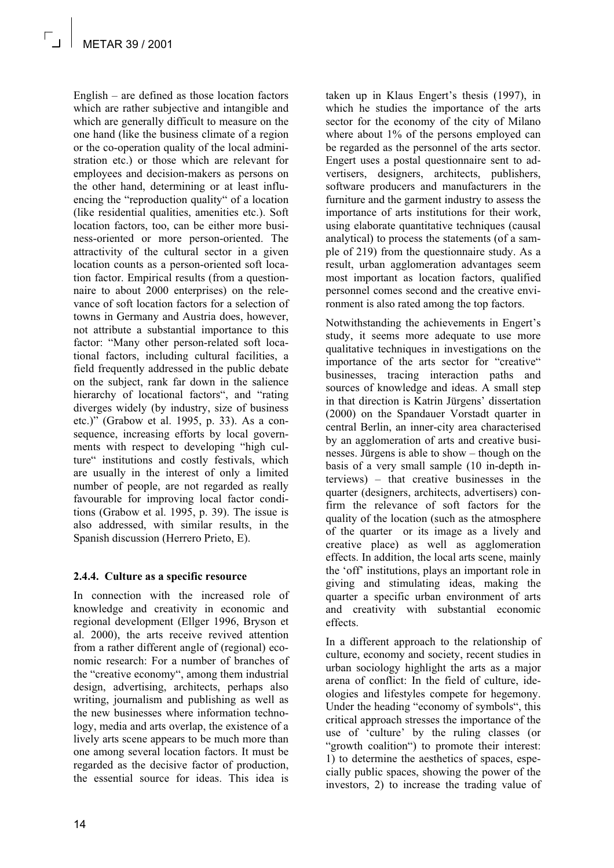English – are defined as those location factors which are rather subjective and intangible and which are generally difficult to measure on the one hand (like the business climate of a region or the co-operation quality of the local administration etc.) or those which are relevant for employees and decision-makers as persons on the other hand, determining or at least influencing the "reproduction quality" of a location (like residential qualities, amenities etc.). Soft location factors, too, can be either more business-oriented or more person-oriented. The attractivity of the cultural sector in a given location counts as a person-oriented soft location factor. Empirical results (from a questionnaire to about 2000 enterprises) on the relevance of soft location factors for a selection of towns in Germany and Austria does, however, not attribute a substantial importance to this factor: "Many other person-related soft locational factors, including cultural facilities, a field frequently addressed in the public debate on the subject, rank far down in the salience hierarchy of locational factors", and "rating diverges widely (by industry, size of business etc.)" (Grabow et al. 1995, p. 33). As a consequence, increasing efforts by local governments with respect to developing "high culture" institutions and costly festivals, which are usually in the interest of only a limited number of people, are not regarded as really favourable for improving local factor conditions (Grabow et al. 1995, p. 39). The issue is also addressed, with similar results, in the Spanish discussion (Herrero Prieto, E).

#### **2.4.4. Culture as a specific resource**

In connection with the increased role of knowledge and creativity in economic and regional development (Ellger 1996, Bryson et al. 2000), the arts receive revived attention from a rather different angle of (regional) economic research: For a number of branches of the "creative economy", among them industrial design, advertising, architects, perhaps also writing, journalism and publishing as well as the new businesses where information technology, media and arts overlap, the existence of a lively arts scene appears to be much more than one among several location factors. It must be regarded as the decisive factor of production, the essential source for ideas. This idea is

taken up in Klaus Engert's thesis (1997), in which he studies the importance of the arts sector for the economy of the city of Milano where about 1% of the persons employed can be regarded as the personnel of the arts sector. Engert uses a postal questionnaire sent to advertisers, designers, architects, publishers, software producers and manufacturers in the furniture and the garment industry to assess the importance of arts institutions for their work, using elaborate quantitative techniques (causal analytical) to process the statements (of a sample of 219) from the questionnaire study. As a result, urban agglomeration advantages seem most important as location factors, qualified personnel comes second and the creative environment is also rated among the top factors.

Notwithstanding the achievements in Engert's study, it seems more adequate to use more qualitative techniques in investigations on the importance of the arts sector for "creative" businesses, tracing interaction paths and sources of knowledge and ideas. A small step in that direction is Katrin Jürgens' dissertation (2000) on the Spandauer Vorstadt quarter in central Berlin, an inner-city area characterised by an agglomeration of arts and creative businesses. Jürgens is able to show – though on the basis of a very small sample (10 in-depth interviews) – that creative businesses in the quarter (designers, architects, advertisers) confirm the relevance of soft factors for the quality of the location (such as the atmosphere of the quarter or its image as a lively and creative place) as well as agglomeration effects. In addition, the local arts scene, mainly the 'off' institutions, plays an important role in giving and stimulating ideas, making the quarter a specific urban environment of arts and creativity with substantial economic effects.

In a different approach to the relationship of culture, economy and society, recent studies in urban sociology highlight the arts as a major arena of conflict: In the field of culture, ideologies and lifestyles compete for hegemony. Under the heading "economy of symbols", this critical approach stresses the importance of the use of 'culture' by the ruling classes (or "growth coalition") to promote their interest: 1) to determine the aesthetics of spaces, especially public spaces, showing the power of the investors, 2) to increase the trading value of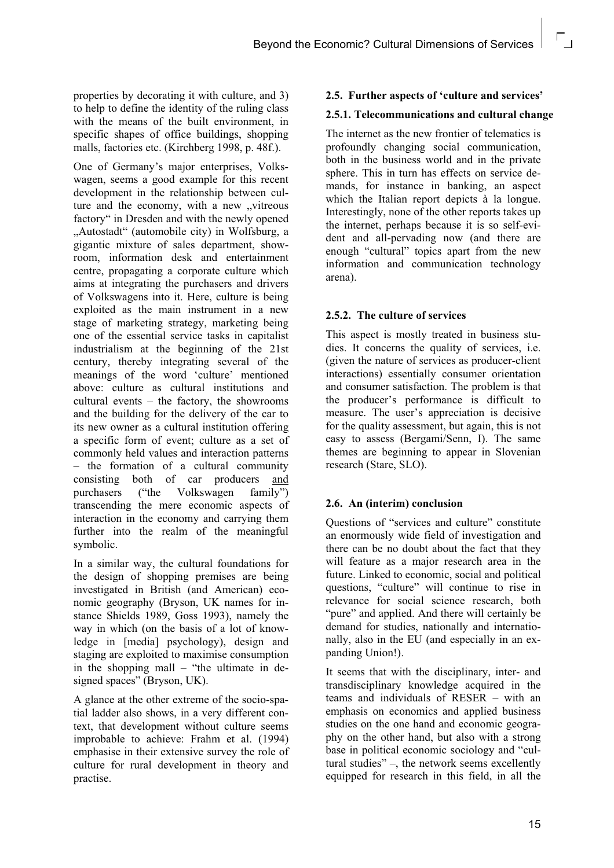properties by decorating it with culture, and 3) to help to define the identity of the ruling class with the means of the built environment, in specific shapes of office buildings, shopping malls, factories etc. (Kirchberg 1998, p. 48f.).

One of Germany's major enterprises, Volkswagen, seems a good example for this recent development in the relationship between culture and the economy, with a new "vitreous factory" in Dresden and with the newly opened "Autostadt" (automobile city) in Wolfsburg, a gigantic mixture of sales department, showroom, information desk and entertainment centre, propagating a corporate culture which aims at integrating the purchasers and drivers of Volkswagens into it. Here, culture is being exploited as the main instrument in a new stage of marketing strategy, marketing being one of the essential service tasks in capitalist industrialism at the beginning of the 21st century, thereby integrating several of the meanings of the word 'culture' mentioned above: culture as cultural institutions and cultural events – the factory, the showrooms and the building for the delivery of the car to its new owner as a cultural institution offering a specific form of event; culture as a set of commonly held values and interaction patterns – the formation of a cultural community consisting both of car producers and purchasers ("the Volkswagen family") transcending the mere economic aspects of interaction in the economy and carrying them further into the realm of the meaningful symbolic.

In a similar way, the cultural foundations for the design of shopping premises are being investigated in British (and American) economic geography (Bryson, UK names for instance Shields 1989, Goss 1993), namely the way in which (on the basis of a lot of knowledge in [media] psychology), design and staging are exploited to maximise consumption in the shopping mall  $-$  "the ultimate in designed spaces" (Bryson, UK).

A glance at the other extreme of the socio-spatial ladder also shows, in a very different context, that development without culture seems improbable to achieve: Frahm et al. (1994) emphasise in their extensive survey the role of culture for rural development in theory and practise.

#### **2.5. Further aspects of 'culture and services'**

#### **2.5.1. Telecommunications and cultural change**

The internet as the new frontier of telematics is profoundly changing social communication, both in the business world and in the private sphere. This in turn has effects on service demands, for instance in banking, an aspect which the Italian report depicts à la longue. Interestingly, none of the other reports takes up the internet, perhaps because it is so self-evident and all-pervading now (and there are enough "cultural" topics apart from the new information and communication technology arena).

#### **2.5.2. The culture of services**

This aspect is mostly treated in business studies. It concerns the quality of services, i.e. (given the nature of services as producer-client interactions) essentially consumer orientation and consumer satisfaction. The problem is that the producer's performance is difficult to measure. The user's appreciation is decisive for the quality assessment, but again, this is not easy to assess (Bergami/Senn, I). The same themes are beginning to appear in Slovenian research (Stare, SLO).

#### **2.6. An (interim) conclusion**

Questions of "services and culture" constitute an enormously wide field of investigation and there can be no doubt about the fact that they will feature as a major research area in the future. Linked to economic, social and political questions, "culture" will continue to rise in relevance for social science research, both "pure" and applied. And there will certainly be demand for studies, nationally and internationally, also in the EU (and especially in an expanding Union!).

It seems that with the disciplinary, inter- and transdisciplinary knowledge acquired in the teams and individuals of RESER – with an emphasis on economics and applied business studies on the one hand and economic geography on the other hand, but also with a strong base in political economic sociology and "cultural studies" –, the network seems excellently equipped for research in this field, in all the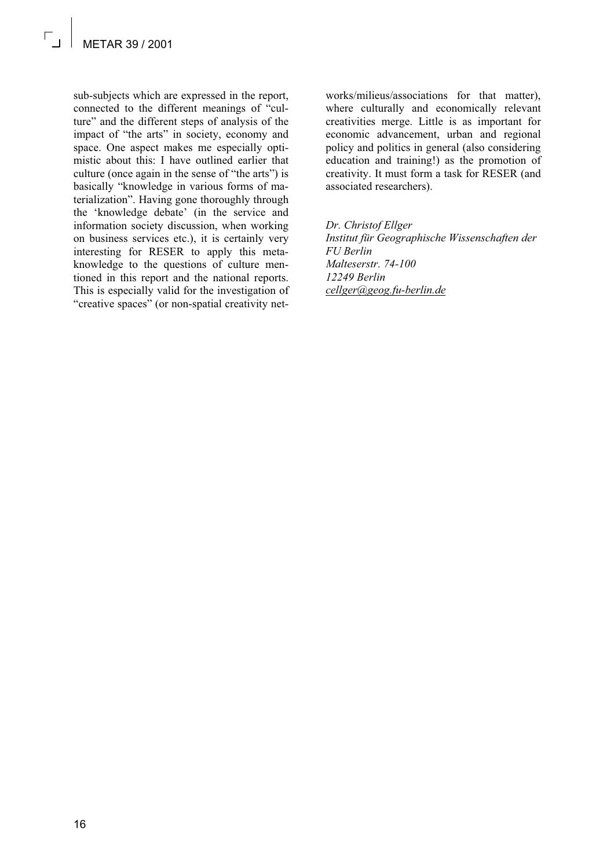sub-subjects which are expressed in the report, connected to the different meanings of "culture" and the different steps of analysis of the impact of "the arts" in society, economy and space. One aspect makes me especially optimistic about this: I have outlined earlier that culture (once again in the sense of "the arts") is basically "knowledge in various forms of materialization". Having gone thoroughly through the 'knowledge debate' (in the service and information society discussion, when working on business services etc.), it is certainly very interesting for RESER to apply this metaknowledge to the questions of culture mentioned in this report and the national reports. This is especially valid for the investigation of "creative spaces" (or non-spatial creativity networks/milieus/associations for that matter), where culturally and economically relevant creativities merge. Little is as important for economic advancement, urban and regional policy and politics in general (also considering education and training!) as the promotion of creativity. It must form a task for RESER (and associated researchers).

*Dr. Christof Ellger Institut für Geographische Wissenschaften der FU Berlin Malteserstr. 74-100 12249 Berlin cellger@geog.fu-berlin.de*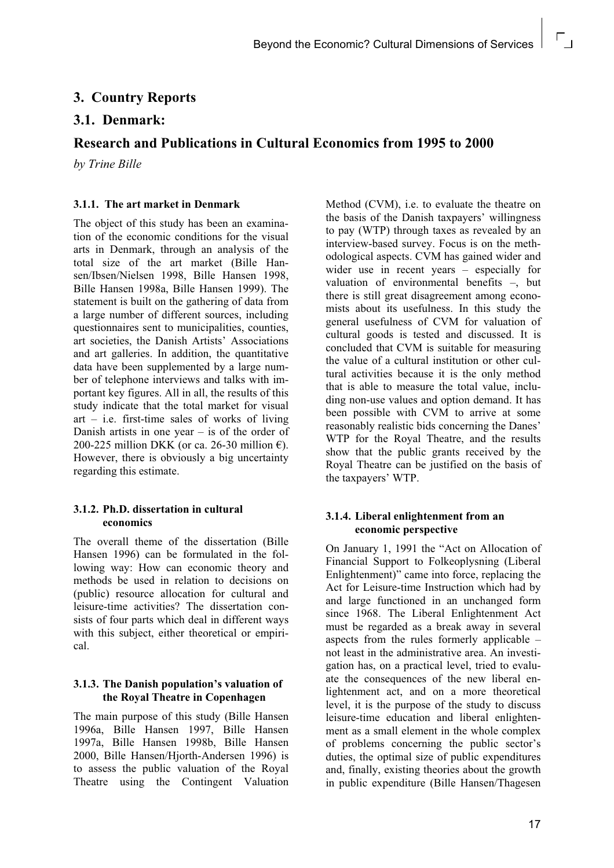## **3. Country Reports**

#### **3.1. Denmark:**

## **Research and Publications in Cultural Economics from 1995 to 2000**

*by Trine Bille* 

#### **3.1.1. The art market in Denmark**

The object of this study has been an examination of the economic conditions for the visual arts in Denmark, through an analysis of the total size of the art market (Bille Hansen/Ibsen/Nielsen 1998, Bille Hansen 1998, Bille Hansen 1998a, Bille Hansen 1999). The statement is built on the gathering of data from a large number of different sources, including questionnaires sent to municipalities, counties, art societies, the Danish Artists' Associations and art galleries. In addition, the quantitative data have been supplemented by a large number of telephone interviews and talks with important key figures. All in all, the results of this study indicate that the total market for visual  $art - i.e.$  first-time sales of works of living Danish artists in one year  $-$  is of the order of 200-225 million DKK (or ca. 26-30 million  $\epsilon$ ). However, there is obviously a big uncertainty regarding this estimate.

#### **3.1.2. Ph.D. dissertation in cultural economics**

The overall theme of the dissertation (Bille Hansen 1996) can be formulated in the following way: How can economic theory and methods be used in relation to decisions on (public) resource allocation for cultural and leisure-time activities? The dissertation consists of four parts which deal in different ways with this subject, either theoretical or empirical.

#### **3.1.3. The Danish population's valuation of the Royal Theatre in Copenhagen**

The main purpose of this study (Bille Hansen 1996a, Bille Hansen 1997, Bille Hansen 1997a, Bille Hansen 1998b, Bille Hansen 2000, Bille Hansen/Hjorth-Andersen 1996) is to assess the public valuation of the Royal Theatre using the Contingent Valuation Method (CVM), i.e. to evaluate the theatre on the basis of the Danish taxpayers' willingness to pay (WTP) through taxes as revealed by an interview-based survey. Focus is on the methodological aspects. CVM has gained wider and wider use in recent years – especially for valuation of environmental benefits –, but there is still great disagreement among economists about its usefulness. In this study the general usefulness of CVM for valuation of cultural goods is tested and discussed. It is concluded that CVM is suitable for measuring the value of a cultural institution or other cultural activities because it is the only method that is able to measure the total value, including non-use values and option demand. It has been possible with CVM to arrive at some reasonably realistic bids concerning the Danes' WTP for the Royal Theatre, and the results show that the public grants received by the Royal Theatre can be justified on the basis of the taxpayers' WTP.

#### **3.1.4. Liberal enlightenment from an economic perspective**

On January 1, 1991 the "Act on Allocation of Financial Support to Folkeoplysning (Liberal Enlightenment)" came into force, replacing the Act for Leisure-time Instruction which had by and large functioned in an unchanged form since 1968. The Liberal Enlightenment Act must be regarded as a break away in several aspects from the rules formerly applicable  $$ not least in the administrative area. An investigation has, on a practical level, tried to evaluate the consequences of the new liberal enlightenment act, and on a more theoretical level, it is the purpose of the study to discuss leisure-time education and liberal enlightenment as a small element in the whole complex of problems concerning the public sector's duties, the optimal size of public expenditures and, finally, existing theories about the growth in public expenditure (Bille Hansen/Thagesen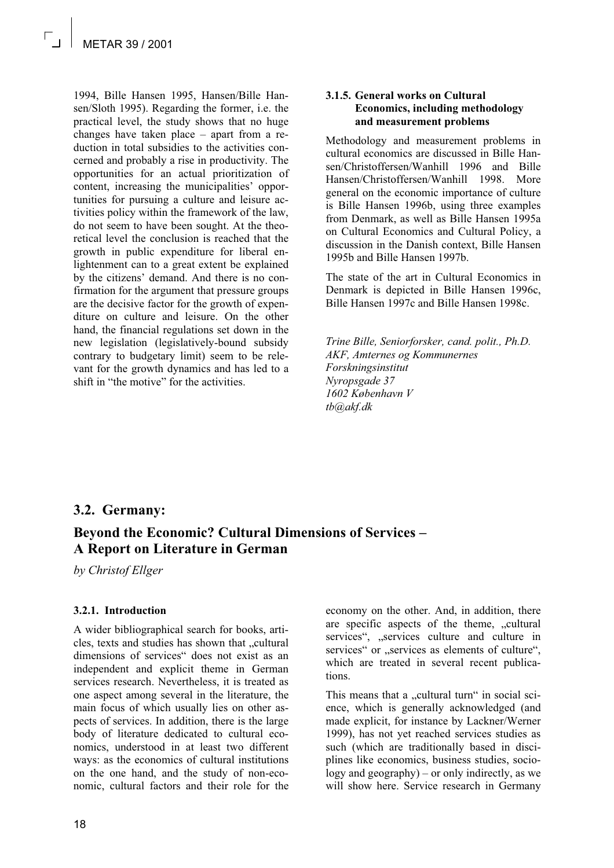1994, Bille Hansen 1995, Hansen/Bille Hansen/Sloth 1995). Regarding the former, i.e. the practical level, the study shows that no huge changes have taken place – apart from a reduction in total subsidies to the activities concerned and probably a rise in productivity. The opportunities for an actual prioritization of content, increasing the municipalities' opportunities for pursuing a culture and leisure activities policy within the framework of the law, do not seem to have been sought. At the theoretical level the conclusion is reached that the growth in public expenditure for liberal enlightenment can to a great extent be explained by the citizens' demand. And there is no confirmation for the argument that pressure groups are the decisive factor for the growth of expenditure on culture and leisure. On the other hand, the financial regulations set down in the new legislation (legislatively-bound subsidy contrary to budgetary limit) seem to be relevant for the growth dynamics and has led to a shift in "the motive" for the activities.

#### **3.1.5. General works on Cultural Economics, including methodology and measurement problems**

Methodology and measurement problems in cultural economics are discussed in Bille Hansen/Christoffersen/Wanhill 1996 and Bille Hansen/Christoffersen/Wanhill 1998. More general on the economic importance of culture is Bille Hansen 1996b, using three examples from Denmark, as well as Bille Hansen 1995a on Cultural Economics and Cultural Policy, a discussion in the Danish context, Bille Hansen 1995b and Bille Hansen 1997b.

The state of the art in Cultural Economics in Denmark is depicted in Bille Hansen 1996c, Bille Hansen 1997c and Bille Hansen 1998c.

*Trine Bille, Seniorforsker, cand. polit., Ph.D. AKF, Amternes og Kommunernes Forskningsinstitut Nyropsgade 37 1602 København V tb@akf.dk*

## **3.2. Germany:**

## **Beyond the Economic? Cultural Dimensions of Services – A Report on Literature in German**

*by Christof Ellger* 

#### **3.2.1. Introduction**

A wider bibliographical search for books, articles, texts and studies has shown that ..cultural dimensions of services" does not exist as an independent and explicit theme in German services research. Nevertheless, it is treated as one aspect among several in the literature, the main focus of which usually lies on other aspects of services. In addition, there is the large body of literature dedicated to cultural economics, understood in at least two different ways: as the economics of cultural institutions on the one hand, and the study of non-economic, cultural factors and their role for the

economy on the other. And, in addition, there are specific aspects of the theme, "cultural services", "services culture and culture in services" or ..services as elements of culture". which are treated in several recent publications.

This means that a "cultural turn" in social science, which is generally acknowledged (and made explicit, for instance by Lackner/Werner 1999), has not yet reached services studies as such (which are traditionally based in disciplines like economics, business studies, sociology and geography) – or only indirectly, as we will show here. Service research in Germany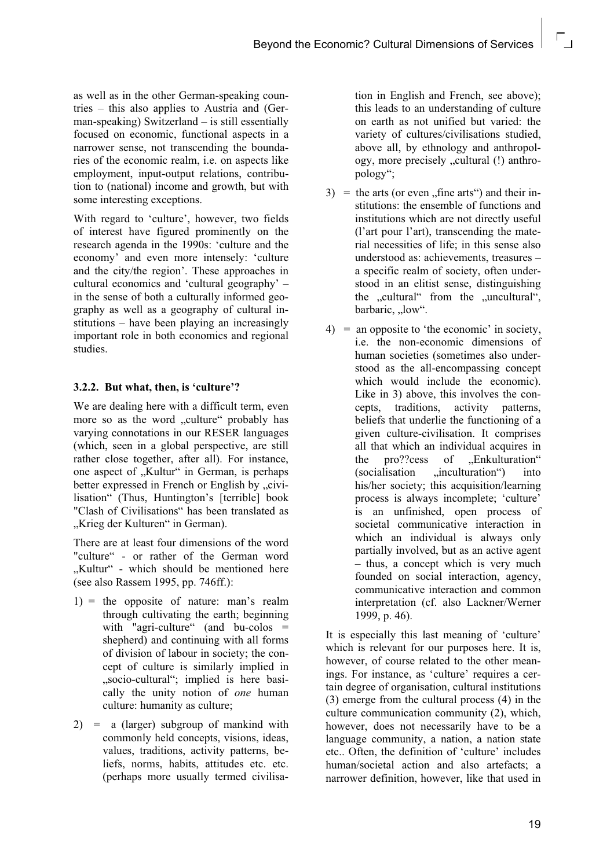as well as in the other German-speaking countries – this also applies to Austria and (German-speaking) Switzerland – is still essentially focused on economic, functional aspects in a narrower sense, not transcending the boundaries of the economic realm, i.e. on aspects like employment, input-output relations, contribution to (national) income and growth, but with some interesting exceptions.

With regard to 'culture', however, two fields of interest have figured prominently on the research agenda in the 1990s: 'culture and the economy' and even more intensely: 'culture and the city/the region'. These approaches in cultural economics and 'cultural geography' – in the sense of both a culturally informed geography as well as a geography of cultural institutions – have been playing an increasingly important role in both economics and regional studies.

#### **3.2.2. But what, then, is 'culture'?**

We are dealing here with a difficult term, even more so as the word "culture" probably has varying connotations in our RESER languages (which, seen in a global perspective, are still rather close together, after all). For instance, one aspect of "Kultur" in German, is perhaps better expressed in French or English by "civilisation" (Thus, Huntington's [terrible] book "Clash of Civilisations" has been translated as "Krieg der Kulturen" in German).

There are at least four dimensions of the word "culture" - or rather of the German word "Kultur" - which should be mentioned here (see also Rassem 1995, pp. 746ff.):

- 1) = the opposite of nature: man's realm through cultivating the earth; beginning with "agri-culture" (and bu-colos  $=$ shepherd) and continuing with all forms of division of labour in society; the concept of culture is similarly implied in "socio-cultural"; implied is here basically the unity notion of *one* human culture: humanity as culture;
- 2) = a (larger) subgroup of mankind with commonly held concepts, visions, ideas, values, traditions, activity patterns, beliefs, norms, habits, attitudes etc. etc. (perhaps more usually termed civilisa-

tion in English and French, see above); this leads to an understanding of culture on earth as not unified but varied: the variety of cultures/civilisations studied, above all, by ethnology and anthropology, more precisely "cultural (!) anthropology";

- $3$ ) = the arts (or even "fine arts") and their institutions: the ensemble of functions and institutions which are not directly useful (l'art pour l'art), transcending the material necessities of life; in this sense also understood as: achievements, treasures – a specific realm of society, often understood in an elitist sense, distinguishing the "cultural" from the "uncultural", barbaric, "low".
- 4) = an opposite to 'the economic' in society, i.e. the non-economic dimensions of human societies (sometimes also understood as the all-encompassing concept which would include the economic). Like in 3) above, this involves the concepts, traditions, activity patterns, beliefs that underlie the functioning of a given culture-civilisation. It comprises all that which an individual acquires in the pro??cess of .Enkulturation" (socialisation ..inculturation") into his/her society; this acquisition/learning process is always incomplete; 'culture' is an unfinished, open process of societal communicative interaction in which an individual is always only partially involved, but as an active agent – thus, a concept which is very much founded on social interaction, agency, communicative interaction and common interpretation (cf. also Lackner/Werner 1999, p. 46).

It is especially this last meaning of 'culture' which is relevant for our purposes here. It is, however, of course related to the other meanings. For instance, as 'culture' requires a certain degree of organisation, cultural institutions (3) emerge from the cultural process (4) in the culture communication community (2), which, however, does not necessarily have to be a language community, a nation, a nation state etc.. Often, the definition of 'culture' includes human/societal action and also artefacts; a narrower definition, however, like that used in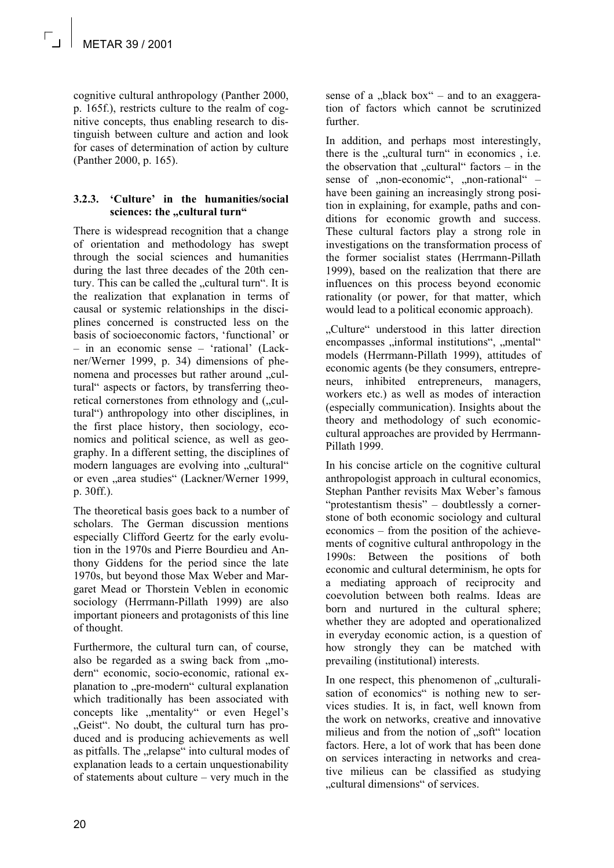cognitive cultural anthropology (Panther 2000, p. 165f.), restricts culture to the realm of cognitive concepts, thus enabling research to distinguish between culture and action and look for cases of determination of action by culture (Panther 2000, p. 165).

#### **3.2.3. 'Culture' in the humanities/social** sciences: the ..cultural turn"

There is widespread recognition that a change of orientation and methodology has swept through the social sciences and humanities during the last three decades of the 20th century. This can be called the "cultural turn". It is the realization that explanation in terms of causal or systemic relationships in the disciplines concerned is constructed less on the basis of socioeconomic factors, 'functional' or – in an economic sense – 'rational' (Lackner/Werner 1999, p. 34) dimensions of phenomena and processes but rather around "cultural" aspects or factors, by transferring theoretical cornerstones from ethnology and ("cultural") anthropology into other disciplines, in the first place history, then sociology, economics and political science, as well as geography. In a different setting, the disciplines of modern languages are evolving into "cultural" or even "area studies" (Lackner/Werner 1999, p. 30ff.).

The theoretical basis goes back to a number of scholars. The German discussion mentions especially Clifford Geertz for the early evolution in the 1970s and Pierre Bourdieu and Anthony Giddens for the period since the late 1970s, but beyond those Max Weber and Margaret Mead or Thorstein Veblen in economic sociology (Herrmann-Pillath 1999) are also important pioneers and protagonists of this line of thought.

Furthermore, the cultural turn can, of course, also be regarded as a swing back from ..modern" economic, socio-economic, rational explanation to "pre-modern" cultural explanation which traditionally has been associated with concepts like "mentality" or even Hegel's "Geist". No doubt, the cultural turn has produced and is producing achievements as well as pitfalls. The "relapse" into cultural modes of explanation leads to a certain unquestionability of statements about culture – very much in the

sense of a "black box" – and to an exaggeration of factors which cannot be scrutinized further.

In addition, and perhaps most interestingly, there is the  $\ldots$  cultural turn  $\ldots$  in economics  $\ldots$  i.e. the observation that  $\ldots$ cultural "factors – in the sense of "non-economic", "non-rational" – have been gaining an increasingly strong position in explaining, for example, paths and conditions for economic growth and success. These cultural factors play a strong role in investigations on the transformation process of the former socialist states (Herrmann-Pillath 1999), based on the realization that there are influences on this process beyond economic rationality (or power, for that matter, which would lead to a political economic approach).

"Culture" understood in this latter direction encompasses "informal institutions", "mental" models (Herrmann-Pillath 1999), attitudes of economic agents (be they consumers, entrepreneurs, inhibited entrepreneurs, managers, workers etc.) as well as modes of interaction (especially communication). Insights about the theory and methodology of such economiccultural approaches are provided by Herrmann-Pillath 1999.

In his concise article on the cognitive cultural anthropologist approach in cultural economics, Stephan Panther revisits Max Weber's famous "protestantism thesis" – doubtlessly a cornerstone of both economic sociology and cultural economics – from the position of the achievements of cognitive cultural anthropology in the 1990s: Between the positions of both economic and cultural determinism, he opts for a mediating approach of reciprocity and coevolution between both realms. Ideas are born and nurtured in the cultural sphere; whether they are adopted and operationalized in everyday economic action, is a question of how strongly they can be matched with prevailing (institutional) interests.

In one respect, this phenomenon of "culturalisation of economics" is nothing new to services studies. It is, in fact, well known from the work on networks, creative and innovative milieus and from the notion of ..soft" location factors. Here, a lot of work that has been done on services interacting in networks and creative milieus can be classified as studying ...cultural dimensions" of services.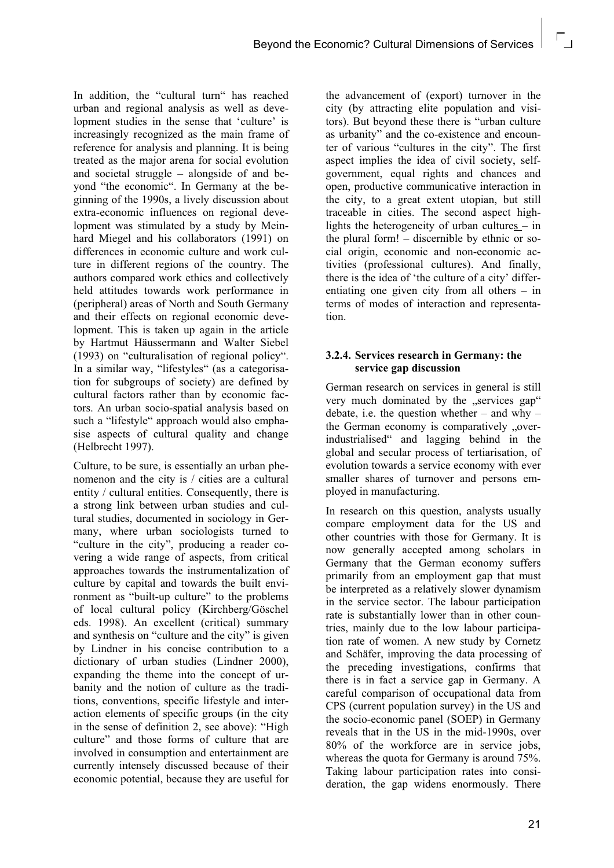In addition, the "cultural turn" has reached urban and regional analysis as well as development studies in the sense that 'culture' is increasingly recognized as the main frame of reference for analysis and planning. It is being treated as the major arena for social evolution and societal struggle – alongside of and beyond "the economic". In Germany at the beginning of the 1990s, a lively discussion about extra-economic influences on regional development was stimulated by a study by Meinhard Miegel and his collaborators (1991) on differences in economic culture and work culture in different regions of the country. The authors compared work ethics and collectively held attitudes towards work performance in (peripheral) areas of North and South Germany and their effects on regional economic development. This is taken up again in the article by Hartmut Häussermann and Walter Siebel (1993) on "culturalisation of regional policy". In a similar way, "lifestyles" (as a categorisation for subgroups of society) are defined by cultural factors rather than by economic factors. An urban socio-spatial analysis based on such a "lifestyle" approach would also emphasise aspects of cultural quality and change (Helbrecht 1997).

Culture, to be sure, is essentially an urban phenomenon and the city is / cities are a cultural entity / cultural entities. Consequently, there is a strong link between urban studies and cultural studies, documented in sociology in Germany, where urban sociologists turned to "culture in the city", producing a reader covering a wide range of aspects, from critical approaches towards the instrumentalization of culture by capital and towards the built environment as "built-up culture" to the problems of local cultural policy (Kirchberg/Göschel eds. 1998). An excellent (critical) summary and synthesis on "culture and the city" is given by Lindner in his concise contribution to a dictionary of urban studies (Lindner 2000), expanding the theme into the concept of urbanity and the notion of culture as the traditions, conventions, specific lifestyle and interaction elements of specific groups (in the city in the sense of definition 2, see above): "High culture" and those forms of culture that are involved in consumption and entertainment are currently intensely discussed because of their economic potential, because they are useful for

the advancement of (export) turnover in the city (by attracting elite population and visitors). But beyond these there is "urban culture as urbanity" and the co-existence and encounter of various "cultures in the city". The first aspect implies the idea of civil society, selfgovernment, equal rights and chances and open, productive communicative interaction in the city, to a great extent utopian, but still traceable in cities. The second aspect highlights the heterogeneity of urban cultures – in the plural form! – discernible by ethnic or social origin, economic and non-economic activities (professional cultures). And finally, there is the idea of 'the culture of a city' differentiating one given city from all others – in terms of modes of interaction and representation.

#### **3.2.4. Services research in Germany: the service gap discussion**

German research on services in general is still very much dominated by the "services gap" debate, i.e. the question whether – and why – the German economy is comparatively "overindustrialised" and lagging behind in the global and secular process of tertiarisation, of evolution towards a service economy with ever smaller shares of turnover and persons employed in manufacturing.

In research on this question, analysts usually compare employment data for the US and other countries with those for Germany. It is now generally accepted among scholars in Germany that the German economy suffers primarily from an employment gap that must be interpreted as a relatively slower dynamism in the service sector. The labour participation rate is substantially lower than in other countries, mainly due to the low labour participation rate of women. A new study by Cornetz and Schäfer, improving the data processing of the preceding investigations, confirms that there is in fact a service gap in Germany. A careful comparison of occupational data from CPS (current population survey) in the US and the socio-economic panel (SOEP) in Germany reveals that in the US in the mid-1990s, over 80% of the workforce are in service jobs, whereas the quota for Germany is around 75%. Taking labour participation rates into consideration, the gap widens enormously. There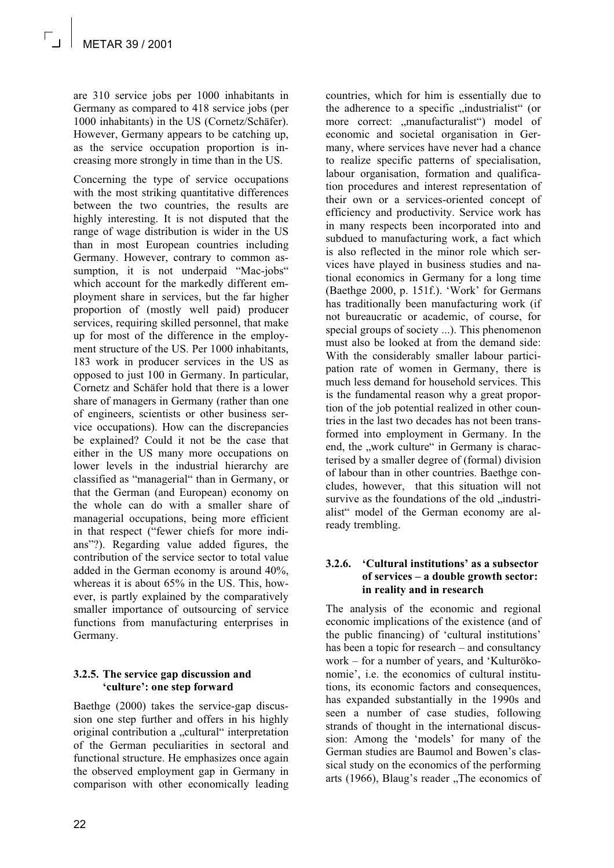are 310 service jobs per 1000 inhabitants in Germany as compared to 418 service jobs (per 1000 inhabitants) in the US (Cornetz/Schäfer). However, Germany appears to be catching up, as the service occupation proportion is increasing more strongly in time than in the US.

Concerning the type of service occupations with the most striking quantitative differences between the two countries, the results are highly interesting. It is not disputed that the range of wage distribution is wider in the US than in most European countries including Germany. However, contrary to common assumption, it is not underpaid "Mac-jobs" which account for the markedly different employment share in services, but the far higher proportion of (mostly well paid) producer services, requiring skilled personnel, that make up for most of the difference in the employment structure of the US. Per 1000 inhabitants, 183 work in producer services in the US as opposed to just 100 in Germany. In particular, Cornetz and Schäfer hold that there is a lower share of managers in Germany (rather than one of engineers, scientists or other business service occupations). How can the discrepancies be explained? Could it not be the case that either in the US many more occupations on lower levels in the industrial hierarchy are classified as "managerial" than in Germany, or that the German (and European) economy on the whole can do with a smaller share of managerial occupations, being more efficient in that respect ("fewer chiefs for more indians"?). Regarding value added figures, the contribution of the service sector to total value added in the German economy is around 40%, whereas it is about 65% in the US. This, however, is partly explained by the comparatively smaller importance of outsourcing of service functions from manufacturing enterprises in Germany.

#### **3.2.5. The service gap discussion and 'culture': one step forward**

Baethge (2000) takes the service-gap discussion one step further and offers in his highly original contribution a "cultural" interpretation of the German peculiarities in sectoral and functional structure. He emphasizes once again the observed employment gap in Germany in comparison with other economically leading countries, which for him is essentially due to the adherence to a specific "industrialist" (or more correct: "manufacturalist") model of economic and societal organisation in Germany, where services have never had a chance to realize specific patterns of specialisation, labour organisation, formation and qualification procedures and interest representation of their own or a services-oriented concept of efficiency and productivity. Service work has in many respects been incorporated into and subdued to manufacturing work, a fact which is also reflected in the minor role which services have played in business studies and national economics in Germany for a long time (Baethge 2000, p. 151f.). 'Work' for Germans has traditionally been manufacturing work (if not bureaucratic or academic, of course, for special groups of society ...). This phenomenon must also be looked at from the demand side: With the considerably smaller labour participation rate of women in Germany, there is much less demand for household services. This is the fundamental reason why a great proportion of the job potential realized in other countries in the last two decades has not been transformed into employment in Germany. In the end, the "work culture" in Germany is characterised by a smaller degree of (formal) division of labour than in other countries. Baethge concludes, however, that this situation will not survive as the foundations of the old "industrialist" model of the German economy are already trembling.

#### **3.2.6. 'Cultural institutions' as a subsector of services – a double growth sector: in reality and in research**

The analysis of the economic and regional economic implications of the existence (and of the public financing) of 'cultural institutions' has been a topic for research – and consultancy work – for a number of years, and 'Kulturökonomie', i.e. the economics of cultural institutions, its economic factors and consequences, has expanded substantially in the 1990s and seen a number of case studies, following strands of thought in the international discussion: Among the 'models' for many of the German studies are Baumol and Bowen's classical study on the economics of the performing arts (1966), Blaug's reader "The economics of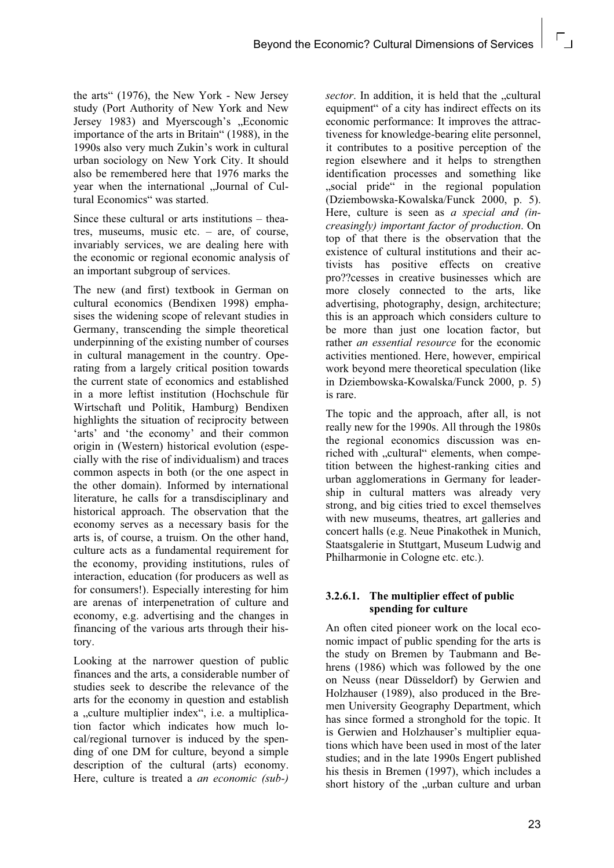the arts" (1976), the New York - New Jersey study (Port Authority of New York and New Jersey 1983) and Myerscough's "Economic importance of the arts in Britain" (1988), in the 1990s also very much Zukin's work in cultural urban sociology on New York City. It should also be remembered here that 1976 marks the year when the international .Journal of Cultural Economics" was started.

Since these cultural or arts institutions – theatres, museums, music etc.  $-$  are, of course, invariably services, we are dealing here with the economic or regional economic analysis of an important subgroup of services.

The new (and first) textbook in German on cultural economics (Bendixen 1998) emphasises the widening scope of relevant studies in Germany, transcending the simple theoretical underpinning of the existing number of courses in cultural management in the country. Operating from a largely critical position towards the current state of economics and established in a more leftist institution (Hochschule für Wirtschaft und Politik, Hamburg) Bendixen highlights the situation of reciprocity between 'arts' and 'the economy' and their common origin in (Western) historical evolution (especially with the rise of individualism) and traces common aspects in both (or the one aspect in the other domain). Informed by international literature, he calls for a transdisciplinary and historical approach. The observation that the economy serves as a necessary basis for the arts is, of course, a truism. On the other hand, culture acts as a fundamental requirement for the economy, providing institutions, rules of interaction, education (for producers as well as for consumers!). Especially interesting for him are arenas of interpenetration of culture and economy, e.g. advertising and the changes in financing of the various arts through their history.

Looking at the narrower question of public finances and the arts, a considerable number of studies seek to describe the relevance of the arts for the economy in question and establish a "culture multiplier index", i.e. a multiplication factor which indicates how much local/regional turnover is induced by the spending of one DM for culture, beyond a simple description of the cultural (arts) economy. Here, culture is treated a *an economic (sub-)*  sector. In addition, it is held that the "cultural equipment" of a city has indirect effects on its economic performance: It improves the attractiveness for knowledge-bearing elite personnel, it contributes to a positive perception of the region elsewhere and it helps to strengthen identification processes and something like ..social pride in the regional population (Dziembowska-Kowalska/Funck 2000, p. 5). Here, culture is seen as *a special and (increasingly) important factor of production*. On top of that there is the observation that the existence of cultural institutions and their activists has positive effects on creative pro??cesses in creative businesses which are more closely connected to the arts, like advertising, photography, design, architecture; this is an approach which considers culture to be more than just one location factor, but rather *an essential resource* for the economic activities mentioned. Here, however, empirical work beyond mere theoretical speculation (like in Dziembowska-Kowalska/Funck 2000, p. 5) is rare.

The topic and the approach, after all, is not really new for the 1990s. All through the 1980s the regional economics discussion was enriched with "cultural" elements, when competition between the highest-ranking cities and urban agglomerations in Germany for leadership in cultural matters was already very strong, and big cities tried to excel themselves with new museums, theatres, art galleries and concert halls (e.g. Neue Pinakothek in Munich, Staatsgalerie in Stuttgart, Museum Ludwig and Philharmonie in Cologne etc. etc.).

#### **3.2.6.1. The multiplier effect of public spending for culture**

An often cited pioneer work on the local economic impact of public spending for the arts is the study on Bremen by Taubmann and Behrens (1986) which was followed by the one on Neuss (near Düsseldorf) by Gerwien and Holzhauser (1989), also produced in the Bremen University Geography Department, which has since formed a stronghold for the topic. It is Gerwien and Holzhauser's multiplier equations which have been used in most of the later studies; and in the late 1990s Engert published his thesis in Bremen (1997), which includes a short history of the ..urban culture and urban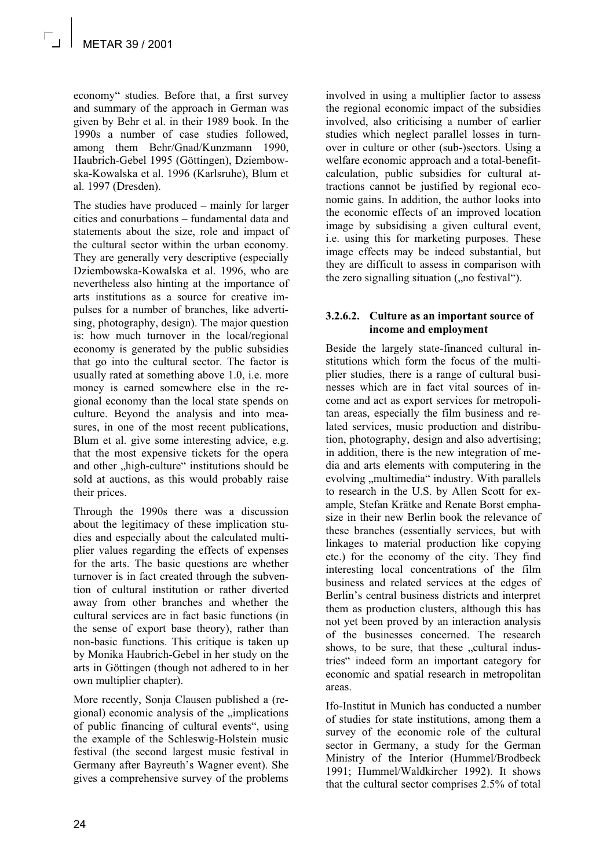economy" studies. Before that, a first survey and summary of the approach in German was given by Behr et al. in their 1989 book. In the 1990s a number of case studies followed, among them Behr/Gnad/Kunzmann 1990, Haubrich-Gebel 1995 (Göttingen), Dziembowska-Kowalska et al. 1996 (Karlsruhe), Blum et al. 1997 (Dresden).

The studies have produced – mainly for larger cities and conurbations – fundamental data and statements about the size, role and impact of the cultural sector within the urban economy. They are generally very descriptive (especially Dziembowska-Kowalska et al. 1996, who are nevertheless also hinting at the importance of arts institutions as a source for creative impulses for a number of branches, like advertising, photography, design). The major question is: how much turnover in the local/regional economy is generated by the public subsidies that go into the cultural sector. The factor is usually rated at something above 1.0, i.e. more money is earned somewhere else in the regional economy than the local state spends on culture. Beyond the analysis and into measures, in one of the most recent publications, Blum et al. give some interesting advice, e.g. that the most expensive tickets for the opera and other "high-culture" institutions should be sold at auctions, as this would probably raise their prices.

Through the 1990s there was a discussion about the legitimacy of these implication studies and especially about the calculated multiplier values regarding the effects of expenses for the arts. The basic questions are whether turnover is in fact created through the subvention of cultural institution or rather diverted away from other branches and whether the cultural services are in fact basic functions (in the sense of export base theory), rather than non-basic functions. This critique is taken up by Monika Haubrich-Gebel in her study on the arts in Göttingen (though not adhered to in her own multiplier chapter).

More recently, Sonja Clausen published a (regional) economic analysis of the "implications of public financing of cultural events", using the example of the Schleswig-Holstein music festival (the second largest music festival in Germany after Bayreuth's Wagner event). She gives a comprehensive survey of the problems involved in using a multiplier factor to assess the regional economic impact of the subsidies involved, also criticising a number of earlier studies which neglect parallel losses in turnover in culture or other (sub-)sectors. Using a welfare economic approach and a total-benefitcalculation, public subsidies for cultural attractions cannot be justified by regional economic gains. In addition, the author looks into the economic effects of an improved location image by subsidising a given cultural event, i.e. using this for marketing purposes. These image effects may be indeed substantial, but they are difficult to assess in comparison with the zero signalling situation  $($ . no festival $)$ .

#### **3.2.6.2. Culture as an important source of income and employment**

Beside the largely state-financed cultural institutions which form the focus of the multiplier studies, there is a range of cultural businesses which are in fact vital sources of income and act as export services for metropolitan areas, especially the film business and related services, music production and distribution, photography, design and also advertising; in addition, there is the new integration of media and arts elements with computering in the evolving "multimedia" industry. With parallels to research in the U.S. by Allen Scott for example, Stefan Krätke and Renate Borst emphasize in their new Berlin book the relevance of these branches (essentially services, but with linkages to material production like copying etc.) for the economy of the city. They find interesting local concentrations of the film business and related services at the edges of Berlin's central business districts and interpret them as production clusters, although this has not yet been proved by an interaction analysis of the businesses concerned. The research shows, to be sure, that these "cultural industries" indeed form an important category for economic and spatial research in metropolitan areas.

Ifo-Institut in Munich has conducted a number of studies for state institutions, among them a survey of the economic role of the cultural sector in Germany, a study for the German Ministry of the Interior (Hummel/Brodbeck 1991; Hummel/Waldkircher 1992). It shows that the cultural sector comprises 2.5% of total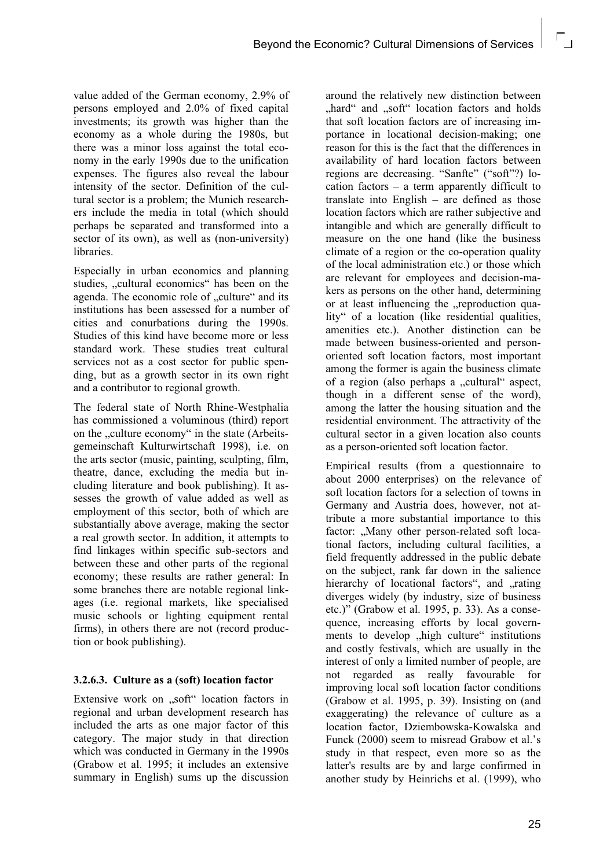value added of the German economy, 2.9% of persons employed and 2.0% of fixed capital investments; its growth was higher than the economy as a whole during the 1980s, but there was a minor loss against the total economy in the early 1990s due to the unification expenses. The figures also reveal the labour intensity of the sector. Definition of the cultural sector is a problem; the Munich researchers include the media in total (which should perhaps be separated and transformed into a sector of its own), as well as (non-university) libraries.

Especially in urban economics and planning studies, "cultural economics" has been on the agenda. The economic role of "culture" and its institutions has been assessed for a number of cities and conurbations during the 1990s. Studies of this kind have become more or less standard work. These studies treat cultural services not as a cost sector for public spending, but as a growth sector in its own right and a contributor to regional growth.

The federal state of North Rhine-Westphalia has commissioned a voluminous (third) report on the "culture economy" in the state (Arbeitsgemeinschaft Kulturwirtschaft 1998), i.e. on the arts sector (music, painting, sculpting, film, theatre, dance, excluding the media but including literature and book publishing). It assesses the growth of value added as well as employment of this sector, both of which are substantially above average, making the sector a real growth sector. In addition, it attempts to find linkages within specific sub-sectors and between these and other parts of the regional economy; these results are rather general: In some branches there are notable regional linkages (i.e. regional markets, like specialised music schools or lighting equipment rental firms), in others there are not (record production or book publishing).

#### **3.2.6.3. Culture as a (soft) location factor**

Extensive work on "soft" location factors in regional and urban development research has included the arts as one major factor of this category. The major study in that direction which was conducted in Germany in the 1990s (Grabow et al. 1995; it includes an extensive summary in English) sums up the discussion around the relatively new distinction between "hard" and "soft" location factors and holds that soft location factors are of increasing importance in locational decision-making; one reason for this is the fact that the differences in availability of hard location factors between regions are decreasing. "Sanfte" ("soft"?) location factors – a term apparently difficult to translate into English – are defined as those location factors which are rather subjective and intangible and which are generally difficult to measure on the one hand (like the business climate of a region or the co-operation quality of the local administration etc.) or those which are relevant for employees and decision-makers as persons on the other hand, determining or at least influencing the ...reproduction quality" of a location (like residential qualities, amenities etc.). Another distinction can be made between business-oriented and personoriented soft location factors, most important among the former is again the business climate of a region (also perhaps a "cultural" aspect, though in a different sense of the word), among the latter the housing situation and the residential environment. The attractivity of the cultural sector in a given location also counts as a person-oriented soft location factor.

Empirical results (from a questionnaire to about 2000 enterprises) on the relevance of soft location factors for a selection of towns in Germany and Austria does, however, not attribute a more substantial importance to this factor: "Many other person-related soft locational factors, including cultural facilities, a field frequently addressed in the public debate on the subject, rank far down in the salience hierarchy of locational factors", and "rating diverges widely (by industry, size of business etc.)" (Grabow et al. 1995, p. 33). As a consequence, increasing efforts by local governments to develop "high culture" institutions and costly festivals, which are usually in the interest of only a limited number of people, are not regarded as really favourable for improving local soft location factor conditions (Grabow et al. 1995, p. 39). Insisting on (and exaggerating) the relevance of culture as a location factor, Dziembowska-Kowalska and Funck (2000) seem to misread Grabow et al.'s study in that respect, even more so as the latter's results are by and large confirmed in another study by Heinrichs et al. (1999), who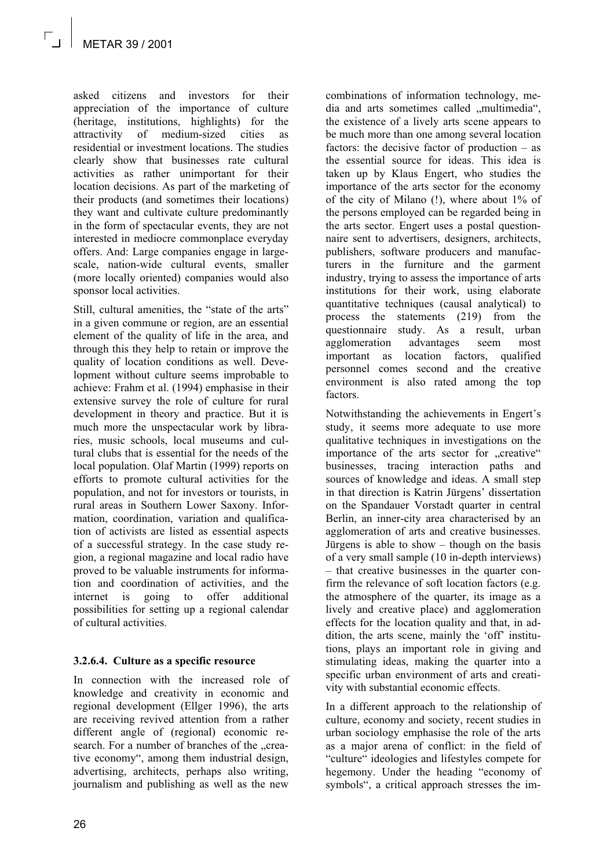asked citizens and investors for their appreciation of the importance of culture (heritage, institutions, highlights) for the attractivity of medium-sized cities as residential or investment locations. The studies clearly show that businesses rate cultural activities as rather unimportant for their location decisions. As part of the marketing of their products (and sometimes their locations) they want and cultivate culture predominantly in the form of spectacular events, they are not interested in mediocre commonplace everyday offers. And: Large companies engage in largescale, nation-wide cultural events, smaller (more locally oriented) companies would also sponsor local activities.

Still, cultural amenities, the "state of the arts" in a given commune or region, are an essential element of the quality of life in the area, and through this they help to retain or improve the quality of location conditions as well. Development without culture seems improbable to achieve: Frahm et al. (1994) emphasise in their extensive survey the role of culture for rural development in theory and practice. But it is much more the unspectacular work by libraries, music schools, local museums and cultural clubs that is essential for the needs of the local population. Olaf Martin (1999) reports on efforts to promote cultural activities for the population, and not for investors or tourists, in rural areas in Southern Lower Saxony. Information, coordination, variation and qualification of activists are listed as essential aspects of a successful strategy. In the case study region, a regional magazine and local radio have proved to be valuable instruments for information and coordination of activities, and the internet is going to offer additional possibilities for setting up a regional calendar of cultural activities.

#### **3.2.6.4. Culture as a specific resource**

In connection with the increased role of knowledge and creativity in economic and regional development (Ellger 1996), the arts are receiving revived attention from a rather different angle of (regional) economic research. For a number of branches of the "creative economy", among them industrial design, advertising, architects, perhaps also writing, journalism and publishing as well as the new

combinations of information technology, media and arts sometimes called "multimedia", the existence of a lively arts scene appears to be much more than one among several location factors: the decisive factor of production  $-$  as the essential source for ideas. This idea is taken up by Klaus Engert, who studies the importance of the arts sector for the economy of the city of Milano (!), where about 1% of the persons employed can be regarded being in the arts sector. Engert uses a postal questionnaire sent to advertisers, designers, architects, publishers, software producers and manufacturers in the furniture and the garment industry, trying to assess the importance of arts institutions for their work, using elaborate quantitative techniques (causal analytical) to process the statements (219) from the questionnaire study. As a result, urban agglomeration advantages seem most important as location factors, qualified personnel comes second and the creative environment is also rated among the top factors.

Notwithstanding the achievements in Engert's study, it seems more adequate to use more qualitative techniques in investigations on the importance of the arts sector for "creative" businesses, tracing interaction paths and sources of knowledge and ideas. A small step in that direction is Katrin Jürgens' dissertation on the Spandauer Vorstadt quarter in central Berlin, an inner-city area characterised by an agglomeration of arts and creative businesses. Jürgens is able to show – though on the basis of a very small sample (10 in-depth interviews) – that creative businesses in the quarter confirm the relevance of soft location factors (e.g. the atmosphere of the quarter, its image as a lively and creative place) and agglomeration effects for the location quality and that, in addition, the arts scene, mainly the 'off' institutions, plays an important role in giving and stimulating ideas, making the quarter into a specific urban environment of arts and creativity with substantial economic effects.

In a different approach to the relationship of culture, economy and society, recent studies in urban sociology emphasise the role of the arts as a major arena of conflict: in the field of "culture" ideologies and lifestyles compete for hegemony. Under the heading "economy of symbols", a critical approach stresses the im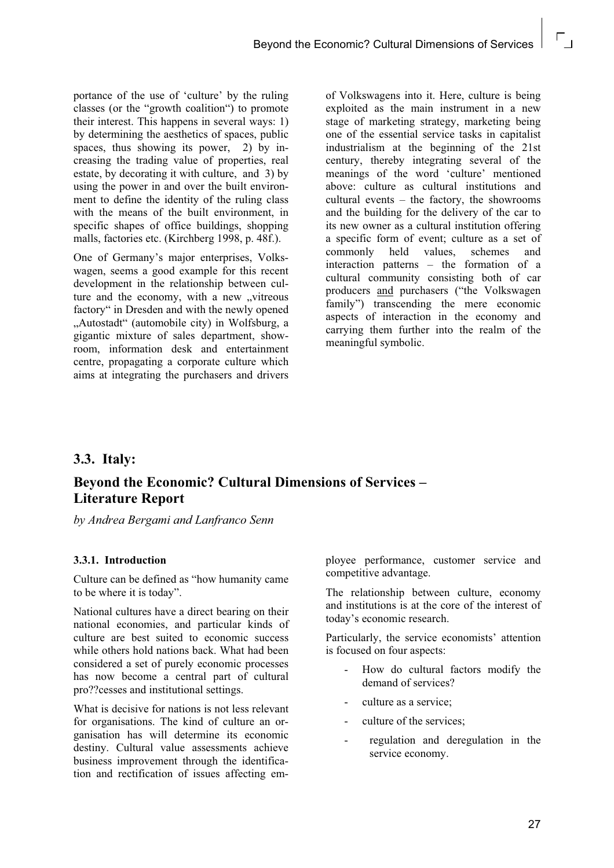portance of the use of 'culture' by the ruling classes (or the "growth coalition") to promote their interest. This happens in several ways: 1) by determining the aesthetics of spaces, public spaces, thus showing its power, 2) by increasing the trading value of properties, real estate, by decorating it with culture, and 3) by using the power in and over the built environment to define the identity of the ruling class with the means of the built environment, in specific shapes of office buildings, shopping malls, factories etc. (Kirchberg 1998, p. 48f.).

One of Germany's major enterprises, Volkswagen, seems a good example for this recent development in the relationship between culture and the economy, with a new "vitreous factory" in Dresden and with the newly opened "Autostadt" (automobile city) in Wolfsburg, a gigantic mixture of sales department, showroom, information desk and entertainment centre, propagating a corporate culture which aims at integrating the purchasers and drivers

of Volkswagens into it. Here, culture is being exploited as the main instrument in a new stage of marketing strategy, marketing being one of the essential service tasks in capitalist industrialism at the beginning of the 21st century, thereby integrating several of the meanings of the word 'culture' mentioned above: culture as cultural institutions and cultural events – the factory, the showrooms and the building for the delivery of the car to its new owner as a cultural institution offering a specific form of event; culture as a set of commonly held values, schemes and interaction patterns – the formation of a cultural community consisting both of car producers and purchasers ("the Volkswagen family") transcending the mere economic aspects of interaction in the economy and carrying them further into the realm of the meaningful symbolic.

## **3.3. Italy:**

## **Beyond the Economic? Cultural Dimensions of Services – Literature Report**

*by Andrea Bergami and Lanfranco Senn* 

#### **3.3.1. Introduction**

Culture can be defined as "how humanity came to be where it is today".

National cultures have a direct bearing on their national economies, and particular kinds of culture are best suited to economic success while others hold nations back. What had been considered a set of purely economic processes has now become a central part of cultural pro??cesses and institutional settings.

What is decisive for nations is not less relevant for organisations. The kind of culture an organisation has will determine its economic destiny. Cultural value assessments achieve business improvement through the identification and rectification of issues affecting employee performance, customer service and competitive advantage.

The relationship between culture, economy and institutions is at the core of the interest of today's economic research.

Particularly, the service economists' attention is focused on four aspects:

- How do cultural factors modify the demand of services?
- culture as a service;
- culture of the services;
- regulation and deregulation in the service economy.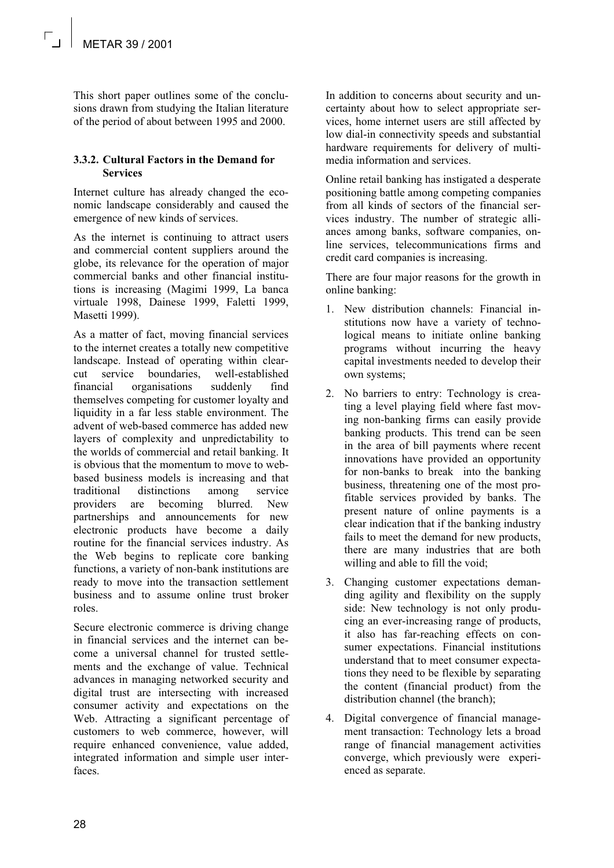This short paper outlines some of the conclusions drawn from studying the Italian literature of the period of about between 1995 and 2000.

#### **3.3.2. Cultural Factors in the Demand for Services**

Internet culture has already changed the economic landscape considerably and caused the emergence of new kinds of services.

As the internet is continuing to attract users and commercial content suppliers around the globe, its relevance for the operation of major commercial banks and other financial institutions is increasing (Magimi 1999, La banca virtuale 1998, Dainese 1999, Faletti 1999, Masetti 1999).

As a matter of fact, moving financial services to the internet creates a totally new competitive landscape. Instead of operating within clearcut service boundaries, well-established financial organisations suddenly find themselves competing for customer loyalty and liquidity in a far less stable environment. The advent of web-based commerce has added new layers of complexity and unpredictability to the worlds of commercial and retail banking. It is obvious that the momentum to move to webbased business models is increasing and that traditional distinctions among service providers are becoming blurred. New partnerships and announcements for new electronic products have become a daily routine for the financial services industry. As the Web begins to replicate core banking functions, a variety of non-bank institutions are ready to move into the transaction settlement business and to assume online trust broker roles.

Secure electronic commerce is driving change in financial services and the internet can become a universal channel for trusted settlements and the exchange of value. Technical advances in managing networked security and digital trust are intersecting with increased consumer activity and expectations on the Web. Attracting a significant percentage of customers to web commerce, however, will require enhanced convenience, value added, integrated information and simple user interfaces.

In addition to concerns about security and uncertainty about how to select appropriate services, home internet users are still affected by low dial-in connectivity speeds and substantial hardware requirements for delivery of multimedia information and services.

Online retail banking has instigated a desperate positioning battle among competing companies from all kinds of sectors of the financial services industry. The number of strategic alliances among banks, software companies, online services, telecommunications firms and credit card companies is increasing.

There are four major reasons for the growth in online banking:

- 1. New distribution channels: Financial institutions now have a variety of technological means to initiate online banking programs without incurring the heavy capital investments needed to develop their own systems;
- 2. No barriers to entry: Technology is creating a level playing field where fast moving non-banking firms can easily provide banking products. This trend can be seen in the area of bill payments where recent innovations have provided an opportunity for non-banks to break into the banking business, threatening one of the most profitable services provided by banks. The present nature of online payments is a clear indication that if the banking industry fails to meet the demand for new products, there are many industries that are both willing and able to fill the void;
- 3. Changing customer expectations demanding agility and flexibility on the supply side: New technology is not only producing an ever-increasing range of products, it also has far-reaching effects on consumer expectations. Financial institutions understand that to meet consumer expectations they need to be flexible by separating the content (financial product) from the distribution channel (the branch);
- 4. Digital convergence of financial management transaction: Technology lets a broad range of financial management activities converge, which previously were experienced as separate.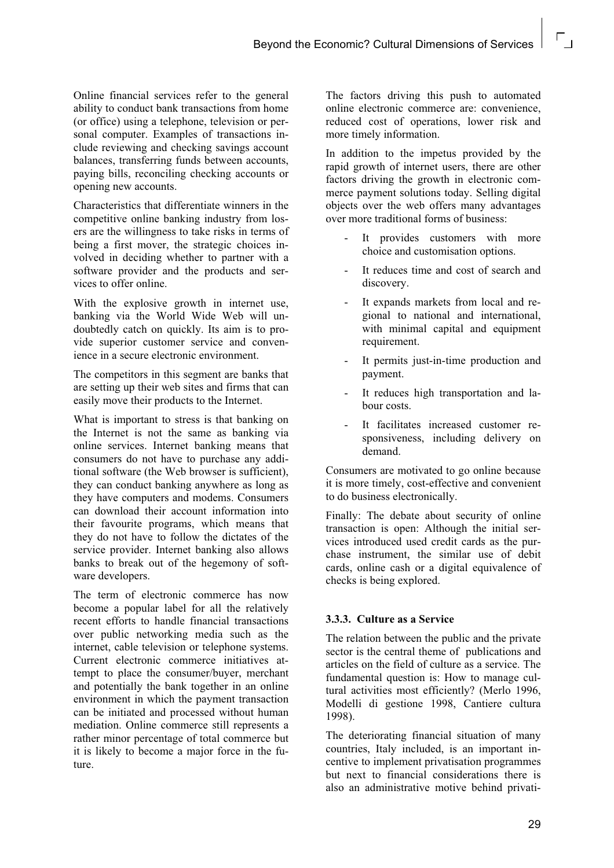Online financial services refer to the general ability to conduct bank transactions from home (or office) using a telephone, television or personal computer. Examples of transactions include reviewing and checking savings account balances, transferring funds between accounts, paying bills, reconciling checking accounts or opening new accounts.

Characteristics that differentiate winners in the competitive online banking industry from losers are the willingness to take risks in terms of being a first mover, the strategic choices involved in deciding whether to partner with a software provider and the products and services to offer online.

With the explosive growth in internet use, banking via the World Wide Web will undoubtedly catch on quickly. Its aim is to provide superior customer service and convenience in a secure electronic environment.

The competitors in this segment are banks that are setting up their web sites and firms that can easily move their products to the Internet.

What is important to stress is that banking on the Internet is not the same as banking via online services. Internet banking means that consumers do not have to purchase any additional software (the Web browser is sufficient), they can conduct banking anywhere as long as they have computers and modems. Consumers can download their account information into their favourite programs, which means that they do not have to follow the dictates of the service provider. Internet banking also allows banks to break out of the hegemony of software developers.

The term of electronic commerce has now become a popular label for all the relatively recent efforts to handle financial transactions over public networking media such as the internet, cable television or telephone systems. Current electronic commerce initiatives attempt to place the consumer/buyer, merchant and potentially the bank together in an online environment in which the payment transaction can be initiated and processed without human mediation. Online commerce still represents a rather minor percentage of total commerce but it is likely to become a major force in the future.

The factors driving this push to automated online electronic commerce are: convenience, reduced cost of operations, lower risk and more timely information.

In addition to the impetus provided by the rapid growth of internet users, there are other factors driving the growth in electronic commerce payment solutions today. Selling digital objects over the web offers many advantages over more traditional forms of business:

- It provides customers with more choice and customisation options.
- It reduces time and cost of search and discovery.
- It expands markets from local and regional to national and international, with minimal capital and equipment requirement.
- It permits just-in-time production and payment.
- It reduces high transportation and labour costs.
- It facilitates increased customer responsiveness, including delivery on demand.

Consumers are motivated to go online because it is more timely, cost-effective and convenient to do business electronically.

Finally: The debate about security of online transaction is open: Although the initial services introduced used credit cards as the purchase instrument, the similar use of debit cards, online cash or a digital equivalence of checks is being explored.

#### **3.3.3. Culture as a Service**

The relation between the public and the private sector is the central theme of publications and articles on the field of culture as a service. The fundamental question is: How to manage cultural activities most efficiently? (Merlo 1996, Modelli di gestione 1998, Cantiere cultura 1998).

The deteriorating financial situation of many countries, Italy included, is an important incentive to implement privatisation programmes but next to financial considerations there is also an administrative motive behind privati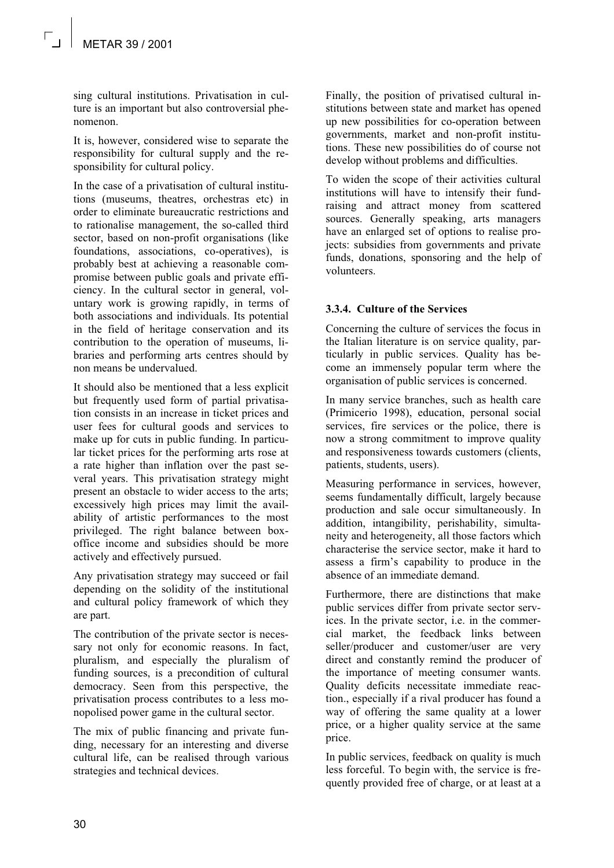sing cultural institutions. Privatisation in culture is an important but also controversial phenomenon.

It is, however, considered wise to separate the responsibility for cultural supply and the responsibility for cultural policy.

In the case of a privatisation of cultural institutions (museums, theatres, orchestras etc) in order to eliminate bureaucratic restrictions and to rationalise management, the so-called third sector, based on non-profit organisations (like foundations, associations, co-operatives), is probably best at achieving a reasonable compromise between public goals and private efficiency. In the cultural sector in general, voluntary work is growing rapidly, in terms of both associations and individuals. Its potential in the field of heritage conservation and its contribution to the operation of museums, libraries and performing arts centres should by non means be undervalued.

It should also be mentioned that a less explicit but frequently used form of partial privatisation consists in an increase in ticket prices and user fees for cultural goods and services to make up for cuts in public funding. In particular ticket prices for the performing arts rose at a rate higher than inflation over the past several years. This privatisation strategy might present an obstacle to wider access to the arts; excessively high prices may limit the availability of artistic performances to the most privileged. The right balance between boxoffice income and subsidies should be more actively and effectively pursued.

Any privatisation strategy may succeed or fail depending on the solidity of the institutional and cultural policy framework of which they are part.

The contribution of the private sector is necessary not only for economic reasons. In fact, pluralism, and especially the pluralism of funding sources, is a precondition of cultural democracy. Seen from this perspective, the privatisation process contributes to a less monopolised power game in the cultural sector.

The mix of public financing and private funding, necessary for an interesting and diverse cultural life, can be realised through various strategies and technical devices.

Finally, the position of privatised cultural institutions between state and market has opened up new possibilities for co-operation between governments, market and non-profit institutions. These new possibilities do of course not develop without problems and difficulties.

To widen the scope of their activities cultural institutions will have to intensify their fundraising and attract money from scattered sources. Generally speaking, arts managers have an enlarged set of options to realise projects: subsidies from governments and private funds, donations, sponsoring and the help of volunteers.

#### **3.3.4. Culture of the Services**

Concerning the culture of services the focus in the Italian literature is on service quality, particularly in public services. Quality has become an immensely popular term where the organisation of public services is concerned.

In many service branches, such as health care (Primicerio 1998), education, personal social services, fire services or the police, there is now a strong commitment to improve quality and responsiveness towards customers (clients, patients, students, users).

Measuring performance in services, however, seems fundamentally difficult, largely because production and sale occur simultaneously. In addition, intangibility, perishability, simultaneity and heterogeneity, all those factors which characterise the service sector, make it hard to assess a firm's capability to produce in the absence of an immediate demand.

Furthermore, there are distinctions that make public services differ from private sector services. In the private sector, i.e. in the commercial market, the feedback links between seller/producer and customer/user are very direct and constantly remind the producer of the importance of meeting consumer wants. Quality deficits necessitate immediate reaction., especially if a rival producer has found a way of offering the same quality at a lower price, or a higher quality service at the same price.

In public services, feedback on quality is much less forceful. To begin with, the service is frequently provided free of charge, or at least at a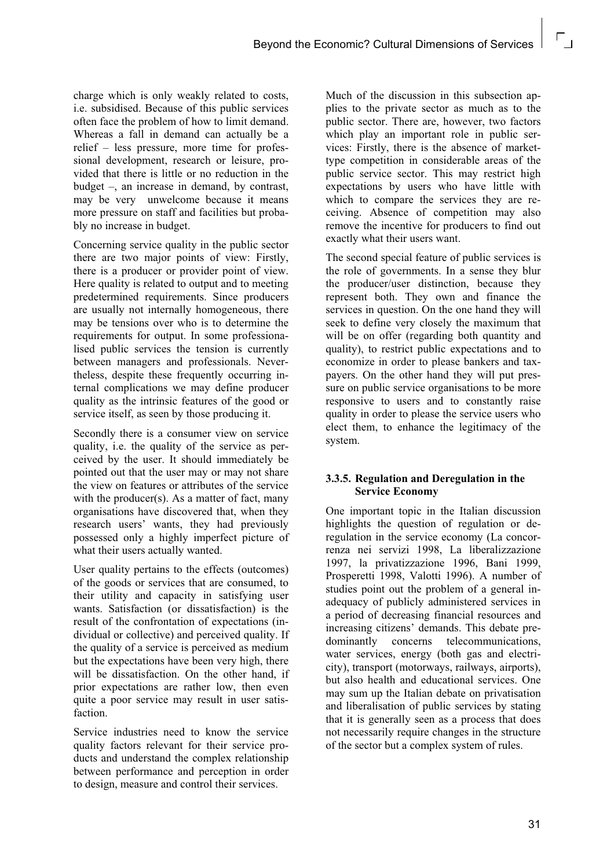charge which is only weakly related to costs, i.e. subsidised. Because of this public services often face the problem of how to limit demand. Whereas a fall in demand can actually be a relief – less pressure, more time for professional development, research or leisure, provided that there is little or no reduction in the budget –, an increase in demand, by contrast, may be very unwelcome because it means more pressure on staff and facilities but probably no increase in budget.

Concerning service quality in the public sector there are two major points of view: Firstly, there is a producer or provider point of view. Here quality is related to output and to meeting predetermined requirements. Since producers are usually not internally homogeneous, there may be tensions over who is to determine the requirements for output. In some professionalised public services the tension is currently between managers and professionals. Nevertheless, despite these frequently occurring internal complications we may define producer quality as the intrinsic features of the good or service itself, as seen by those producing it.

Secondly there is a consumer view on service quality, i.e. the quality of the service as perceived by the user. It should immediately be pointed out that the user may or may not share the view on features or attributes of the service with the producer(s). As a matter of fact, many organisations have discovered that, when they research users' wants, they had previously possessed only a highly imperfect picture of what their users actually wanted.

User quality pertains to the effects (outcomes) of the goods or services that are consumed, to their utility and capacity in satisfying user wants. Satisfaction (or dissatisfaction) is the result of the confrontation of expectations (individual or collective) and perceived quality. If the quality of a service is perceived as medium but the expectations have been very high, there will be dissatisfaction. On the other hand, if prior expectations are rather low, then even quite a poor service may result in user satisfaction.

Service industries need to know the service quality factors relevant for their service products and understand the complex relationship between performance and perception in order to design, measure and control their services.

Much of the discussion in this subsection applies to the private sector as much as to the public sector. There are, however, two factors which play an important role in public services: Firstly, there is the absence of markettype competition in considerable areas of the public service sector. This may restrict high expectations by users who have little with which to compare the services they are receiving. Absence of competition may also remove the incentive for producers to find out exactly what their users want.

The second special feature of public services is the role of governments. In a sense they blur the producer/user distinction, because they represent both. They own and finance the services in question. On the one hand they will seek to define very closely the maximum that will be on offer (regarding both quantity and quality), to restrict public expectations and to economize in order to please bankers and taxpayers. On the other hand they will put pressure on public service organisations to be more responsive to users and to constantly raise quality in order to please the service users who elect them, to enhance the legitimacy of the system.

#### **3.3.5. Regulation and Deregulation in the Service Economy**

One important topic in the Italian discussion highlights the question of regulation or deregulation in the service economy (La concorrenza nei servizi 1998, La liberalizzazione 1997, la privatizzazione 1996, Bani 1999, Prosperetti 1998, Valotti 1996). A number of studies point out the problem of a general inadequacy of publicly administered services in a period of decreasing financial resources and increasing citizens' demands. This debate predominantly concerns telecommunications, water services, energy (both gas and electricity), transport (motorways, railways, airports), but also health and educational services. One may sum up the Italian debate on privatisation and liberalisation of public services by stating that it is generally seen as a process that does not necessarily require changes in the structure of the sector but a complex system of rules.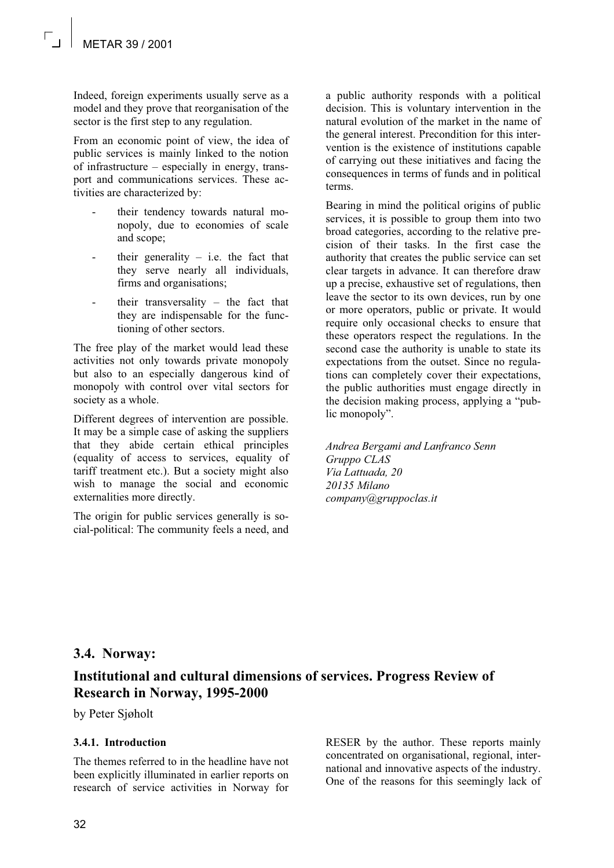Indeed, foreign experiments usually serve as a model and they prove that reorganisation of the sector is the first step to any regulation.

From an economic point of view, the idea of public services is mainly linked to the notion of infrastructure – especially in energy, transport and communications services. These activities are characterized by:

- their tendency towards natural monopoly, due to economies of scale and scope;
- their generality i.e. the fact that they serve nearly all individuals, firms and organisations;
- their transversality the fact that they are indispensable for the functioning of other sectors.

The free play of the market would lead these activities not only towards private monopoly but also to an especially dangerous kind of monopoly with control over vital sectors for society as a whole.

Different degrees of intervention are possible. It may be a simple case of asking the suppliers that they abide certain ethical principles (equality of access to services, equality of tariff treatment etc.). But a society might also wish to manage the social and economic externalities more directly.

The origin for public services generally is social-political: The community feels a need, and a public authority responds with a political decision. This is voluntary intervention in the natural evolution of the market in the name of the general interest. Precondition for this intervention is the existence of institutions capable of carrying out these initiatives and facing the consequences in terms of funds and in political terms.

Bearing in mind the political origins of public services, it is possible to group them into two broad categories, according to the relative precision of their tasks. In the first case the authority that creates the public service can set clear targets in advance. It can therefore draw up a precise, exhaustive set of regulations, then leave the sector to its own devices, run by one or more operators, public or private. It would require only occasional checks to ensure that these operators respect the regulations. In the second case the authority is unable to state its expectations from the outset. Since no regulations can completely cover their expectations, the public authorities must engage directly in the decision making process, applying a "public monopoly".

*Andrea Bergami and Lanfranco Senn Gruppo CLAS Via Lattuada, 20 20135 Milano company@gruppoclas.it*

#### **3.4. Norway:**

## **Institutional and cultural dimensions of services. Progress Review of Research in Norway, 1995-2000**

by Peter Sjøholt

#### **3.4.1. Introduction**

The themes referred to in the headline have not been explicitly illuminated in earlier reports on research of service activities in Norway for

RESER by the author. These reports mainly concentrated on organisational, regional, international and innovative aspects of the industry. One of the reasons for this seemingly lack of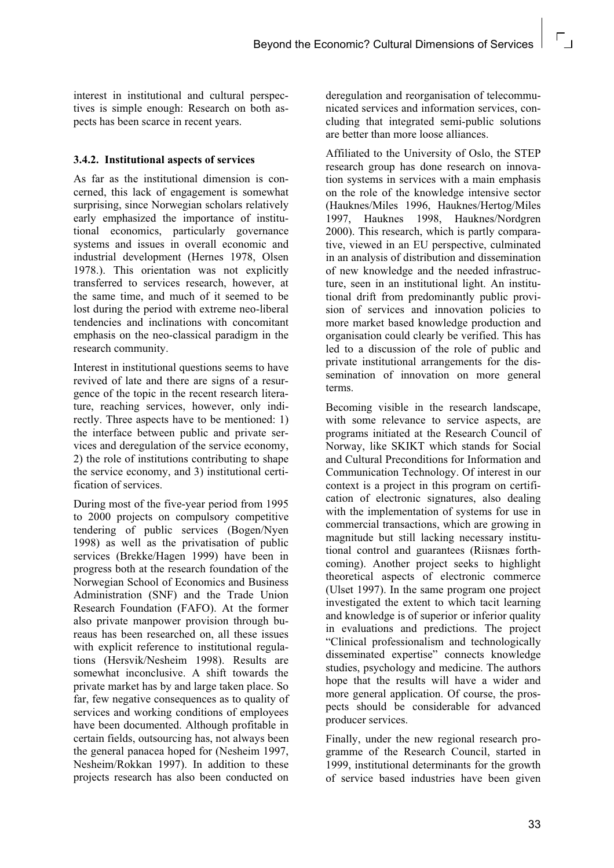interest in institutional and cultural perspectives is simple enough: Research on both aspects has been scarce in recent years.

#### **3.4.2. Institutional aspects of services**

As far as the institutional dimension is concerned, this lack of engagement is somewhat surprising, since Norwegian scholars relatively early emphasized the importance of institutional economics, particularly governance systems and issues in overall economic and industrial development (Hernes 1978, Olsen 1978.). This orientation was not explicitly transferred to services research, however, at the same time, and much of it seemed to be lost during the period with extreme neo-liberal tendencies and inclinations with concomitant emphasis on the neo-classical paradigm in the research community.

Interest in institutional questions seems to have revived of late and there are signs of a resurgence of the topic in the recent research literature, reaching services, however, only indirectly. Three aspects have to be mentioned: 1) the interface between public and private services and deregulation of the service economy, 2) the role of institutions contributing to shape the service economy, and 3) institutional certification of services.

During most of the five-year period from 1995 to 2000 projects on compulsory competitive tendering of public services (Bogen/Nyen 1998) as well as the privatisation of public services (Brekke/Hagen 1999) have been in progress both at the research foundation of the Norwegian School of Economics and Business Administration (SNF) and the Trade Union Research Foundation (FAFO). At the former also private manpower provision through bureaus has been researched on, all these issues with explicit reference to institutional regulations (Hersvik/Nesheim 1998). Results are somewhat inconclusive. A shift towards the private market has by and large taken place. So far, few negative consequences as to quality of services and working conditions of employees have been documented. Although profitable in certain fields, outsourcing has, not always been the general panacea hoped for (Nesheim 1997, Nesheim/Rokkan 1997). In addition to these projects research has also been conducted on

deregulation and reorganisation of telecommunicated services and information services, concluding that integrated semi-public solutions are better than more loose alliances.

Affiliated to the University of Oslo, the STEP research group has done research on innovation systems in services with a main emphasis on the role of the knowledge intensive sector (Hauknes/Miles 1996, Hauknes/Hertog/Miles 1997, Hauknes 1998, Hauknes/Nordgren 2000). This research, which is partly comparative, viewed in an EU perspective, culminated in an analysis of distribution and dissemination of new knowledge and the needed infrastructure, seen in an institutional light. An institutional drift from predominantly public provision of services and innovation policies to more market based knowledge production and organisation could clearly be verified. This has led to a discussion of the role of public and private institutional arrangements for the dissemination of innovation on more general terms.

Becoming visible in the research landscape, with some relevance to service aspects, are programs initiated at the Research Council of Norway, like SKIKT which stands for Social and Cultural Preconditions for Information and Communication Technology. Of interest in our context is a project in this program on certification of electronic signatures, also dealing with the implementation of systems for use in commercial transactions, which are growing in magnitude but still lacking necessary institutional control and guarantees (Riisnæs forthcoming). Another project seeks to highlight theoretical aspects of electronic commerce (Ulset 1997). In the same program one project investigated the extent to which tacit learning and knowledge is of superior or inferior quality in evaluations and predictions. The project "Clinical professionalism and technologically disseminated expertise" connects knowledge studies, psychology and medicine. The authors hope that the results will have a wider and more general application. Of course, the prospects should be considerable for advanced producer services.

Finally, under the new regional research programme of the Research Council, started in 1999, institutional determinants for the growth of service based industries have been given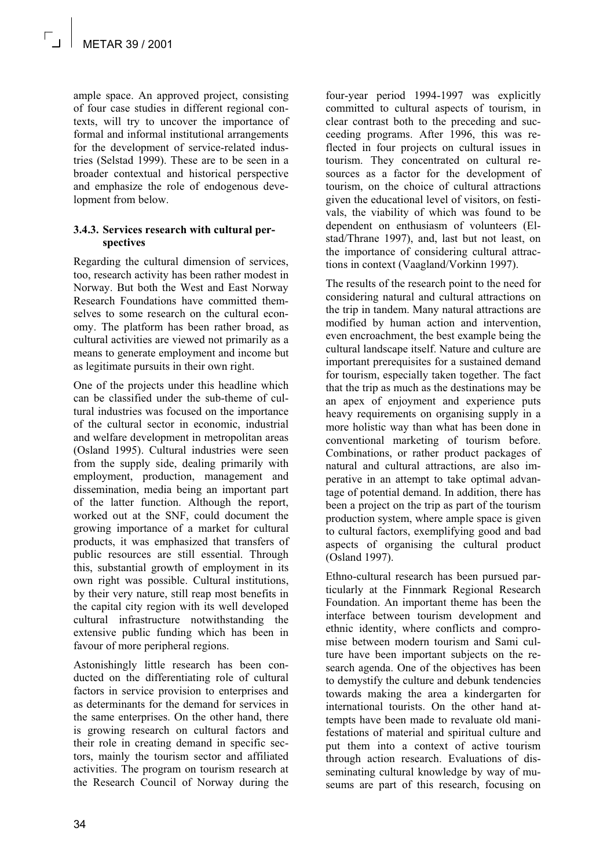ample space. An approved project, consisting of four case studies in different regional contexts, will try to uncover the importance of formal and informal institutional arrangements for the development of service-related industries (Selstad 1999). These are to be seen in a broader contextual and historical perspective and emphasize the role of endogenous development from below.

#### **3.4.3. Services research with cultural perspectives**

Regarding the cultural dimension of services, too, research activity has been rather modest in Norway. But both the West and East Norway Research Foundations have committed themselves to some research on the cultural economy. The platform has been rather broad, as cultural activities are viewed not primarily as a means to generate employment and income but as legitimate pursuits in their own right.

One of the projects under this headline which can be classified under the sub-theme of cultural industries was focused on the importance of the cultural sector in economic, industrial and welfare development in metropolitan areas (Osland 1995). Cultural industries were seen from the supply side, dealing primarily with employment, production, management and dissemination, media being an important part of the latter function. Although the report, worked out at the SNF, could document the growing importance of a market for cultural products, it was emphasized that transfers of public resources are still essential. Through this, substantial growth of employment in its own right was possible. Cultural institutions, by their very nature, still reap most benefits in the capital city region with its well developed cultural infrastructure notwithstanding the extensive public funding which has been in favour of more peripheral regions.

Astonishingly little research has been conducted on the differentiating role of cultural factors in service provision to enterprises and as determinants for the demand for services in the same enterprises. On the other hand, there is growing research on cultural factors and their role in creating demand in specific sectors, mainly the tourism sector and affiliated activities. The program on tourism research at the Research Council of Norway during the

four-year period 1994-1997 was explicitly committed to cultural aspects of tourism, in clear contrast both to the preceding and succeeding programs. After 1996, this was reflected in four projects on cultural issues in tourism. They concentrated on cultural resources as a factor for the development of tourism, on the choice of cultural attractions given the educational level of visitors, on festivals, the viability of which was found to be dependent on enthusiasm of volunteers (Elstad/Thrane 1997), and, last but not least, on the importance of considering cultural attractions in context (Vaagland/Vorkinn 1997).

The results of the research point to the need for considering natural and cultural attractions on the trip in tandem. Many natural attractions are modified by human action and intervention, even encroachment, the best example being the cultural landscape itself. Nature and culture are important prerequisites for a sustained demand for tourism, especially taken together. The fact that the trip as much as the destinations may be an apex of enjoyment and experience puts heavy requirements on organising supply in a more holistic way than what has been done in conventional marketing of tourism before. Combinations, or rather product packages of natural and cultural attractions, are also imperative in an attempt to take optimal advantage of potential demand. In addition, there has been a project on the trip as part of the tourism production system, where ample space is given to cultural factors, exemplifying good and bad aspects of organising the cultural product (Osland 1997).

Ethno-cultural research has been pursued particularly at the Finnmark Regional Research Foundation. An important theme has been the interface between tourism development and ethnic identity, where conflicts and compromise between modern tourism and Sami culture have been important subjects on the research agenda. One of the objectives has been to demystify the culture and debunk tendencies towards making the area a kindergarten for international tourists. On the other hand attempts have been made to revaluate old manifestations of material and spiritual culture and put them into a context of active tourism through action research. Evaluations of disseminating cultural knowledge by way of museums are part of this research, focusing on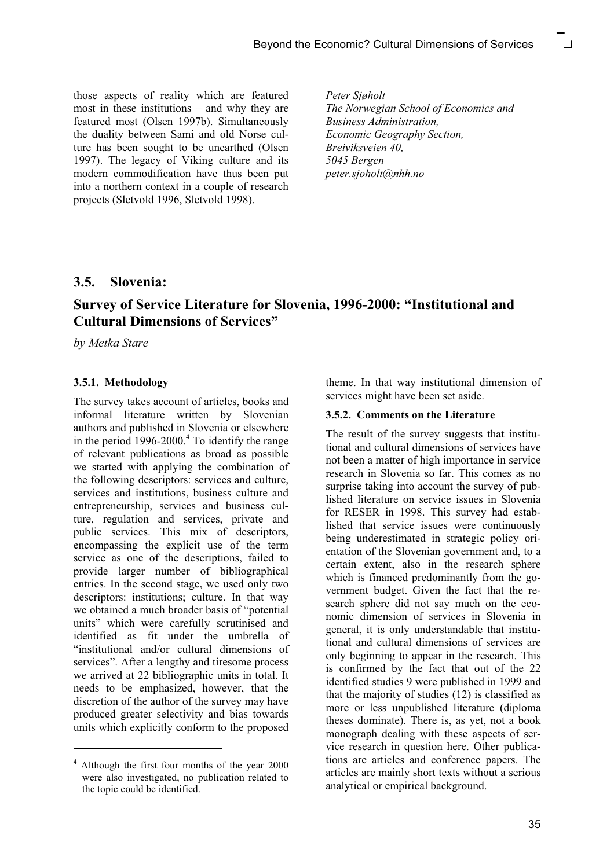those aspects of reality which are featured most in these institutions – and why they are featured most (Olsen 1997b). Simultaneously the duality between Sami and old Norse culture has been sought to be unearthed (Olsen 1997). The legacy of Viking culture and its modern commodification have thus been put into a northern context in a couple of research projects (Sletvold 1996, Sletvold 1998).

*Peter Sjøholt The Norwegian School of Economics and Business Administration, Economic Geography Section, Breiviksveien 40, 5045 Bergen peter.sjoholt@nhh.no*

### **3.5. Slovenia:**

## **Survey of Service Literature for Slovenia, 1996-2000: "Institutional and Cultural Dimensions of Services"**

*by Metka Stare* 

#### **3.5.1. Methodology**

The survey takes account of articles, books and informal literature written by Slovenian authors and published in Slovenia or elsewhere in the period  $1996-2000$ .<sup>4</sup> To identify the range of relevant publications as broad as possible we started with applying the combination of the following descriptors: services and culture, services and institutions, business culture and entrepreneurship, services and business culture, regulation and services, private and public services. This mix of descriptors, encompassing the explicit use of the term service as one of the descriptions, failed to provide larger number of bibliographical entries. In the second stage, we used only two descriptors: institutions; culture. In that way we obtained a much broader basis of "potential units" which were carefully scrutinised and identified as fit under the umbrella of "institutional and/or cultural dimensions of services". After a lengthy and tiresome process we arrived at 22 bibliographic units in total. It needs to be emphasized, however, that the discretion of the author of the survey may have produced greater selectivity and bias towards units which explicitly conform to the proposed

theme. In that way institutional dimension of services might have been set aside.

#### **3.5.2. Comments on the Literature**

The result of the survey suggests that institutional and cultural dimensions of services have not been a matter of high importance in service research in Slovenia so far. This comes as no surprise taking into account the survey of published literature on service issues in Slovenia for RESER in 1998. This survey had established that service issues were continuously being underestimated in strategic policy orientation of the Slovenian government and, to a certain extent, also in the research sphere which is financed predominantly from the government budget. Given the fact that the research sphere did not say much on the economic dimension of services in Slovenia in general, it is only understandable that institutional and cultural dimensions of services are only beginning to appear in the research. This is confirmed by the fact that out of the 22 identified studies 9 were published in 1999 and that the majority of studies (12) is classified as more or less unpublished literature (diploma theses dominate). There is, as yet, not a book monograph dealing with these aspects of service research in question here. Other publications are articles and conference papers. The articles are mainly short texts without a serious analytical or empirical background.

<sup>&</sup>lt;sup>4</sup> Although the first four months of the year 2000 were also investigated, no publication related to the topic could be identified.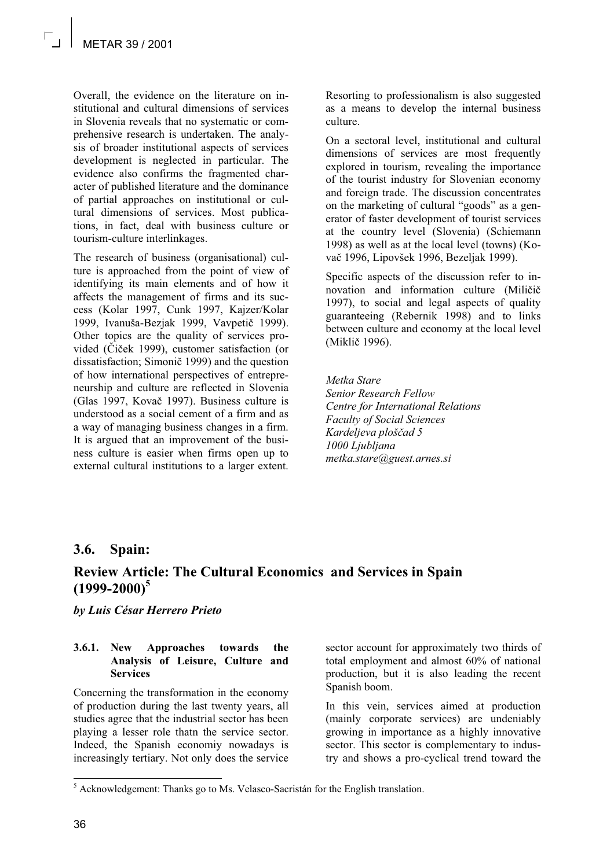Overall, the evidence on the literature on institutional and cultural dimensions of services in Slovenia reveals that no systematic or comprehensive research is undertaken. The analysis of broader institutional aspects of services development is neglected in particular. The evidence also confirms the fragmented character of published literature and the dominance of partial approaches on institutional or cultural dimensions of services. Most publications, in fact, deal with business culture or tourism-culture interlinkages.

The research of business (organisational) culture is approached from the point of view of identifying its main elements and of how it affects the management of firms and its success (Kolar 1997, Cunk 1997, Kajzer/Kolar 1999, Ivanuša-Bezjak 1999, Vavpetič 1999). Other topics are the quality of services provided (Čiček 1999), customer satisfaction (or dissatisfaction; Simonič 1999) and the question of how international perspectives of entrepreneurship and culture are reflected in Slovenia (Glas 1997, Kovač 1997). Business culture is understood as a social cement of a firm and as a way of managing business changes in a firm. It is argued that an improvement of the business culture is easier when firms open up to external cultural institutions to a larger extent.

Resorting to professionalism is also suggested as a means to develop the internal business culture.

On a sectoral level, institutional and cultural dimensions of services are most frequently explored in tourism, revealing the importance of the tourist industry for Slovenian economy and foreign trade. The discussion concentrates on the marketing of cultural "goods" as a generator of faster development of tourist services at the country level (Slovenia) (Schiemann 1998) as well as at the local level (towns) (Kovač 1996, Lipovšek 1996, Bezeljak 1999).

Specific aspects of the discussion refer to innovation and information culture (Miličič 1997), to social and legal aspects of quality guaranteeing (Rebernik 1998) and to links between culture and economy at the local level (Miklič 1996).

*Metka Stare Senior Research Fellow Centre for International Relations Faculty of Social Sciences Kardeljeva plošþad 5 1000 Ljubljana metka.stare@guest.arnes.si*

#### **3.6. Spain:**

## **Review Article: The Cultural Economics and Services in Spain (1999-2000)5**

*by Luis César Herrero Prieto*

#### **3.6.1. New Approaches towards the Analysis of Leisure, Culture and Services**

Concerning the transformation in the economy of production during the last twenty years, all studies agree that the industrial sector has been playing a lesser role thatn the service sector. Indeed, the Spanish economiy nowadays is increasingly tertiary. Not only does the service sector account for approximately two thirds of total employment and almost 60% of national production, but it is also leading the recent Spanish boom.

In this vein, services aimed at production (mainly corporate services) are undeniably growing in importance as a highly innovative sector. This sector is complementary to industry and shows a pro-cyclical trend toward the

<sup>&</sup>lt;sup>5</sup> Acknowledgement: Thanks go to Ms. Velasco-Sacristán for the English translation.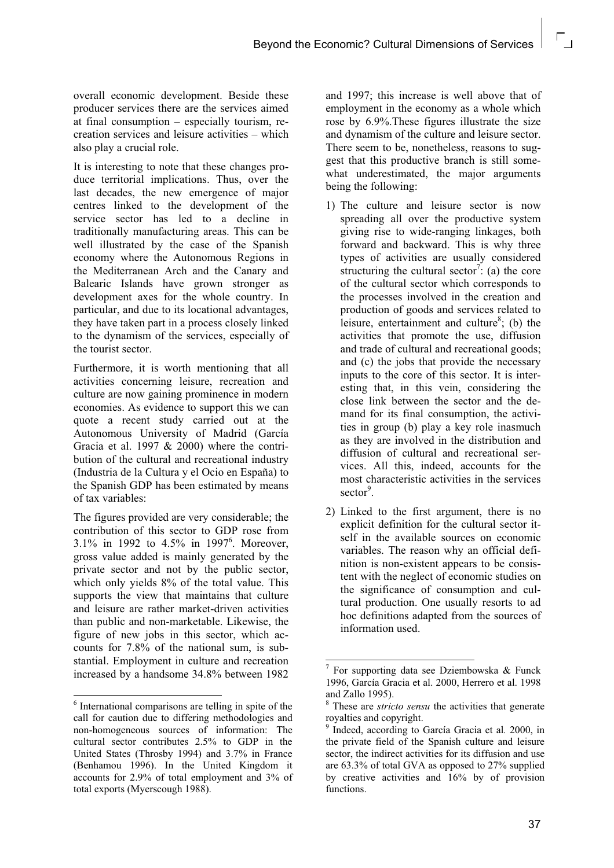It is interesting to note that these changes produce territorial implications. Thus, over the last decades, the new emergence of major centres linked to the development of the service sector has led to a decline in traditionally manufacturing areas. This can be well illustrated by the case of the Spanish economy where the Autonomous Regions in the Mediterranean Arch and the Canary and Balearic Islands have grown stronger as development axes for the whole country. In particular, and due to its locational advantages, they have taken part in a process closely linked to the dynamism of the services, especially of the tourist sector.

Furthermore, it is worth mentioning that all activities concerning leisure, recreation and culture are now gaining prominence in modern economies. As evidence to support this we can quote a recent study carried out at the Autonomous University of Madrid (García Gracia et al. 1997 & 2000) where the contribution of the cultural and recreational industry (Industria de la Cultura y el Ocio en España) to the Spanish GDP has been estimated by means of tax variables:

The figures provided are very considerable; the contribution of this sector to GDP rose from 3.1% in 1992 to 4.5% in 1997<sup>6</sup>. Moreover, gross value added is mainly generated by the private sector and not by the public sector, which only yields 8% of the total value. This supports the view that maintains that culture and leisure are rather market-driven activities than public and non-marketable. Likewise, the figure of new jobs in this sector, which accounts for 7.8% of the national sum, is substantial. Employment in culture and recreation increased by a handsome 34.8% between 1982

and 1997; this increase is well above that of employment in the economy as a whole which rose by 6.9%.These figures illustrate the size and dynamism of the culture and leisure sector. There seem to be, nonetheless, reasons to suggest that this productive branch is still somewhat underestimated, the major arguments being the following:

- 1) The culture and leisure sector is now spreading all over the productive system giving rise to wide-ranging linkages, both forward and backward. This is why three types of activities are usually considered structuring the cultural sector<sup>7</sup>: (a) the core of the cultural sector which corresponds to the processes involved in the creation and production of goods and services related to leisure, entertainment and culture<sup>8</sup>; (b) the activities that promote the use, diffusion and trade of cultural and recreational goods; and (c) the jobs that provide the necessary inputs to the core of this sector. It is interesting that, in this vein, considering the close link between the sector and the demand for its final consumption, the activities in group (b) play a key role inasmuch as they are involved in the distribution and diffusion of cultural and recreational services. All this, indeed, accounts for the most characteristic activities in the services sector<sup>9</sup>.
- 2) Linked to the first argument, there is no explicit definition for the cultural sector itself in the available sources on economic variables. The reason why an official definition is non-existent appears to be consistent with the neglect of economic studies on the significance of consumption and cultural production. One usually resorts to ad hoc definitions adapted from the sources of information used.

<sup>&</sup>lt;sup>6</sup> International comparisons are telling in spite of the call for caution due to differing methodologies and non-homogeneous sources of information: The cultural sector contributes 2.5% to GDP in the United States (Throsby 1994) and 3.7% in France (Benhamou 1996). In the United Kingdom it accounts for 2.9% of total employment and 3% of total exports (Myerscough 1988).

<sup>&</sup>lt;sup>7</sup> For supporting data see Dziembowska & Funck 1996, García Gracia et al. 2000, Herrero et al. 1998 and Zallo 1995).

<sup>&</sup>lt;sup>8</sup> These are *stricto sensu* the activities that generate royalties and copyright.

<sup>9</sup> Indeed, according to García Gracia et al*.* 2000, in the private field of the Spanish culture and leisure sector, the indirect activities for its diffusion and use are 63.3% of total GVA as opposed to 27% supplied by creative activities and 16% by of provision functions.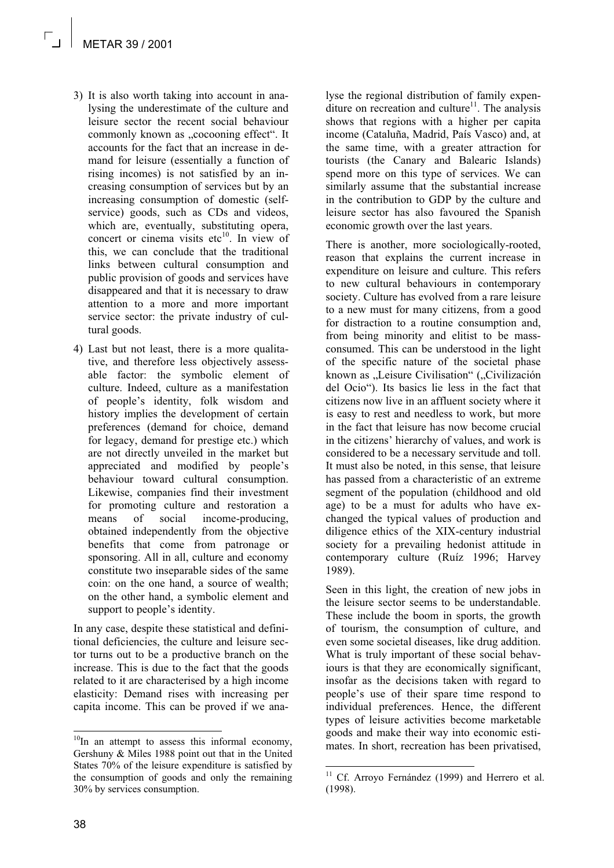- 3) It is also worth taking into account in analysing the underestimate of the culture and leisure sector the recent social behaviour commonly known as "cocooning effect". It accounts for the fact that an increase in demand for leisure (essentially a function of rising incomes) is not satisfied by an increasing consumption of services but by an increasing consumption of domestic (selfservice) goods, such as CDs and videos, which are, eventually, substituting opera, concert or cinema visits etc $^{10}$ . In view of this, we can conclude that the traditional links between cultural consumption and public provision of goods and services have disappeared and that it is necessary to draw attention to a more and more important service sector: the private industry of cultural goods.
- 4) Last but not least, there is a more qualitative, and therefore less objectively assessable factor: the symbolic element of culture. Indeed, culture as a manifestation of people's identity, folk wisdom and history implies the development of certain preferences (demand for choice, demand for legacy, demand for prestige etc.) which are not directly unveiled in the market but appreciated and modified by people's behaviour toward cultural consumption. Likewise, companies find their investment for promoting culture and restoration a means of social income-producing, obtained independently from the objective benefits that come from patronage or sponsoring. All in all, culture and economy constitute two inseparable sides of the same coin: on the one hand, a source of wealth; on the other hand, a symbolic element and support to people's identity.

In any case, despite these statistical and definitional deficiencies, the culture and leisure sector turns out to be a productive branch on the increase. This is due to the fact that the goods related to it are characterised by a high income elasticity: Demand rises with increasing per capita income. This can be proved if we analyse the regional distribution of family expenditure on recreation and culture<sup>11</sup>. The analysis shows that regions with a higher per capita income (Cataluña, Madrid, País Vasco) and, at the same time, with a greater attraction for tourists (the Canary and Balearic Islands) spend more on this type of services. We can similarly assume that the substantial increase in the contribution to GDP by the culture and leisure sector has also favoured the Spanish economic growth over the last years.

There is another, more sociologically-rooted, reason that explains the current increase in expenditure on leisure and culture. This refers to new cultural behaviours in contemporary society. Culture has evolved from a rare leisure to a new must for many citizens, from a good for distraction to a routine consumption and, from being minority and elitist to be massconsumed. This can be understood in the light of the specific nature of the societal phase known as "Leisure Civilisation" ("Civilización del Ocio"). Its basics lie less in the fact that citizens now live in an affluent society where it is easy to rest and needless to work, but more in the fact that leisure has now become crucial in the citizens' hierarchy of values, and work is considered to be a necessary servitude and toll. It must also be noted, in this sense, that leisure has passed from a characteristic of an extreme segment of the population (childhood and old age) to be a must for adults who have exchanged the typical values of production and diligence ethics of the XIX-century industrial society for a prevailing hedonist attitude in contemporary culture (Ruíz 1996; Harvey 1989).

Seen in this light, the creation of new jobs in the leisure sector seems to be understandable. These include the boom in sports, the growth of tourism, the consumption of culture, and even some societal diseases, like drug addition. What is truly important of these social behaviours is that they are economically significant, insofar as the decisions taken with regard to people's use of their spare time respond to individual preferences. Hence, the different types of leisure activities become marketable goods and make their way into economic estimates. In short, recreation has been privatised,

 $10$ In an attempt to assess this informal economy, Gershuny & Miles 1988 point out that in the United States 70% of the leisure expenditure is satisfied by the consumption of goods and only the remaining 30% by services consumption.

<sup>&</sup>lt;sup>11</sup> Cf. Arroyo Fernández (1999) and Herrero et al. (1998).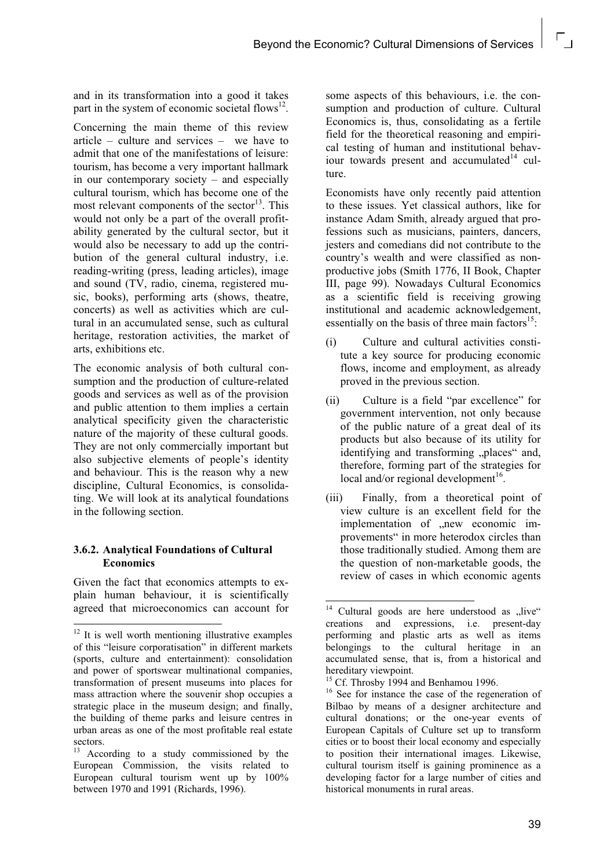and in its transformation into a good it takes part in the system of economic societal flows<sup>12</sup>.

Concerning the main theme of this review article – culture and services – we have to admit that one of the manifestations of leisure: tourism, has become a very important hallmark in our contemporary society – and especially cultural tourism, which has become one of the most relevant components of the sector $13$ . This would not only be a part of the overall profitability generated by the cultural sector, but it would also be necessary to add up the contribution of the general cultural industry, i.e. reading-writing (press, leading articles), image and sound (TV, radio, cinema, registered music, books), performing arts (shows, theatre, concerts) as well as activities which are cultural in an accumulated sense, such as cultural heritage, restoration activities, the market of arts, exhibitions etc.

The economic analysis of both cultural consumption and the production of culture-related goods and services as well as of the provision and public attention to them implies a certain analytical specificity given the characteristic nature of the majority of these cultural goods. They are not only commercially important but also subjective elements of people's identity and behaviour. This is the reason why a new discipline, Cultural Economics, is consolidating. We will look at its analytical foundations in the following section.

### **3.6.2. Analytical Foundations of Cultural Economics**

Given the fact that economics attempts to explain human behaviour, it is scientifically agreed that microeconomics can account for some aspects of this behaviours, i.e. the consumption and production of culture. Cultural Economics is, thus, consolidating as a fertile field for the theoretical reasoning and empirical testing of human and institutional behaviour towards present and accumulated $14$  culture.

Economists have only recently paid attention to these issues. Yet classical authors, like for instance Adam Smith, already argued that professions such as musicians, painters, dancers, jesters and comedians did not contribute to the country's wealth and were classified as nonproductive jobs (Smith 1776, II Book, Chapter III, page 99). Nowadays Cultural Economics as a scientific field is receiving growing institutional and academic acknowledgement, essentially on the basis of three main factors<sup>15</sup>:

- (i) Culture and cultural activities constitute a key source for producing economic flows, income and employment, as already proved in the previous section.
- (ii) Culture is a field "par excellence" for government intervention, not only because of the public nature of a great deal of its products but also because of its utility for identifying and transforming "places" and, therefore, forming part of the strategies for local and/or regional development $16$ .
- (iii) Finally, from a theoretical point of view culture is an excellent field for the implementation of "new economic improvements" in more heterodox circles than those traditionally studied. Among them are the question of non-marketable goods, the review of cases in which economic agents

<sup>&</sup>lt;sup>12</sup> It is well worth mentioning illustrative examples of this "leisure corporatisation" in different markets (sports, culture and entertainment): consolidation and power of sportswear multinational companies, transformation of present museums into places for mass attraction where the souvenir shop occupies a strategic place in the museum design; and finally, the building of theme parks and leisure centres in urban areas as one of the most profitable real estate sectors.

<sup>&</sup>lt;sup>13</sup> According to a study commissioned by the European Commission, the visits related to European cultural tourism went up by 100% between 1970 and 1991 (Richards, 1996).

 $14$  Cultural goods are here understood as "live" creations and expressions, i.e. present-day performing and plastic arts as well as items belongings to the cultural heritage in an accumulated sense, that is, from a historical and hereditary viewpoint.

<sup>&</sup>lt;sup>15</sup> Cf. Throsby 1994 and Benhamou 1996.

<sup>&</sup>lt;sup>16</sup> See for instance the case of the regeneration of Bilbao by means of a designer architecture and cultural donations; or the one-year events of European Capitals of Culture set up to transform cities or to boost their local economy and especially to position their international images. Likewise, cultural tourism itself is gaining prominence as a developing factor for a large number of cities and historical monuments in rural areas.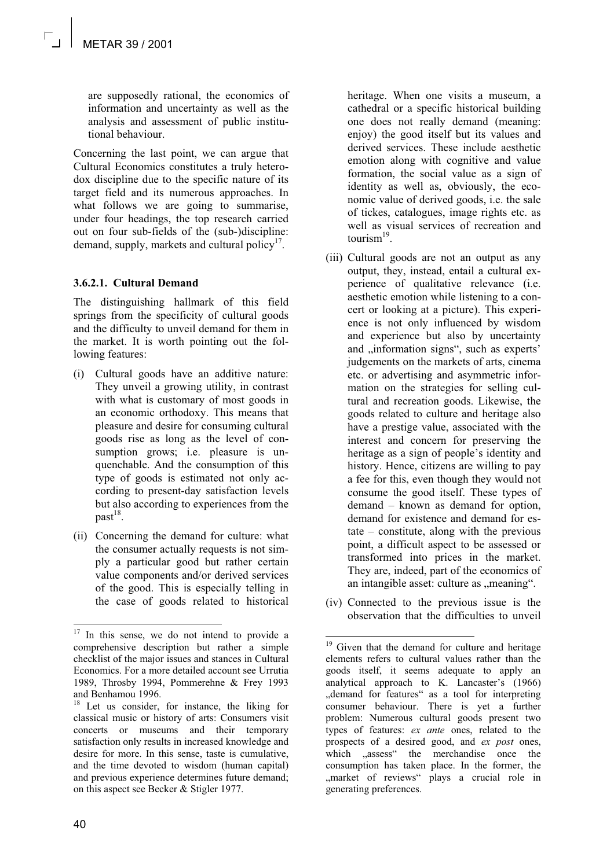are supposedly rational, the economics of information and uncertainty as well as the analysis and assessment of public institutional behaviour.

Concerning the last point, we can argue that Cultural Economics constitutes a truly heterodox discipline due to the specific nature of its target field and its numerous approaches. In what follows we are going to summarise, under four headings, the top research carried out on four sub-fields of the (sub-)discipline: demand, supply, markets and cultural policy<sup>17</sup>.

### **3.6.2.1. Cultural Demand**

The distinguishing hallmark of this field springs from the specificity of cultural goods and the difficulty to unveil demand for them in the market. It is worth pointing out the following features:

- (i) Cultural goods have an additive nature: They unveil a growing utility, in contrast with what is customary of most goods in an economic orthodoxy. This means that pleasure and desire for consuming cultural goods rise as long as the level of consumption grows; i.e. pleasure is unquenchable. And the consumption of this type of goods is estimated not only according to present-day satisfaction levels but also according to experiences from the  $past<sup>18</sup>$ .
- (ii) Concerning the demand for culture: what the consumer actually requests is not simply a particular good but rather certain value components and/or derived services of the good. This is especially telling in the case of goods related to historical

heritage. When one visits a museum, a cathedral or a specific historical building one does not really demand (meaning: enjoy) the good itself but its values and derived services. These include aesthetic emotion along with cognitive and value formation, the social value as a sign of identity as well as, obviously, the economic value of derived goods, i.e. the sale of tickes, catalogues, image rights etc. as well as visual services of recreation and tourism $19$ .

- (iii) Cultural goods are not an output as any output, they, instead, entail a cultural experience of qualitative relevance (i.e. aesthetic emotion while listening to a concert or looking at a picture). This experience is not only influenced by wisdom and experience but also by uncertainty and "information signs", such as experts' judgements on the markets of arts, cinema etc. or advertising and asymmetric information on the strategies for selling cultural and recreation goods. Likewise, the goods related to culture and heritage also have a prestige value, associated with the interest and concern for preserving the heritage as a sign of people's identity and history. Hence, citizens are willing to pay a fee for this, even though they would not consume the good itself. These types of demand – known as demand for option, demand for existence and demand for estate – constitute, along with the previous point, a difficult aspect to be assessed or transformed into prices in the market. They are, indeed, part of the economics of an intangible asset: culture as "meaning".
- (iv) Connected to the previous issue is the observation that the difficulties to unveil

<sup>&</sup>lt;sup>17</sup> In this sense, we do not intend to provide a comprehensive description but rather a simple checklist of the major issues and stances in Cultural Economics. For a more detailed account see Urrutia 1989, Throsby 1994, Pommerehne & Frey 1993 and Benhamou 1996.

 $18$  Let us consider, for instance, the liking for classical music or history of arts: Consumers visit concerts or museums and their temporary satisfaction only results in increased knowledge and desire for more. In this sense, taste is cumulative, and the time devoted to wisdom (human capital) and previous experience determines future demand; on this aspect see Becker & Stigler 1977.

<sup>&</sup>lt;sup>19</sup> Given that the demand for culture and heritage elements refers to cultural values rather than the goods itself, it seems adequate to apply an analytical approach to K. Lancaster's (1966) "demand for features" as a tool for interpreting consumer behaviour. There is yet a further problem: Numerous cultural goods present two types of features: *ex ante* ones, related to the prospects of a desired good, and *ex post* ones, which "assess" the merchandise once the consumption has taken place. In the former, the "market of reviews" plays a crucial role in generating preferences.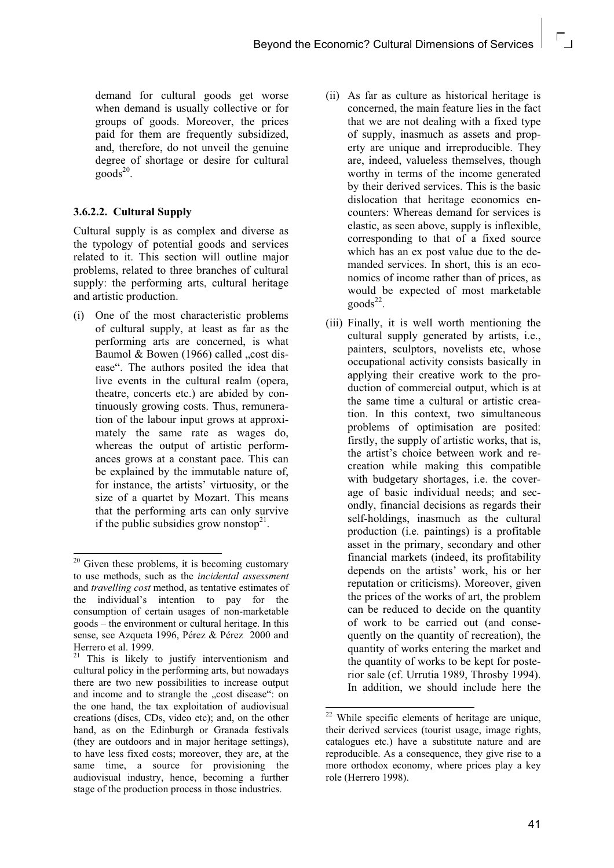demand for cultural goods get worse when demand is usually collective or for groups of goods. Moreover, the prices paid for them are frequently subsidized, and, therefore, do not unveil the genuine degree of shortage or desire for cultural  $goods<sup>20</sup>$ .

### **3.6.2.2. Cultural Supply**

Cultural supply is as complex and diverse as the typology of potential goods and services related to it. This section will outline major problems, related to three branches of cultural supply: the performing arts, cultural heritage and artistic production.

(i) One of the most characteristic problems of cultural supply, at least as far as the performing arts are concerned, is what Baumol & Bowen (1966) called "cost disease". The authors posited the idea that live events in the cultural realm (opera, theatre, concerts etc.) are abided by continuously growing costs. Thus, remuneration of the labour input grows at approximately the same rate as wages do, whereas the output of artistic performances grows at a constant pace. This can be explained by the immutable nature of, for instance, the artists' virtuosity, or the size of a quartet by Mozart. This means that the performing arts can only survive if the public subsidies grow nonstop<sup>21</sup>.

- (ii) As far as culture as historical heritage is concerned, the main feature lies in the fact that we are not dealing with a fixed type of supply, inasmuch as assets and property are unique and irreproducible. They are, indeed, valueless themselves, though worthy in terms of the income generated by their derived services. This is the basic dislocation that heritage economics encounters: Whereas demand for services is elastic, as seen above, supply is inflexible, corresponding to that of a fixed source which has an ex post value due to the demanded services. In short, this is an economics of income rather than of prices, as would be expected of most marketable  $\text{goods}^{22}$ .
- (iii) Finally, it is well worth mentioning the cultural supply generated by artists, i.e., painters, sculptors, novelists etc, whose occupational activity consists basically in applying their creative work to the production of commercial output, which is at the same time a cultural or artistic creation. In this context, two simultaneous problems of optimisation are posited: firstly, the supply of artistic works, that is, the artist's choice between work and recreation while making this compatible with budgetary shortages, i.e. the coverage of basic individual needs; and secondly, financial decisions as regards their self-holdings, inasmuch as the cultural production (i.e. paintings) is a profitable asset in the primary, secondary and other financial markets (indeed, its profitability depends on the artists' work, his or her reputation or criticisms). Moreover, given the prices of the works of art, the problem can be reduced to decide on the quantity of work to be carried out (and consequently on the quantity of recreation), the quantity of works entering the market and the quantity of works to be kept for posterior sale (cf. Urrutia 1989, Throsby 1994). In addition, we should include here the

 $20$  Given these problems, it is becoming customary to use methods, such as the *incidental assessment* and *travelling cost* method, as tentative estimates of the individual's intention to pay for the consumption of certain usages of non-marketable goods – the environment or cultural heritage. In this sense, see Azqueta 1996, Pérez & Pérez 2000 and Herrero et al. 1999.

<sup>&</sup>lt;sup>21</sup> This is likely to justify interventionism and cultural policy in the performing arts, but nowadays there are two new possibilities to increase output and income and to strangle the "cost disease": on the one hand, the tax exploitation of audiovisual creations (discs, CDs, video etc); and, on the other hand, as on the Edinburgh or Granada festivals (they are outdoors and in major heritage settings), to have less fixed costs; moreover, they are, at the same time, a source for provisioning the audiovisual industry, hence, becoming a further stage of the production process in those industries.

 $22$  While specific elements of heritage are unique, their derived services (tourist usage, image rights, catalogues etc.) have a substitute nature and are reproducible. As a consequence, they give rise to a more orthodox economy, where prices play a key role (Herrero 1998).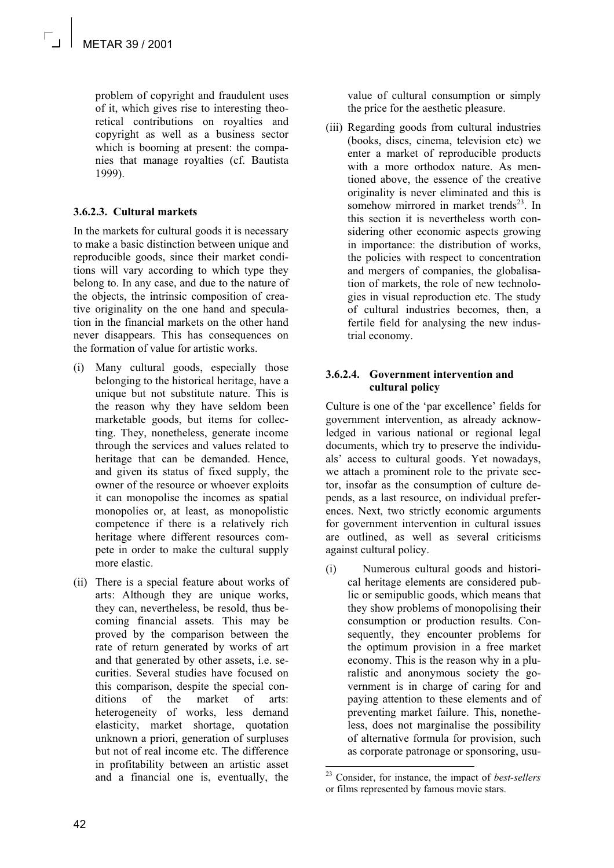problem of copyright and fraudulent uses of it, which gives rise to interesting theoretical contributions on royalties and copyright as well as a business sector which is booming at present: the companies that manage royalties (cf. Bautista 1999).

### **3.6.2.3. Cultural markets**

In the markets for cultural goods it is necessary to make a basic distinction between unique and reproducible goods, since their market conditions will vary according to which type they belong to. In any case, and due to the nature of the objects, the intrinsic composition of creative originality on the one hand and speculation in the financial markets on the other hand never disappears. This has consequences on the formation of value for artistic works.

- (i) Many cultural goods, especially those belonging to the historical heritage, have a unique but not substitute nature. This is the reason why they have seldom been marketable goods, but items for collecting. They, nonetheless, generate income through the services and values related to heritage that can be demanded. Hence, and given its status of fixed supply, the owner of the resource or whoever exploits it can monopolise the incomes as spatial monopolies or, at least, as monopolistic competence if there is a relatively rich heritage where different resources compete in order to make the cultural supply more elastic.
- (ii) There is a special feature about works of arts: Although they are unique works, they can, nevertheless, be resold, thus becoming financial assets. This may be proved by the comparison between the rate of return generated by works of art and that generated by other assets, i.e. securities. Several studies have focused on this comparison, despite the special conditions of the market of arts: heterogeneity of works, less demand elasticity, market shortage, quotation unknown a priori, generation of surpluses but not of real income etc. The difference in profitability between an artistic asset and a financial one is, eventually, the

value of cultural consumption or simply the price for the aesthetic pleasure.

(iii) Regarding goods from cultural industries (books, discs, cinema, television etc) we enter a market of reproducible products with a more orthodox nature. As mentioned above, the essence of the creative originality is never eliminated and this is somehow mirrored in market trends<sup>23</sup>. In this section it is nevertheless worth considering other economic aspects growing in importance: the distribution of works, the policies with respect to concentration and mergers of companies, the globalisation of markets, the role of new technologies in visual reproduction etc. The study of cultural industries becomes, then, a fertile field for analysing the new industrial economy.

### **3.6.2.4. Government intervention and cultural policy**

Culture is one of the 'par excellence' fields for government intervention, as already acknowledged in various national or regional legal documents, which try to preserve the individuals' access to cultural goods. Yet nowadays, we attach a prominent role to the private sector, insofar as the consumption of culture depends, as a last resource, on individual preferences. Next, two strictly economic arguments for government intervention in cultural issues are outlined, as well as several criticisms against cultural policy.

(i) Numerous cultural goods and historical heritage elements are considered public or semipublic goods, which means that they show problems of monopolising their consumption or production results. Consequently, they encounter problems for the optimum provision in a free market economy. This is the reason why in a pluralistic and anonymous society the government is in charge of caring for and paying attention to these elements and of preventing market failure. This, nonetheless, does not marginalise the possibility of alternative formula for provision, such as corporate patronage or sponsoring, usu-

<sup>23</sup> Consider, for instance, the impact of *best-sellers* or films represented by famous movie stars.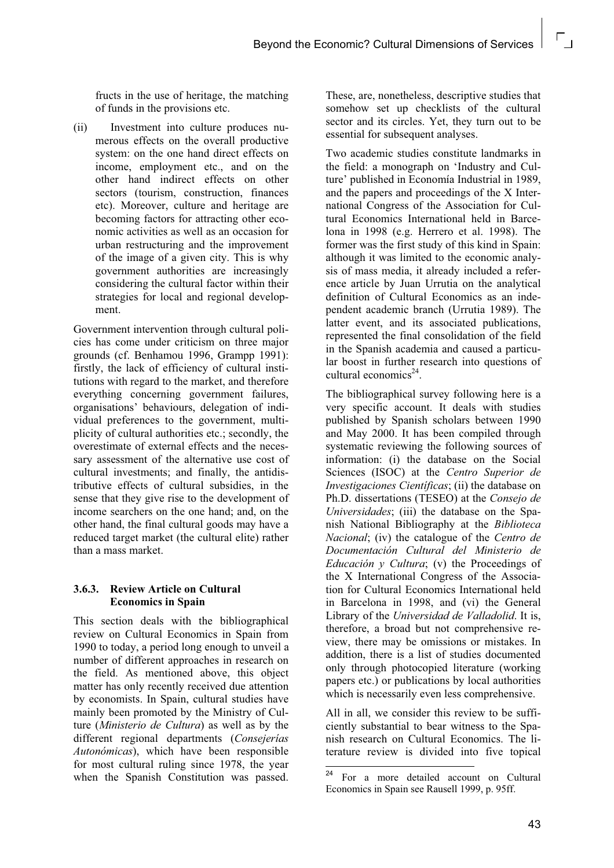fructs in the use of heritage, the matching of funds in the provisions etc.

(ii) Investment into culture produces numerous effects on the overall productive system: on the one hand direct effects on income, employment etc., and on the other hand indirect effects on other sectors (tourism, construction, finances etc). Moreover, culture and heritage are becoming factors for attracting other economic activities as well as an occasion for urban restructuring and the improvement of the image of a given city. This is why government authorities are increasingly considering the cultural factor within their strategies for local and regional development.

Government intervention through cultural policies has come under criticism on three major grounds (cf. Benhamou 1996, Grampp 1991): firstly, the lack of efficiency of cultural institutions with regard to the market, and therefore everything concerning government failures, organisations' behaviours, delegation of individual preferences to the government, multiplicity of cultural authorities etc.; secondly, the overestimate of external effects and the necessary assessment of the alternative use cost of cultural investments; and finally, the antidistributive effects of cultural subsidies, in the sense that they give rise to the development of income searchers on the one hand; and, on the other hand, the final cultural goods may have a reduced target market (the cultural elite) rather than a mass market.

### **3.6.3. Review Article on Cultural Economics in Spain**

This section deals with the bibliographical review on Cultural Economics in Spain from 1990 to today, a period long enough to unveil a number of different approaches in research on the field. As mentioned above, this object matter has only recently received due attention by economists. In Spain, cultural studies have mainly been promoted by the Ministry of Culture (*Ministerio de Cultura*) as well as by the different regional departments (*Consejerías Autonómicas*), which have been responsible for most cultural ruling since 1978, the year when the Spanish Constitution was passed.

These, are, nonetheless, descriptive studies that somehow set up checklists of the cultural sector and its circles. Yet, they turn out to be essential for subsequent analyses.

Two academic studies constitute landmarks in the field: a monograph on 'Industry and Culture' published in Economía Industrial in 1989, and the papers and proceedings of the X International Congress of the Association for Cultural Economics International held in Barcelona in 1998 (e.g. Herrero et al. 1998). The former was the first study of this kind in Spain: although it was limited to the economic analysis of mass media, it already included a reference article by Juan Urrutia on the analytical definition of Cultural Economics as an independent academic branch (Urrutia 1989). The latter event, and its associated publications, represented the final consolidation of the field in the Spanish academia and caused a particular boost in further research into questions of cultural economics $^{24}$ .

The bibliographical survey following here is a very specific account. It deals with studies published by Spanish scholars between 1990 and May 2000. It has been compiled through systematic reviewing the following sources of information: (i) the database on the Social Sciences (ISOC) at the *Centro Superior de Investigaciones Científicas*; (ii) the database on Ph.D. dissertations (TESEO) at the *Consejo de Universidades*; (iii) the database on the Spanish National Bibliography at the *Biblioteca Nacional*; (iv) the catalogue of the *Centro de Documentación Cultural del Ministerio de Educación y Cultura*; (v) the Proceedings of the X International Congress of the Association for Cultural Economics International held in Barcelona in 1998, and (vi) the General Library of the *Universidad de Valladolid*. It is, therefore, a broad but not comprehensive review, there may be omissions or mistakes. In addition, there is a list of studies documented only through photocopied literature (working papers etc.) or publications by local authorities which is necessarily even less comprehensive.

All in all, we consider this review to be sufficiently substantial to bear witness to the Spanish research on Cultural Economics. The literature review is divided into five topical

For a more detailed account on Cultural Economics in Spain see Rausell 1999, p. 95ff.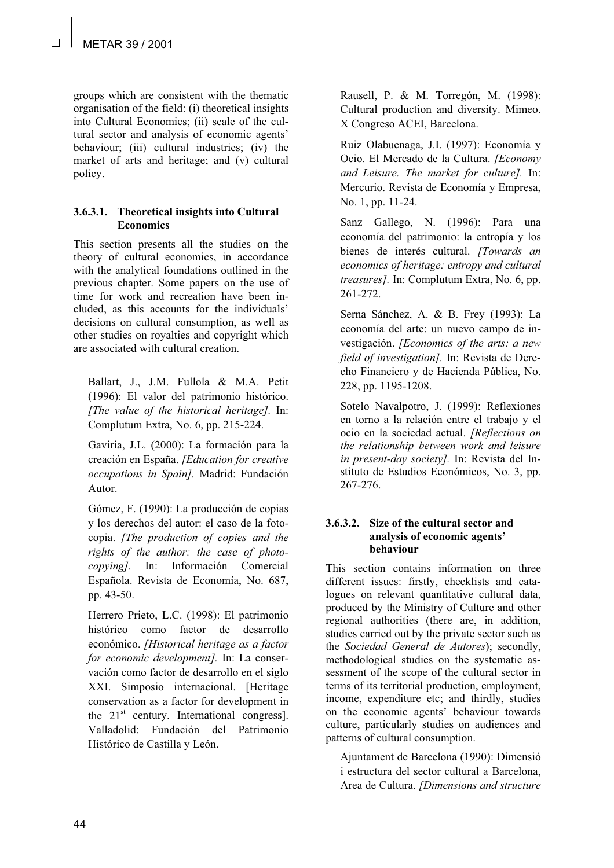groups which are consistent with the thematic organisation of the field: (i) theoretical insights into Cultural Economics; (ii) scale of the cultural sector and analysis of economic agents' behaviour; (iii) cultural industries; (iv) the market of arts and heritage; and (v) cultural policy.

### **3.6.3.1. Theoretical insights into Cultural Economics**

This section presents all the studies on the theory of cultural economics, in accordance with the analytical foundations outlined in the previous chapter. Some papers on the use of time for work and recreation have been included, as this accounts for the individuals' decisions on cultural consumption, as well as other studies on royalties and copyright which are associated with cultural creation.

Ballart, J., J.M. Fullola & M.A. Petit (1996): El valor del patrimonio histórico. *[The value of the historical heritage].* In: Complutum Extra, No. 6, pp. 215-224.

Gaviria, J.L. (2000): La formación para la creación en España. *[Education for creative occupations in Spain].* Madrid: Fundación Autor.

Gómez, F. (1990): La producción de copias y los derechos del autor: el caso de la fotocopia. *[The production of copies and the rights of the author: the case of photocopying].* In: Información Comercial Española. Revista de Economía, No. 687, pp. 43-50.

Herrero Prieto, L.C. (1998): El patrimonio histórico como factor de desarrollo económico. *[Historical heritage as a factor for economic development].* In: La conservación como factor de desarrollo en el siglo XXI. Simposio internacional. [Heritage conservation as a factor for development in the  $21<sup>st</sup>$  century. International congress]. Valladolid: Fundación del Patrimonio Histórico de Castilla y León.

Rausell, P. & M. Torregón, M. (1998): Cultural production and diversity. Mimeo. X Congreso ACEI, Barcelona.

Ruiz Olabuenaga, J.I. (1997): Economía y Ocio. El Mercado de la Cultura. *[Economy and Leisure. The market for culture].* In: Mercurio. Revista de Economía y Empresa, No. 1, pp. 11-24.

Sanz Gallego, N. (1996): Para una economía del patrimonio: la entropía y los bienes de interés cultural. *[Towards an economics of heritage: entropy and cultural treasures].* In: Complutum Extra, No. 6, pp. 261-272.

Serna Sánchez, A. & B. Frey (1993): La economía del arte: un nuevo campo de investigación. *[Economics of the arts: a new field of investigation].* In: Revista de Derecho Financiero y de Hacienda Pública, No. 228, pp. 1195-1208.

Sotelo Navalpotro, J. (1999): Reflexiones en torno a la relación entre el trabajo y el ocio en la sociedad actual. *[Reflections on the relationship between work and leisure in present-day society].* In: Revista del Instituto de Estudios Económicos, No. 3, pp. 267-276.

#### **3.6.3.2. Size of the cultural sector and analysis of economic agents' behaviour**

This section contains information on three different issues: firstly, checklists and catalogues on relevant quantitative cultural data, produced by the Ministry of Culture and other regional authorities (there are, in addition, studies carried out by the private sector such as the *Sociedad General de Autores*); secondly, methodological studies on the systematic assessment of the scope of the cultural sector in terms of its territorial production, employment, income, expenditure etc; and thirdly, studies on the economic agents' behaviour towards culture, particularly studies on audiences and patterns of cultural consumption.

Ajuntament de Barcelona (1990): Dimensió i estructura del sector cultural a Barcelona, Area de Cultura. *[Dimensions and structure*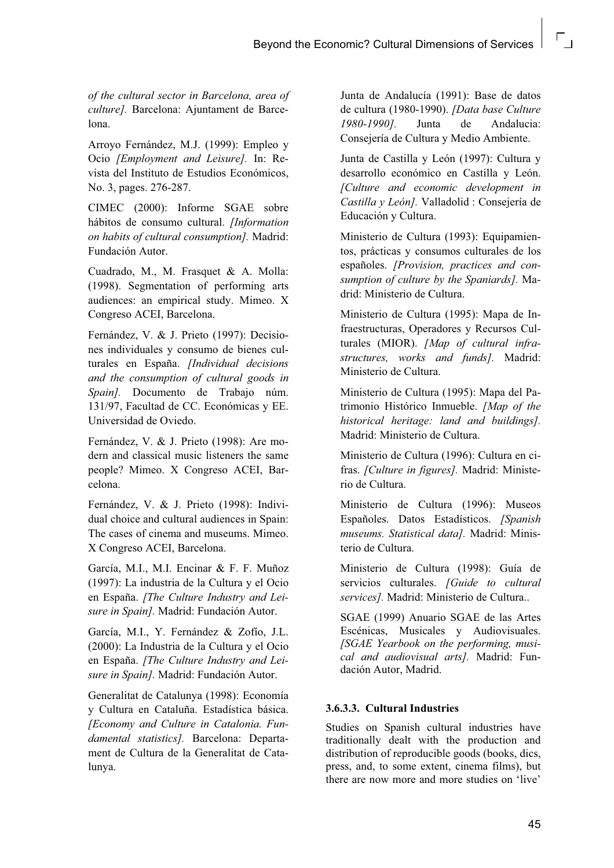*of the cultural sector in Barcelona, area of culture].* Barcelona: Ajuntament de Barcelona.

Arroyo Fernández, M.J. (1999): Empleo y Ocio *[Employment and Leisure].* In: Revista del Instituto de Estudios Económicos, No. 3, pages. 276-287.

CIMEC (2000): Informe SGAE sobre hábitos de consumo cultural. *[Information on habits of cultural consumption].* Madrid: Fundación Autor.

Cuadrado, M., M. Frasquet & A. Molla: (1998). Segmentation of performing arts audiences: an empirical study. Mimeo. X Congreso ACEI, Barcelona.

Fernández, V. & J. Prieto (1997): Decisiones individuales y consumo de bienes culturales en España. *[Individual decisions and the consumption of cultural goods in Spain].* Documento de Trabajo núm. 131/97, Facultad de CC. Económicas y EE. Universidad de Oviedo.

Fernández, V. & J. Prieto (1998): Are modern and classical music listeners the same people? Mimeo. X Congreso ACEI, Barcelona.

Fernández, V. & J. Prieto (1998): Individual choice and cultural audiences in Spain: The cases of cinema and museums. Mimeo. X Congreso ACEI, Barcelona.

García, M.I., M.I. Encinar & F. F. Muñoz (1997): La industria de la Cultura y el Ocio en España. *[The Culture Industry and Leisure in Spain].* Madrid: Fundación Autor.

García, M.I., Y. Fernández & Zofío, J.L. (2000): La Industria de la Cultura y el Ocio en España. *[The Culture Industry and Leisure in Spain].* Madrid: Fundación Autor.

Generalitat de Catalunya (1998): Economía y Cultura en Cataluña. Estadística básica. *[Economy and Culture in Catalonia. Fundamental statistics].* Barcelona: Departament de Cultura de la Generalitat de Catalunya.

Junta de Andalucía (1991): Base de datos de cultura (1980-1990). *[Data base Culture 1980-1990].* Junta de Andalucia: Consejería de Cultura y Medio Ambiente.

Junta de Castilla y León (1997): Cultura y desarrollo económico en Castilla y León. *[Culture and economic development in Castilla y León].* Valladolid : Consejería de Educación y Cultura.

Ministerio de Cultura (1993): Equipamientos, prácticas y consumos culturales de los españoles. *[Provision, practices and consumption of culture by the Spaniards].* Madrid: Ministerio de Cultura.

Ministerio de Cultura (1995): Mapa de Infraestructuras, Operadores y Recursos Culturales (MIOR). *[Map of cultural infrastructures, works and funds].* Madrid: Ministerio de Cultura.

Ministerio de Cultura (1995): Mapa del Patrimonio Histórico Inmueble. *[Map of the historical heritage: land and buildings].* Madrid: Ministerio de Cultura.

Ministerio de Cultura (1996): Cultura en cifras. *[Culture in figures].* Madrid: Ministerio de Cultura.

Ministerio de Cultura (1996): Museos Españoles. Datos Estadísticos. *[Spanish museums. Statistical data].* Madrid: Ministerio de Cultura.

Ministerio de Cultura (1998): Guía de servicios culturales. *[Guide to cultural services].* Madrid: Ministerio de Cultura..

SGAE (1999) Anuario SGAE de las Artes Escénicas, Musicales y Audiovisuales. *[SGAE Yearbook on the performing, musical and audiovisual arts].* Madrid: Fundación Autor, Madrid.

### **3.6.3.3. Cultural Industries**

Studies on Spanish cultural industries have traditionally dealt with the production and distribution of reproducible goods (books, dics, press, and, to some extent, cinema films), but there are now more and more studies on 'live'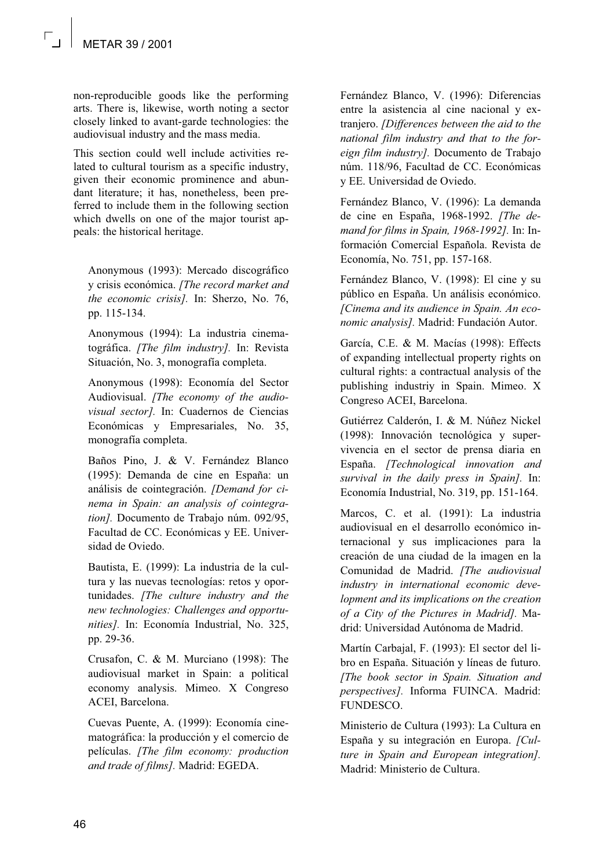non-reproducible goods like the performing arts. There is, likewise, worth noting a sector closely linked to avant-garde technologies: the audiovisual industry and the mass media.

This section could well include activities related to cultural tourism as a specific industry, given their economic prominence and abundant literature; it has, nonetheless, been preferred to include them in the following section which dwells on one of the major tourist appeals: the historical heritage.

Anonymous (1993): Mercado discográfico y crisis económica. *[The record market and the economic crisis].* In: Sherzo, No. 76, pp. 115-134.

Anonymous (1994): La industria cinematográfica. *[The film industry].* In: Revista Situación, No. 3, monografía completa.

Anonymous (1998): Economía del Sector Audiovisual. *[The economy of the audiovisual sector].* In: Cuadernos de Ciencias Económicas y Empresariales, No. 35, monografía completa.

Baños Pino, J. & V. Fernández Blanco (1995): Demanda de cine en España: un análisis de cointegración. *[Demand for cinema in Spain: an analysis of cointegration].* Documento de Trabajo núm. 092/95, Facultad de CC. Económicas y EE. Universidad de Oviedo.

Bautista, E. (1999): La industria de la cultura y las nuevas tecnologías: retos y oportunidades. *[The culture industry and the new technologies: Challenges and opportunities].* In: Economía Industrial, No. 325, pp. 29-36.

Crusafon, C. & M. Murciano (1998): The audiovisual market in Spain: a political economy analysis. Mimeo. X Congreso ACEI, Barcelona.

Cuevas Puente, A. (1999): Economía cinematográfica: la producción y el comercio de películas. *[The film economy: production and trade of films].* Madrid: EGEDA.

Fernández Blanco, V. (1996): Diferencias entre la asistencia al cine nacional y extranjero. *[Differences between the aid to the national film industry and that to the foreign film industry].* Documento de Trabajo núm. 118/96, Facultad de CC. Económicas y EE. Universidad de Oviedo.

Fernández Blanco, V. (1996): La demanda de cine en España, 1968-1992. *[The demand for films in Spain, 1968-1992].* In: Información Comercial Española. Revista de Economía, No. 751, pp. 157-168.

Fernández Blanco, V. (1998): El cine y su público en España. Un análisis económico. *[Cinema and its audience in Spain. An economic analysis].* Madrid: Fundación Autor.

García, C.E. & M. Macías (1998): Effects of expanding intellectual property rights on cultural rights: a contractual analysis of the publishing industriy in Spain. Mimeo. X Congreso ACEI, Barcelona.

Gutiérrez Calderón, I. & M. Núñez Nickel (1998): Innovación tecnológica y supervivencia en el sector de prensa diaria en España. *[Technological innovation and survival in the daily press in Spain].* In: Economía Industrial, No. 319, pp. 151-164.

Marcos, C. et al. (1991): La industria audiovisual en el desarrollo económico internacional y sus implicaciones para la creación de una ciudad de la imagen en la Comunidad de Madrid. *[The audiovisual industry in international economic development and its implications on the creation of a City of the Pictures in Madrid].* Madrid: Universidad Autónoma de Madrid.

Martín Carbajal, F. (1993): El sector del libro en España. Situación y líneas de futuro. *[The book sector in Spain. Situation and perspectives].* Informa FUINCA. Madrid: FUNDESCO.

Ministerio de Cultura (1993): La Cultura en España y su integración en Europa. *[Culture in Spain and European integration].* Madrid: Ministerio de Cultura.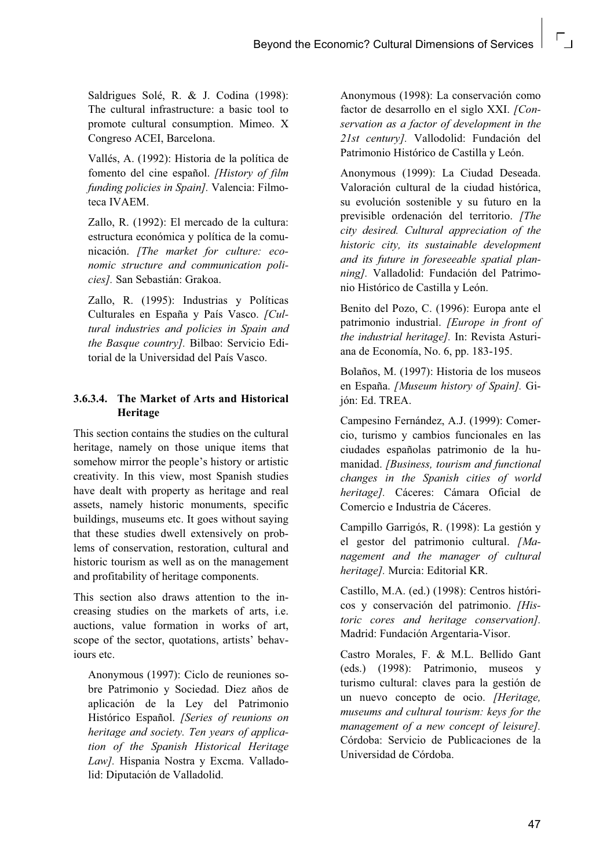Saldrigues Solé, R. & J. Codina (1998): The cultural infrastructure: a basic tool to promote cultural consumption. Mimeo. X Congreso ACEI, Barcelona.

Vallés, A. (1992): Historia de la política de fomento del cine español. *[History of film funding policies in Spain].* Valencia: Filmoteca IVAEM.

Zallo, R. (1992): El mercado de la cultura: estructura económica y política de la comunicación. *[The market for culture: economic structure and communication policies].* San Sebastián: Grakoa.

Zallo, R. (1995): Industrias y Políticas Culturales en España y País Vasco. *[Cultural industries and policies in Spain and the Basque country].* Bilbao: Servicio Editorial de la Universidad del País Vasco.

## **3.6.3.4. The Market of Arts and Historical Heritage**

This section contains the studies on the cultural heritage, namely on those unique items that somehow mirror the people's history or artistic creativity. In this view, most Spanish studies have dealt with property as heritage and real assets, namely historic monuments, specific buildings, museums etc. It goes without saying that these studies dwell extensively on problems of conservation, restoration, cultural and historic tourism as well as on the management and profitability of heritage components.

This section also draws attention to the increasing studies on the markets of arts, i.e. auctions, value formation in works of art, scope of the sector, quotations, artists' behaviours etc.

Anonymous (1997): Ciclo de reuniones sobre Patrimonio y Sociedad. Diez años de aplicación de la Ley del Patrimonio Histórico Español. *[Series of reunions on heritage and society. Ten years of application of the Spanish Historical Heritage Law].* Hispania Nostra y Excma. Valladolid: Diputación de Valladolid.

Anonymous (1998): La conservación como factor de desarrollo en el siglo XXI. *[Conservation as a factor of development in the 21st century].* Vallodolid: Fundación del Patrimonio Histórico de Castilla y León.

Anonymous (1999): La Ciudad Deseada. Valoración cultural de la ciudad histórica, su evolución sostenible y su futuro en la previsible ordenación del territorio. *[The city desired. Cultural appreciation of the historic city, its sustainable development and its future in foreseeable spatial planning].* Valladolid: Fundación del Patrimonio Histórico de Castilla y León.

Benito del Pozo, C. (1996): Europa ante el patrimonio industrial. *[Europe in front of the industrial heritage].* In: Revista Asturiana de Economía, No. 6, pp. 183-195.

Bolaños, M. (1997): Historia de los museos en España. *[Museum history of Spain].* Gijón: Ed. TREA.

Campesino Fernández, A.J. (1999): Comercio, turismo y cambios funcionales en las ciudades españolas patrimonio de la humanidad. *[Business, tourism and functional changes in the Spanish cities of world heritage].* Cáceres: Cámara Oficial de Comercio e Industria de Cáceres.

Campillo Garrigós, R. (1998): La gestión y el gestor del patrimonio cultural. *[Management and the manager of cultural heritage].* Murcia: Editorial KR.

Castillo, M.A. (ed.) (1998): Centros históricos y conservación del patrimonio. *[Historic cores and heritage conservation].* Madrid: Fundación Argentaria-Visor.

Castro Morales, F. & M.L. Bellido Gant (eds.) (1998): Patrimonio, museos y turismo cultural: claves para la gestión de un nuevo concepto de ocio. *[Heritage, museums and cultural tourism: keys for the management of a new concept of leisure].* Córdoba: Servicio de Publicaciones de la Universidad de Córdoba.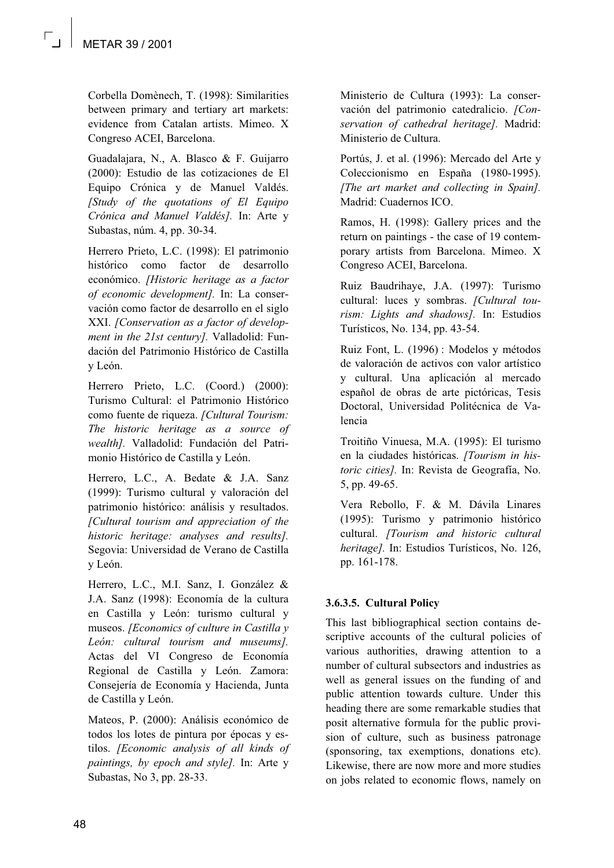Corbella Domènech, T. (1998): Similarities between primary and tertiary art markets: evidence from Catalan artists. Mimeo. X Congreso ACEI, Barcelona.

Guadalajara, N., A. Blasco & F. Guijarro (2000): Estudio de las cotizaciones de El Equipo Crónica y de Manuel Valdés. *[Study of the quotations of El Equipo Crónica and Manuel Valdés].* In: Arte y Subastas, núm. 4, pp. 30-34.

Herrero Prieto, L.C. (1998): El patrimonio histórico como factor de desarrollo económico. *[Historic heritage as a factor of economic development].* In: La conservación como factor de desarrollo en el siglo XXI. *[Conservation as a factor of development in the 21st century].* Valladolid: Fundación del Patrimonio Histórico de Castilla y León.

Herrero Prieto, L.C. (Coord.) (2000): Turismo Cultural: el Patrimonio Histórico como fuente de riqueza. *[Cultural Tourism: The historic heritage as a source of wealth].* Valladolid: Fundación del Patrimonio Histórico de Castilla y León.

Herrero, L.C., A. Bedate & J.A. Sanz (1999): Turismo cultural y valoración del patrimonio histórico: análisis y resultados. *[Cultural tourism and appreciation of the historic heritage: analyses and results].* Segovia: Universidad de Verano de Castilla y León.

Herrero, L.C., M.I. Sanz, I. González & J.A. Sanz (1998): Economía de la cultura en Castilla y León: turismo cultural y museos. *[Economics of culture in Castilla y León: cultural tourism and museums].* Actas del VI Congreso de Economía Regional de Castilla y León. Zamora: Consejería de Economía y Hacienda, Junta de Castilla y León.

Mateos, P. (2000): Análisis económico de todos los lotes de pintura por épocas y estilos. *[Economic analysis of all kinds of paintings, by epoch and style].* In: Arte y Subastas, No 3, pp. 28-33.

Ministerio de Cultura (1993): La conservación del patrimonio catedralicio. *[Conservation of cathedral heritage].* Madrid: Ministerio de Cultura.

Portús, J. et al. (1996): Mercado del Arte y Coleccionismo en España (1980-1995). *[The art market and collecting in Spain].* Madrid: Cuadernos ICO.

Ramos, H. (1998): Gallery prices and the return on paintings - the case of 19 contemporary artists from Barcelona. Mimeo. X Congreso ACEI, Barcelona.

Ruiz Baudrihaye, J.A. (1997): Turismo cultural: luces y sombras. *[Cultural tourism: Lights and shadows].* In: Estudios Turísticos, No. 134, pp. 43-54.

Ruiz Font, L. (1996) : Modelos y métodos de valoración de activos con valor artístico y cultural. Una aplicación al mercado español de obras de arte pictóricas, Tesis Doctoral, Universidad Politécnica de Valencia

Troitiño Vinuesa, M.A. (1995): El turismo en la ciudades históricas. *[Tourism in historic cities].* In: Revista de Geografía, No. 5, pp. 49-65.

Vera Rebollo, F. & M. Dávila Linares (1995): Turismo y patrimonio histórico cultural. *[Tourism and historic cultural heritage].* In: Estudios Turísticos, No. 126, pp. 161-178.

## **3.6.3.5. Cultural Policy**

This last bibliographical section contains descriptive accounts of the cultural policies of various authorities, drawing attention to a number of cultural subsectors and industries as well as general issues on the funding of and public attention towards culture. Under this heading there are some remarkable studies that posit alternative formula for the public provision of culture, such as business patronage (sponsoring, tax exemptions, donations etc). Likewise, there are now more and more studies on jobs related to economic flows, namely on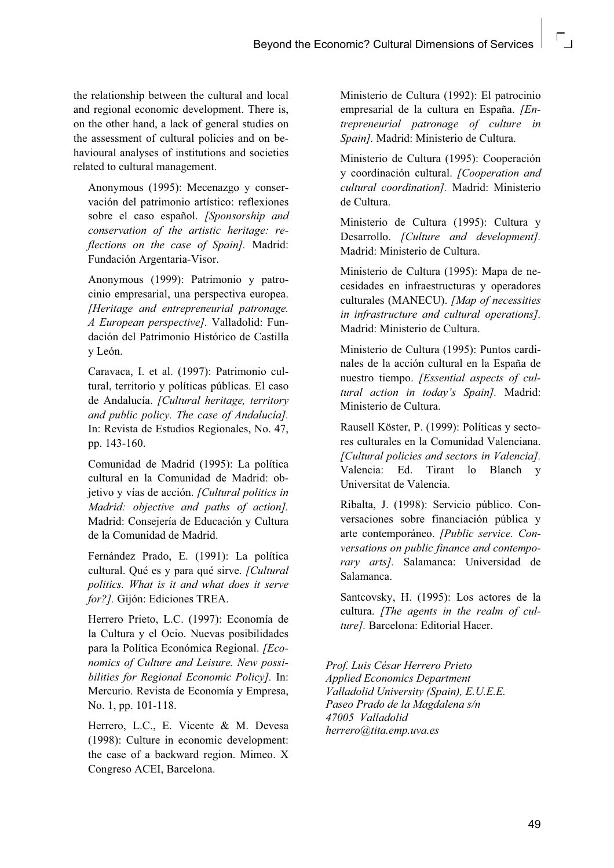the relationship between the cultural and local and regional economic development. There is, on the other hand, a lack of general studies on the assessment of cultural policies and on behavioural analyses of institutions and societies related to cultural management.

Anonymous (1995): Mecenazgo y conservación del patrimonio artístico: reflexiones sobre el caso español. *[Sponsorship and conservation of the artistic heritage: reflections on the case of Spain].* Madrid: Fundación Argentaria-Visor.

Anonymous (1999): Patrimonio y patrocinio empresarial, una perspectiva europea. *[Heritage and entrepreneurial patronage. A European perspective].* Valladolid: Fundación del Patrimonio Histórico de Castilla y León.

Caravaca, I. et al. (1997): Patrimonio cultural, territorio y políticas públicas. El caso de Andalucía. *[Cultural heritage, territory and public policy. The case of Andalucía].* In: Revista de Estudios Regionales, No. 47, pp. 143-160.

Comunidad de Madrid (1995): La política cultural en la Comunidad de Madrid: objetivo y vías de acción. *[Cultural politics in Madrid: objective and paths of action].* Madrid: Consejería de Educación y Cultura de la Comunidad de Madrid.

Fernández Prado, E. (1991): La política cultural. Qué es y para qué sirve. *[Cultural politics. What is it and what does it serve for?].* Gijón: Ediciones TREA.

Herrero Prieto, L.C. (1997): Economía de la Cultura y el Ocio. Nuevas posibilidades para la Política Económica Regional. *[Economics of Culture and Leisure. New possibilities for Regional Economic Policy].* In: Mercurio. Revista de Economía y Empresa, No. 1, pp. 101-118.

Herrero, L.C., E. Vicente & M. Devesa (1998): Culture in economic development: the case of a backward region. Mimeo. X Congreso ACEI, Barcelona.

Ministerio de Cultura (1992): El patrocinio empresarial de la cultura en España. *[Entrepreneurial patronage of culture in Spain].* Madrid: Ministerio de Cultura.

Ministerio de Cultura (1995): Cooperación y coordinación cultural. *[Cooperation and cultural coordination].* Madrid: Ministerio de Cultura.

Ministerio de Cultura (1995): Cultura y Desarrollo. *[Culture and development].* Madrid: Ministerio de Cultura.

Ministerio de Cultura (1995): Mapa de necesidades en infraestructuras y operadores culturales (MANECU). *[Map of necessities in infrastructure and cultural operations].* Madrid: Ministerio de Cultura.

Ministerio de Cultura (1995): Puntos cardinales de la acción cultural en la España de nuestro tiempo. *[Essential aspects of cultural action in today's Spain].* Madrid: Ministerio de Cultura.

Rausell Köster, P. (1999): Políticas y sectores culturales en la Comunidad Valenciana. *[Cultural policies and sectors in Valencia].* Valencia: Ed. Tirant lo Blanch y Universitat de Valencia.

Ribalta, J. (1998): Servicio público. Conversaciones sobre financiación pública y arte contemporáneo. *[Public service. Conversations on public finance and contemporary arts].* Salamanca: Universidad de Salamanca.

Santcovsky, H. (1995): Los actores de la cultura. *[The agents in the realm of culture].* Barcelona: Editorial Hacer.

*Prof. Luis César Herrero Prieto Applied Economics Department Valladolid University (Spain), E.U.E.E. Paseo Prado de la Magdalena s/n 47005 Valladolid herrero@tita.emp.uva.es*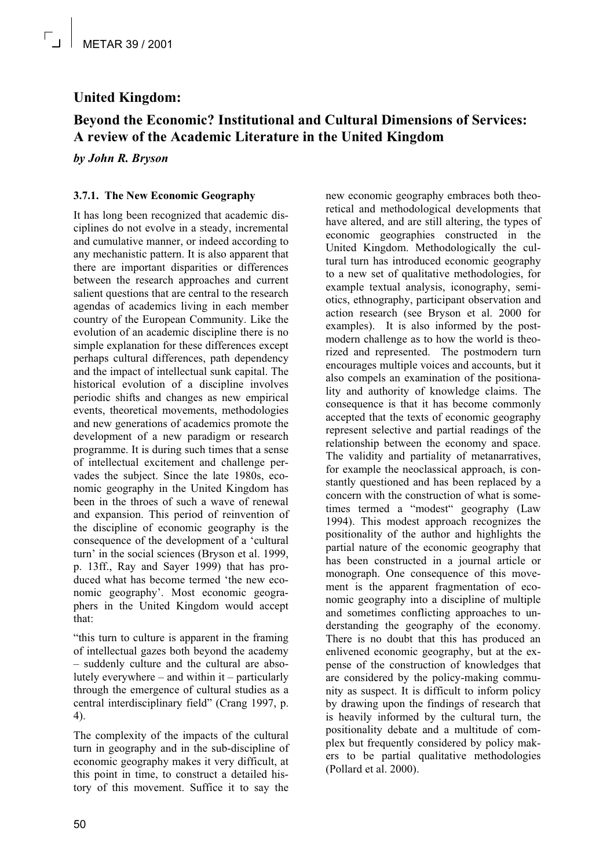# **United Kingdom:**

# **Beyond the Economic? Institutional and Cultural Dimensions of Services: A review of the Academic Literature in the United Kingdom**

*by John R. Bryson*

### **3.7.1. The New Economic Geography**

It has long been recognized that academic disciplines do not evolve in a steady, incremental and cumulative manner, or indeed according to any mechanistic pattern. It is also apparent that there are important disparities or differences between the research approaches and current salient questions that are central to the research agendas of academics living in each member country of the European Community. Like the evolution of an academic discipline there is no simple explanation for these differences except perhaps cultural differences, path dependency and the impact of intellectual sunk capital. The historical evolution of a discipline involves periodic shifts and changes as new empirical events, theoretical movements, methodologies and new generations of academics promote the development of a new paradigm or research programme. It is during such times that a sense of intellectual excitement and challenge pervades the subject. Since the late 1980s, economic geography in the United Kingdom has been in the throes of such a wave of renewal and expansion. This period of reinvention of the discipline of economic geography is the consequence of the development of a 'cultural turn' in the social sciences (Bryson et al. 1999, p. 13ff., Ray and Sayer 1999) that has produced what has become termed 'the new economic geography'. Most economic geographers in the United Kingdom would accept that:

"this turn to culture is apparent in the framing of intellectual gazes both beyond the academy – suddenly culture and the cultural are absolutely everywhere – and within it – particularly through the emergence of cultural studies as a central interdisciplinary field" (Crang 1997, p. 4).

The complexity of the impacts of the cultural turn in geography and in the sub-discipline of economic geography makes it very difficult, at this point in time, to construct a detailed history of this movement. Suffice it to say the

new economic geography embraces both theoretical and methodological developments that have altered, and are still altering, the types of economic geographies constructed in the United Kingdom. Methodologically the cultural turn has introduced economic geography to a new set of qualitative methodologies, for example textual analysis, iconography, semiotics, ethnography, participant observation and action research (see Bryson et al. 2000 for examples). It is also informed by the postmodern challenge as to how the world is theorized and represented. The postmodern turn encourages multiple voices and accounts, but it also compels an examination of the positionality and authority of knowledge claims. The consequence is that it has become commonly accepted that the texts of economic geography represent selective and partial readings of the relationship between the economy and space. The validity and partiality of metanarratives, for example the neoclassical approach, is constantly questioned and has been replaced by a concern with the construction of what is sometimes termed a "modest" geography (Law 1994). This modest approach recognizes the positionality of the author and highlights the partial nature of the economic geography that has been constructed in a journal article or monograph. One consequence of this movement is the apparent fragmentation of economic geography into a discipline of multiple and sometimes conflicting approaches to understanding the geography of the economy. There is no doubt that this has produced an enlivened economic geography, but at the expense of the construction of knowledges that are considered by the policy-making community as suspect. It is difficult to inform policy by drawing upon the findings of research that is heavily informed by the cultural turn, the positionality debate and a multitude of complex but frequently considered by policy makers to be partial qualitative methodologies (Pollard et al. 2000).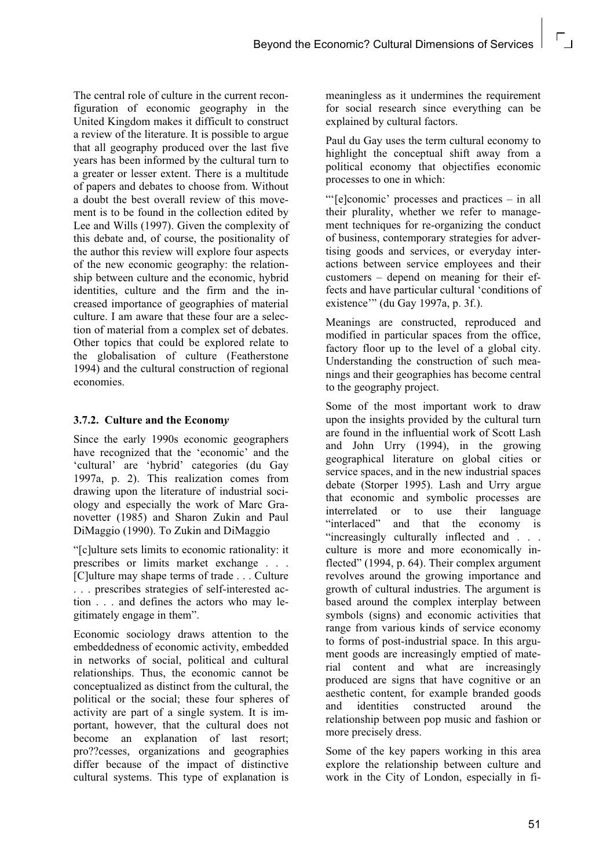The central role of culture in the current reconfiguration of economic geography in the United Kingdom makes it difficult to construct a review of the literature. It is possible to argue that all geography produced over the last five years has been informed by the cultural turn to a greater or lesser extent. There is a multitude of papers and debates to choose from. Without a doubt the best overall review of this movement is to be found in the collection edited by Lee and Wills (1997). Given the complexity of this debate and, of course, the positionality of the author this review will explore four aspects of the new economic geography: the relationship between culture and the economic, hybrid identities, culture and the firm and the increased importance of geographies of material culture. I am aware that these four are a selection of material from a complex set of debates. Other topics that could be explored relate to the globalisation of culture (Featherstone 1994) and the cultural construction of regional economies.

## **3.7.2. Culture and the Econom***y*

Since the early 1990s economic geographers have recognized that the 'economic' and the 'cultural' are 'hybrid' categories (du Gay 1997a, p. 2). This realization comes from drawing upon the literature of industrial sociology and especially the work of Marc Granovetter (1985) and Sharon Zukin and Paul DiMaggio (1990). To Zukin and DiMaggio

"[c]ulture sets limits to economic rationality: it prescribes or limits market exchange . . . [C]ulture may shape terms of trade . . . Culture . . . prescribes strategies of self-interested action . . . and defines the actors who may legitimately engage in them".

Economic sociology draws attention to the embeddedness of economic activity, embedded in networks of social, political and cultural relationships. Thus, the economic cannot be conceptualized as distinct from the cultural, the political or the social; these four spheres of activity are part of a single system. It is important, however, that the cultural does not become an explanation of last resort; pro??cesses, organizations and geographies differ because of the impact of distinctive cultural systems. This type of explanation is

meaningless as it undermines the requirement for social research since everything can be explained by cultural factors.

Paul du Gay uses the term cultural economy to highlight the conceptual shift away from a political economy that objectifies economic processes to one in which:

"'[e]conomic' processes and practices – in all their plurality, whether we refer to management techniques for re-organizing the conduct of business, contemporary strategies for advertising goods and services, or everyday interactions between service employees and their customers – depend on meaning for their effects and have particular cultural 'conditions of existence'" (du Gay 1997a, p. 3f.).

Meanings are constructed, reproduced and modified in particular spaces from the office, factory floor up to the level of a global city. Understanding the construction of such meanings and their geographies has become central to the geography project.

Some of the most important work to draw upon the insights provided by the cultural turn are found in the influential work of Scott Lash and John Urry (1994), in the growing geographical literature on global cities or service spaces, and in the new industrial spaces debate (Storper 1995). Lash and Urry argue that economic and symbolic processes are interrelated or to use their language "interlaced" and that the economy is "increasingly culturally inflected and . . . culture is more and more economically inflected" (1994, p. 64). Their complex argument revolves around the growing importance and growth of cultural industries. The argument is based around the complex interplay between symbols (signs) and economic activities that range from various kinds of service economy to forms of post-industrial space. In this argument goods are increasingly emptied of material content and what are increasingly produced are signs that have cognitive or an aesthetic content, for example branded goods and identities constructed around the relationship between pop music and fashion or more precisely dress.

Some of the key papers working in this area explore the relationship between culture and work in the City of London, especially in fi-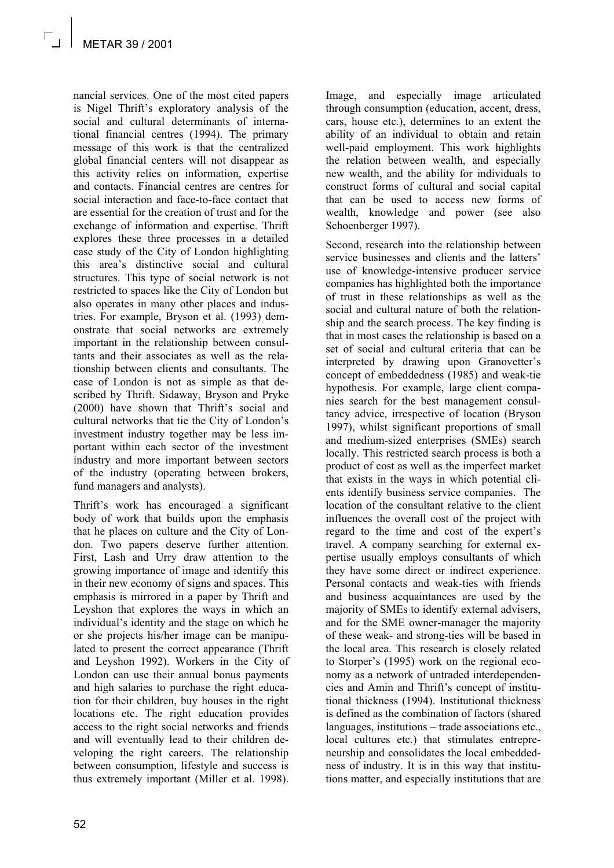nancial services. One of the most cited papers is Nigel Thrift's exploratory analysis of the social and cultural determinants of international financial centres (1994). The primary message of this work is that the centralized global financial centers will not disappear as this activity relies on information, expertise and contacts. Financial centres are centres for social interaction and face-to-face contact that are essential for the creation of trust and for the exchange of information and expertise. Thrift explores these three processes in a detailed case study of the City of London highlighting this area's distinctive social and cultural structures. This type of social network is not restricted to spaces like the City of London but also operates in many other places and industries. For example, Bryson et al. (1993) demonstrate that social networks are extremely important in the relationship between consultants and their associates as well as the relationship between clients and consultants. The case of London is not as simple as that described by Thrift. Sidaway, Bryson and Pryke (2000) have shown that Thrift's social and cultural networks that tie the City of London's investment industry together may be less important within each sector of the investment industry and more important between sectors of the industry (operating between brokers, fund managers and analysts).

Thrift's work has encouraged a significant body of work that builds upon the emphasis that he places on culture and the City of London. Two papers deserve further attention. First, Lash and Urry draw attention to the growing importance of image and identify this in their new economy of signs and spaces. This emphasis is mirrored in a paper by Thrift and Leyshon that explores the ways in which an individual's identity and the stage on which he or she projects his/her image can be manipulated to present the correct appearance (Thrift and Leyshon 1992). Workers in the City of London can use their annual bonus payments and high salaries to purchase the right education for their children, buy houses in the right locations etc. The right education provides access to the right social networks and friends and will eventually lead to their children developing the right careers. The relationship between consumption, lifestyle and success is thus extremely important (Miller et al. 1998).

Second, research into the relationship between service businesses and clients and the latters' use of knowledge-intensive producer service companies has highlighted both the importance of trust in these relationships as well as the social and cultural nature of both the relationship and the search process. The key finding is

Schoenberger 1997).

that in most cases the relationship is based on a set of social and cultural criteria that can be interpreted by drawing upon Granovetter's concept of embeddedness (1985) and weak-tie hypothesis. For example, large client companies search for the best management consultancy advice, irrespective of location (Bryson 1997), whilst significant proportions of small and medium-sized enterprises (SMEs) search locally. This restricted search process is both a product of cost as well as the imperfect market that exists in the ways in which potential clients identify business service companies. The location of the consultant relative to the client influences the overall cost of the project with regard to the time and cost of the expert's travel. A company searching for external expertise usually employs consultants of which they have some direct or indirect experience. Personal contacts and weak-ties with friends and business acquaintances are used by the majority of SMEs to identify external advisers, and for the SME owner-manager the majority of these weak- and strong-ties will be based in the local area. This research is closely related to Storper's (1995) work on the regional economy as a network of untraded interdependencies and Amin and Thrift's concept of institutional thickness (1994). Institutional thickness is defined as the combination of factors (shared languages, institutions – trade associations etc., local cultures etc.) that stimulates entrepreneurship and consolidates the local embeddedness of industry. It is in this way that institutions matter, and especially institutions that are

Image, and especially image articulated through consumption (education, accent, dress, cars, house etc.), determines to an extent the ability of an individual to obtain and retain well-paid employment. This work highlights the relation between wealth, and especially new wealth, and the ability for individuals to construct forms of cultural and social capital that can be used to access new forms of wealth, knowledge and power (see also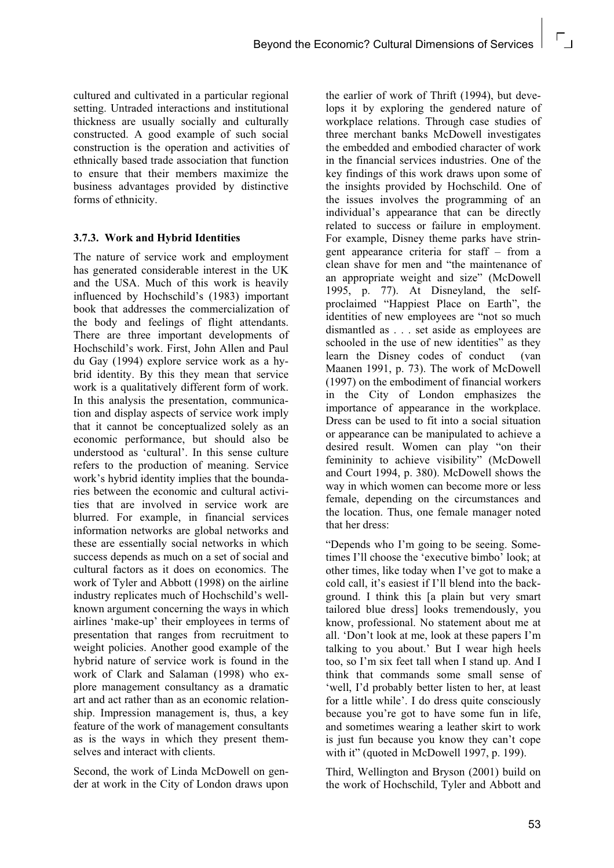cultured and cultivated in a particular regional setting. Untraded interactions and institutional thickness are usually socially and culturally constructed. A good example of such social construction is the operation and activities of ethnically based trade association that function to ensure that their members maximize the business advantages provided by distinctive forms of ethnicity.

### **3.7.3. Work and Hybrid Identities**

The nature of service work and employment has generated considerable interest in the UK and the USA. Much of this work is heavily influenced by Hochschild's (1983) important book that addresses the commercialization of the body and feelings of flight attendants. There are three important developments of Hochschild's work. First, John Allen and Paul du Gay (1994) explore service work as a hybrid identity. By this they mean that service work is a qualitatively different form of work. In this analysis the presentation, communication and display aspects of service work imply that it cannot be conceptualized solely as an economic performance, but should also be understood as 'cultural'. In this sense culture refers to the production of meaning. Service work's hybrid identity implies that the boundaries between the economic and cultural activities that are involved in service work are blurred. For example, in financial services information networks are global networks and these are essentially social networks in which success depends as much on a set of social and cultural factors as it does on economics. The work of Tyler and Abbott (1998) on the airline industry replicates much of Hochschild's wellknown argument concerning the ways in which airlines 'make-up' their employees in terms of presentation that ranges from recruitment to weight policies. Another good example of the hybrid nature of service work is found in the work of Clark and Salaman (1998) who explore management consultancy as a dramatic art and act rather than as an economic relationship. Impression management is, thus, a key feature of the work of management consultants as is the ways in which they present themselves and interact with clients.

Second, the work of Linda McDowell on gender at work in the City of London draws upon the earlier of work of Thrift (1994), but develops it by exploring the gendered nature of workplace relations. Through case studies of three merchant banks McDowell investigates the embedded and embodied character of work in the financial services industries. One of the key findings of this work draws upon some of the insights provided by Hochschild. One of the issues involves the programming of an individual's appearance that can be directly related to success or failure in employment. For example, Disney theme parks have stringent appearance criteria for staff – from a clean shave for men and "the maintenance of an appropriate weight and size" (McDowell 1995, p. 77). At Disneyland, the selfproclaimed "Happiest Place on Earth", the identities of new employees are "not so much dismantled as . . . set aside as employees are schooled in the use of new identities" as they learn the Disney codes of conduct (van Maanen 1991, p. 73). The work of McDowell (1997) on the embodiment of financial workers in the City of London emphasizes the importance of appearance in the workplace. Dress can be used to fit into a social situation or appearance can be manipulated to achieve a desired result. Women can play "on their femininity to achieve visibility" (McDowell and Court 1994, p. 380). McDowell shows the way in which women can become more or less female, depending on the circumstances and the location. Thus, one female manager noted that her dress:

"Depends who I'm going to be seeing. Sometimes I'll choose the 'executive bimbo' look; at other times, like today when I've got to make a cold call, it's easiest if I'll blend into the background. I think this [a plain but very smart tailored blue dress] looks tremendously, you know, professional. No statement about me at all. 'Don't look at me, look at these papers I'm talking to you about.' But I wear high heels too, so I'm six feet tall when I stand up. And I think that commands some small sense of 'well, I'd probably better listen to her, at least for a little while'. I do dress quite consciously because you're got to have some fun in life, and sometimes wearing a leather skirt to work is just fun because you know they can't cope with it" (quoted in McDowell 1997, p. 199).

Third, Wellington and Bryson (2001) build on the work of Hochschild, Tyler and Abbott and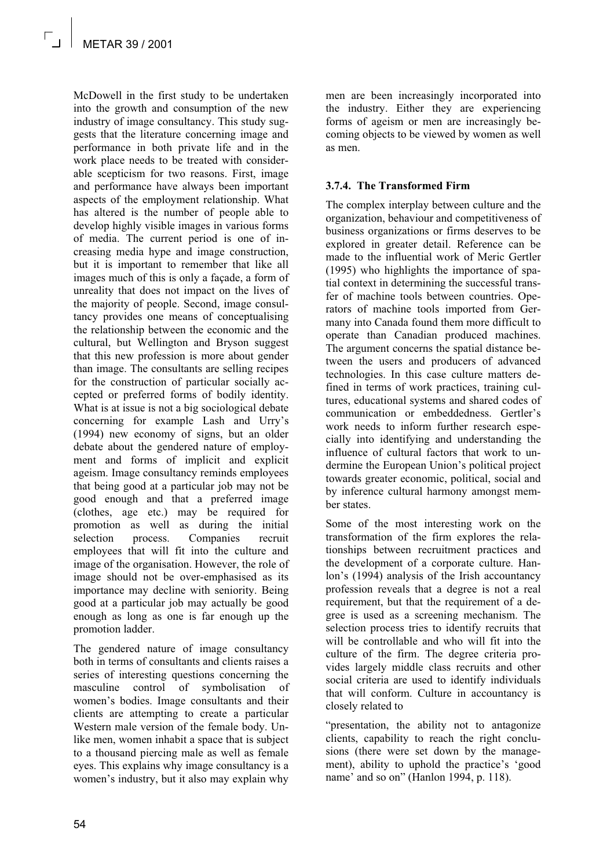McDowell in the first study to be undertaken into the growth and consumption of the new industry of image consultancy. This study suggests that the literature concerning image and performance in both private life and in the work place needs to be treated with considerable scepticism for two reasons. First, image and performance have always been important aspects of the employment relationship. What has altered is the number of people able to develop highly visible images in various forms of media. The current period is one of increasing media hype and image construction, but it is important to remember that like all images much of this is only a façade, a form of unreality that does not impact on the lives of the majority of people. Second, image consultancy provides one means of conceptualising the relationship between the economic and the cultural, but Wellington and Bryson suggest that this new profession is more about gender than image. The consultants are selling recipes for the construction of particular socially accepted or preferred forms of bodily identity. What is at issue is not a big sociological debate concerning for example Lash and Urry's (1994) new economy of signs, but an older debate about the gendered nature of employment and forms of implicit and explicit ageism. Image consultancy reminds employees that being good at a particular job may not be good enough and that a preferred image (clothes, age etc.) may be required for promotion as well as during the initial selection process. Companies recruit employees that will fit into the culture and image of the organisation. However, the role of image should not be over-emphasised as its importance may decline with seniority. Being good at a particular job may actually be good enough as long as one is far enough up the promotion ladder.

The gendered nature of image consultancy both in terms of consultants and clients raises a series of interesting questions concerning the masculine control of symbolisation of women's bodies. Image consultants and their clients are attempting to create a particular Western male version of the female body. Unlike men, women inhabit a space that is subject to a thousand piercing male as well as female eyes. This explains why image consultancy is a women's industry, but it also may explain why

men are been increasingly incorporated into the industry. Either they are experiencing forms of ageism or men are increasingly becoming objects to be viewed by women as well as men.

### **3.7.4. The Transformed Firm**

The complex interplay between culture and the organization, behaviour and competitiveness of business organizations or firms deserves to be explored in greater detail. Reference can be made to the influential work of Meric Gertler (1995) who highlights the importance of spatial context in determining the successful transfer of machine tools between countries. Operators of machine tools imported from Germany into Canada found them more difficult to operate than Canadian produced machines. The argument concerns the spatial distance between the users and producers of advanced technologies. In this case culture matters defined in terms of work practices, training cultures, educational systems and shared codes of communication or embeddedness. Gertler's work needs to inform further research especially into identifying and understanding the influence of cultural factors that work to undermine the European Union's political project towards greater economic, political, social and by inference cultural harmony amongst member states.

Some of the most interesting work on the transformation of the firm explores the relationships between recruitment practices and the development of a corporate culture. Hanlon's (1994) analysis of the Irish accountancy profession reveals that a degree is not a real requirement, but that the requirement of a degree is used as a screening mechanism. The selection process tries to identify recruits that will be controllable and who will fit into the culture of the firm. The degree criteria provides largely middle class recruits and other social criteria are used to identify individuals that will conform. Culture in accountancy is closely related to

"presentation, the ability not to antagonize clients, capability to reach the right conclusions (there were set down by the management), ability to uphold the practice's 'good name' and so on" (Hanlon 1994, p. 118).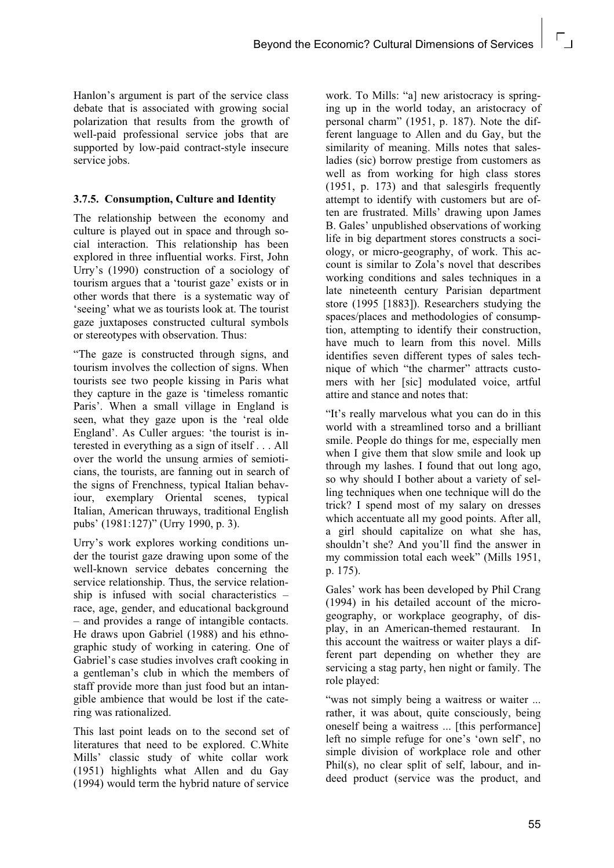Hanlon's argument is part of the service class debate that is associated with growing social polarization that results from the growth of well-paid professional service jobs that are supported by low-paid contract-style insecure service jobs.

## **3.7.5. Consumption, Culture and Identity**

The relationship between the economy and culture is played out in space and through social interaction. This relationship has been explored in three influential works. First, John Urry's (1990) construction of a sociology of tourism argues that a 'tourist gaze' exists or in other words that there is a systematic way of 'seeing' what we as tourists look at. The tourist gaze juxtaposes constructed cultural symbols or stereotypes with observation. Thus:

"The gaze is constructed through signs, and tourism involves the collection of signs. When tourists see two people kissing in Paris what they capture in the gaze is 'timeless romantic Paris'. When a small village in England is seen, what they gaze upon is the 'real olde England'. As Culler argues: 'the tourist is interested in everything as a sign of itself . . . All over the world the unsung armies of semioticians, the tourists, are fanning out in search of the signs of Frenchness, typical Italian behaviour, exemplary Oriental scenes, typical Italian, American thruways, traditional English pubs' (1981:127)" (Urry 1990, p. 3).

Urry's work explores working conditions under the tourist gaze drawing upon some of the well-known service debates concerning the service relationship. Thus, the service relationship is infused with social characteristics – race, age, gender, and educational background – and provides a range of intangible contacts. He draws upon Gabriel (1988) and his ethnographic study of working in catering. One of Gabriel's case studies involves craft cooking in a gentleman's club in which the members of staff provide more than just food but an intangible ambience that would be lost if the catering was rationalized.

This last point leads on to the second set of literatures that need to be explored. C.White Mills' classic study of white collar work (1951) highlights what Allen and du Gay (1994) would term the hybrid nature of service work. To Mills: "a] new aristocracy is springing up in the world today, an aristocracy of personal charm" (1951, p. 187). Note the different language to Allen and du Gay, but the similarity of meaning. Mills notes that salesladies (sic) borrow prestige from customers as well as from working for high class stores (1951, p. 173) and that salesgirls frequently attempt to identify with customers but are often are frustrated. Mills' drawing upon James B. Gales' unpublished observations of working life in big department stores constructs a sociology, or micro-geography, of work. This account is similar to Zola's novel that describes working conditions and sales techniques in a late nineteenth century Parisian department store (1995 [1883]). Researchers studying the spaces/places and methodologies of consumption, attempting to identify their construction, have much to learn from this novel. Mills identifies seven different types of sales technique of which "the charmer" attracts customers with her [sic] modulated voice, artful attire and stance and notes that:

"It's really marvelous what you can do in this world with a streamlined torso and a brilliant smile. People do things for me, especially men when I give them that slow smile and look up through my lashes. I found that out long ago, so why should I bother about a variety of selling techniques when one technique will do the trick? I spend most of my salary on dresses which accentuate all my good points. After all, a girl should capitalize on what she has, shouldn't she? And you'll find the answer in my commission total each week" (Mills 1951, p. 175).

Gales' work has been developed by Phil Crang (1994) in his detailed account of the microgeography, or workplace geography, of display, in an American-themed restaurant. In this account the waitress or waiter plays a different part depending on whether they are servicing a stag party, hen night or family. The role played:

"was not simply being a waitress or waiter ... rather, it was about, quite consciously, being oneself being a waitress ... [this performance] left no simple refuge for one's 'own self', no simple division of workplace role and other Phil(s), no clear split of self, labour, and indeed product (service was the product, and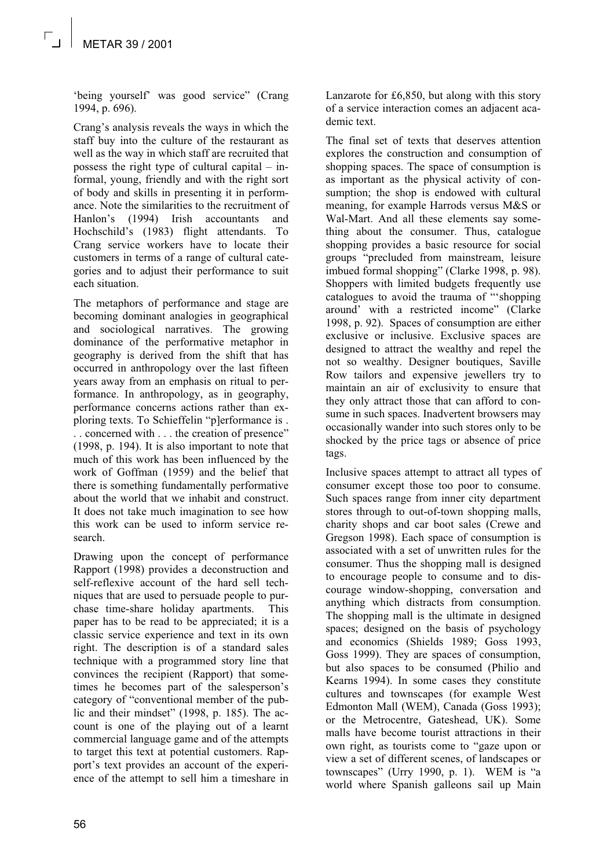'being yourself' was good service" (Crang 1994, p. 696).

Crang's analysis reveals the ways in which the staff buy into the culture of the restaurant as well as the way in which staff are recruited that possess the right type of cultural capital – informal, young, friendly and with the right sort of body and skills in presenting it in performance. Note the similarities to the recruitment of Hanlon's (1994) Irish accountants and Hochschild's (1983) flight attendants. To Crang service workers have to locate their customers in terms of a range of cultural categories and to adjust their performance to suit each situation.

The metaphors of performance and stage are becoming dominant analogies in geographical and sociological narratives. The growing dominance of the performative metaphor in geography is derived from the shift that has occurred in anthropology over the last fifteen years away from an emphasis on ritual to performance. In anthropology, as in geography, performance concerns actions rather than exploring texts. To Schieffelin "p]erformance is . . . concerned with . . . the creation of presence" (1998, p. 194). It is also important to note that much of this work has been influenced by the work of Goffman (1959) and the belief that there is something fundamentally performative about the world that we inhabit and construct. It does not take much imagination to see how this work can be used to inform service research.

Drawing upon the concept of performance Rapport (1998) provides a deconstruction and self-reflexive account of the hard sell techniques that are used to persuade people to purchase time-share holiday apartments. This paper has to be read to be appreciated; it is a classic service experience and text in its own right. The description is of a standard sales technique with a programmed story line that convinces the recipient (Rapport) that sometimes he becomes part of the salesperson's category of "conventional member of the public and their mindset" (1998, p. 185). The account is one of the playing out of a learnt commercial language game and of the attempts to target this text at potential customers. Rapport's text provides an account of the experience of the attempt to sell him a timeshare in

Lanzarote for £6,850, but along with this story of a service interaction comes an adjacent academic text.

The final set of texts that deserves attention explores the construction and consumption of shopping spaces. The space of consumption is as important as the physical activity of consumption; the shop is endowed with cultural meaning, for example Harrods versus M&S or Wal-Mart. And all these elements say something about the consumer. Thus, catalogue shopping provides a basic resource for social groups "precluded from mainstream, leisure imbued formal shopping" (Clarke 1998, p. 98). Shoppers with limited budgets frequently use catalogues to avoid the trauma of "'shopping around' with a restricted income" (Clarke 1998, p. 92). Spaces of consumption are either exclusive or inclusive. Exclusive spaces are designed to attract the wealthy and repel the not so wealthy. Designer boutiques, Saville Row tailors and expensive jewellers try to maintain an air of exclusivity to ensure that they only attract those that can afford to consume in such spaces. Inadvertent browsers may occasionally wander into such stores only to be shocked by the price tags or absence of price tags.

Inclusive spaces attempt to attract all types of consumer except those too poor to consume. Such spaces range from inner city department stores through to out-of-town shopping malls, charity shops and car boot sales (Crewe and Gregson 1998). Each space of consumption is associated with a set of unwritten rules for the consumer. Thus the shopping mall is designed to encourage people to consume and to discourage window-shopping, conversation and anything which distracts from consumption. The shopping mall is the ultimate in designed spaces; designed on the basis of psychology and economics (Shields 1989; Goss 1993, Goss 1999). They are spaces of consumption, but also spaces to be consumed (Philio and Kearns 1994). In some cases they constitute cultures and townscapes (for example West Edmonton Mall (WEM), Canada (Goss 1993); or the Metrocentre, Gateshead, UK). Some malls have become tourist attractions in their own right, as tourists come to "gaze upon or view a set of different scenes, of landscapes or townscapes" (Urry 1990, p. 1). WEM is "a world where Spanish galleons sail up Main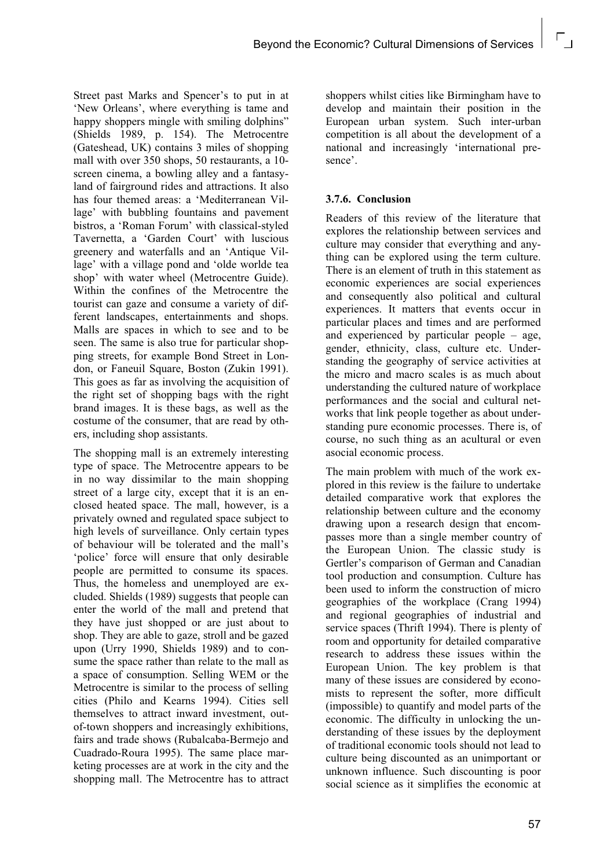Street past Marks and Spencer's to put in at 'New Orleans', where everything is tame and happy shoppers mingle with smiling dolphins" (Shields 1989, p. 154). The Metrocentre (Gateshead, UK) contains 3 miles of shopping mall with over 350 shops, 50 restaurants, a 10 screen cinema, a bowling alley and a fantasyland of fairground rides and attractions. It also has four themed areas: a 'Mediterranean Village' with bubbling fountains and pavement bistros, a 'Roman Forum' with classical-styled Tavernetta, a 'Garden Court' with luscious greenery and waterfalls and an 'Antique Village' with a village pond and 'olde worlde tea shop' with water wheel (Metrocentre Guide). Within the confines of the Metrocentre the tourist can gaze and consume a variety of different landscapes, entertainments and shops. Malls are spaces in which to see and to be seen. The same is also true for particular shopping streets, for example Bond Street in London, or Faneuil Square, Boston (Zukin 1991). This goes as far as involving the acquisition of the right set of shopping bags with the right brand images. It is these bags, as well as the costume of the consumer, that are read by others, including shop assistants.

The shopping mall is an extremely interesting type of space. The Metrocentre appears to be in no way dissimilar to the main shopping street of a large city, except that it is an enclosed heated space. The mall, however, is a privately owned and regulated space subject to high levels of surveillance. Only certain types of behaviour will be tolerated and the mall's 'police' force will ensure that only desirable people are permitted to consume its spaces. Thus, the homeless and unemployed are excluded. Shields (1989) suggests that people can enter the world of the mall and pretend that they have just shopped or are just about to shop. They are able to gaze, stroll and be gazed upon (Urry 1990, Shields 1989) and to consume the space rather than relate to the mall as a space of consumption. Selling WEM or the Metrocentre is similar to the process of selling cities (Philo and Kearns 1994). Cities sell themselves to attract inward investment, outof-town shoppers and increasingly exhibitions, fairs and trade shows (Rubalcaba-Bermejo and Cuadrado-Roura 1995). The same place marketing processes are at work in the city and the shopping mall. The Metrocentre has to attract

shoppers whilst cities like Birmingham have to develop and maintain their position in the European urban system. Such inter-urban competition is all about the development of a national and increasingly 'international presence'.

### **3.7.6. Conclusion**

Readers of this review of the literature that explores the relationship between services and culture may consider that everything and anything can be explored using the term culture. There is an element of truth in this statement as economic experiences are social experiences and consequently also political and cultural experiences. It matters that events occur in particular places and times and are performed and experienced by particular people – age, gender, ethnicity, class, culture etc. Understanding the geography of service activities at the micro and macro scales is as much about understanding the cultured nature of workplace performances and the social and cultural networks that link people together as about understanding pure economic processes. There is, of course, no such thing as an acultural or even asocial economic process.

The main problem with much of the work explored in this review is the failure to undertake detailed comparative work that explores the relationship between culture and the economy drawing upon a research design that encompasses more than a single member country of the European Union. The classic study is Gertler's comparison of German and Canadian tool production and consumption. Culture has been used to inform the construction of micro geographies of the workplace (Crang 1994) and regional geographies of industrial and service spaces (Thrift 1994). There is plenty of room and opportunity for detailed comparative research to address these issues within the European Union. The key problem is that many of these issues are considered by economists to represent the softer, more difficult (impossible) to quantify and model parts of the economic. The difficulty in unlocking the understanding of these issues by the deployment of traditional economic tools should not lead to culture being discounted as an unimportant or unknown influence. Such discounting is poor social science as it simplifies the economic at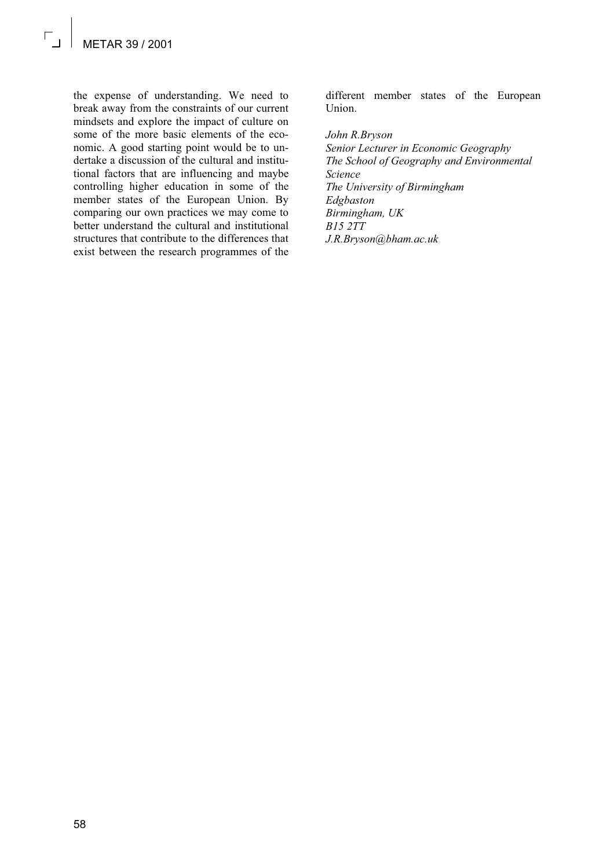$\overline{\Gamma}$ 

the expense of understanding. We need to break away from the constraints of our current mindsets and explore the impact of culture on some of the more basic elements of the economic. A good starting point would be to undertake a discussion of the cultural and institutional factors that are influencing and maybe controlling higher education in some of the member states of the European Union. By comparing our own practices we may come to better understand the cultural and institutional structures that contribute to the differences that exist between the research programmes of the

different member states of the European Union.

*John R.Bryson Senior Lecturer in Economic Geography The School of Geography and Environmental Science The University of Birmingham Edgbaston Birmingham, UK B15 2TT J.R.Bryson@bham.ac.uk*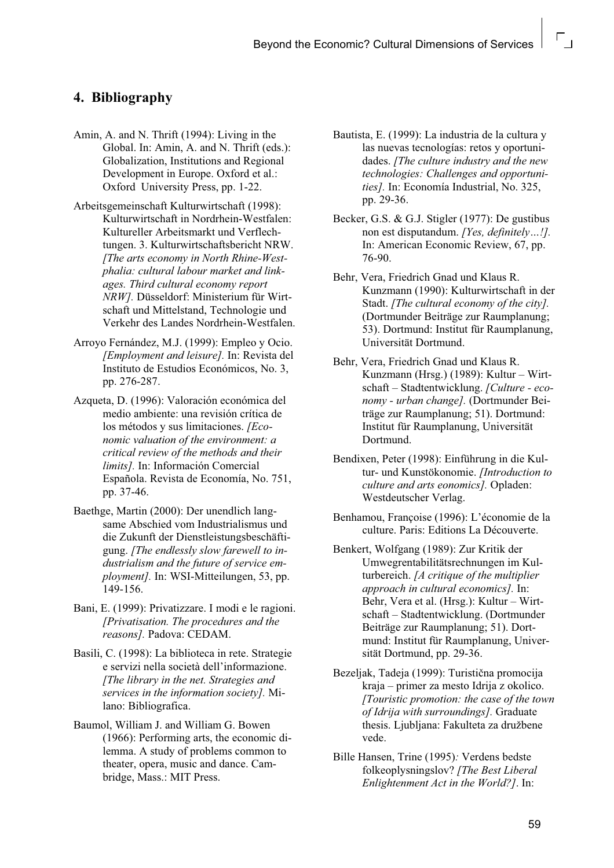## **4. Bibliography**

- Amin, A. and N. Thrift (1994): Living in the Global. In: Amin, A. and N. Thrift (eds.): Globalization, Institutions and Regional Development in Europe. Oxford et al.: Oxford University Press, pp. 1-22.
- Arbeitsgemeinschaft Kulturwirtschaft (1998): Kulturwirtschaft in Nordrhein-Westfalen: Kultureller Arbeitsmarkt und Verflechtungen. 3. Kulturwirtschaftsbericht NRW. *[The arts economy in North Rhine-Westphalia: cultural labour market and linkages. Third cultural economy report NRW].* Düsseldorf: Ministerium für Wirtschaft und Mittelstand, Technologie und Verkehr des Landes Nordrhein-Westfalen.
- Arroyo Fernández, M.J. (1999): Empleo y Ocio. *[Employment and leisure].* In: Revista del Instituto de Estudios Económicos, No. 3, pp. 276-287.
- Azqueta, D. (1996): Valoración económica del medio ambiente: una revisión crítica de los métodos y sus limitaciones. *[Economic valuation of the environment: a critical review of the methods and their limits].* In: Información Comercial Española. Revista de Economía, No. 751, pp. 37-46.
- Baethge, Martin (2000): Der unendlich langsame Abschied vom Industrialismus und die Zukunft der Dienstleistungsbeschäftigung. *[The endlessly slow farewell to industrialism and the future of service employment].* In: WSI-Mitteilungen, 53, pp. 149-156.
- Bani, E. (1999): Privatizzare. I modi e le ragioni. *[Privatisation. The procedures and the reasons].* Padova: CEDAM.
- Basili, C. (1998): La biblioteca in rete. Strategie e servizi nella società dell'informazione. *[The library in the net. Strategies and services in the information society].* Milano: Bibliografica.
- Baumol, William J. and William G. Bowen (1966): Performing arts, the economic dilemma. A study of problems common to theater, opera, music and dance. Cambridge, Mass.: MIT Press.
- Bautista, E. (1999): La industria de la cultura y las nuevas tecnologías: retos y oportunidades. *[The culture industry and the new technologies: Challenges and opportunities].* In: Economía Industrial, No. 325, pp. 29-36.
- Becker, G.S. & G.J. Stigler (1977): De gustibus non est disputandum. *[Yes, definitely…!].* In: American Economic Review, 67, pp. 76-90.
- Behr, Vera, Friedrich Gnad und Klaus R. Kunzmann (1990): Kulturwirtschaft in der Stadt. *[The cultural economy of the city].* (Dortmunder Beiträge zur Raumplanung; 53). Dortmund: Institut für Raumplanung, Universität Dortmund.
- Behr, Vera, Friedrich Gnad und Klaus R. Kunzmann (Hrsg.) (1989): Kultur – Wirtschaft – Stadtentwicklung. *[Culture - economy - urban change].* (Dortmunder Beiträge zur Raumplanung; 51). Dortmund: Institut für Raumplanung, Universität Dortmund.
- Bendixen, Peter (1998): Einführung in die Kultur- und Kunstökonomie. *[Introduction to culture and arts eonomics].* Opladen: Westdeutscher Verlag.
- Benhamou, Françoise (1996): L'économie de la culture. Paris: Editions La Découverte.
- Benkert, Wolfgang (1989): Zur Kritik der Umwegrentabilitätsrechnungen im Kulturbereich. *[A critique of the multiplier approach in cultural economics].* In: Behr, Vera et al. (Hrsg.): Kultur – Wirtschaft – Stadtentwicklung. (Dortmunder Beiträge zur Raumplanung; 51). Dortmund: Institut für Raumplanung, Universität Dortmund, pp. 29-36.
- Bezeljak, Tadeja (1999): Turistična promocija kraja – primer za mesto Idrija z okolico. *[Touristic promotion: the case of the town of Idrija with surroundings].* Graduate thesis. Ljubljana: Fakulteta za družbene vede.
- Bille Hansen, Trine (1995)*:* Verdens bedste folkeoplysningslov? *[The Best Liberal Enlightenment Act in the World?]*. In: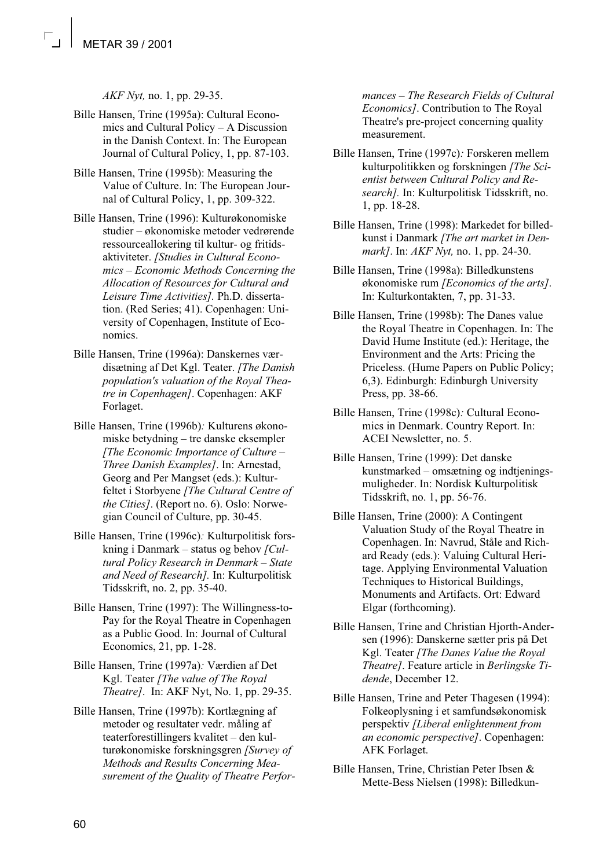*AKF Nyt,* no. 1, pp. 29-35.

- Bille Hansen, Trine (1995a): Cultural Economics and Cultural Policy – A Discussion in the Danish Context. In: The European Journal of Cultural Policy, 1, pp. 87-103.
- Bille Hansen, Trine (1995b): Measuring the Value of Culture. In: The European Journal of Cultural Policy, 1, pp. 309-322.
- Bille Hansen, Trine (1996): Kulturøkonomiske studier – økonomiske metoder vedrørende ressourceallokering til kultur- og fritidsaktiviteter. *[Studies in Cultural Economics – Economic Methods Concerning the Allocation of Resources for Cultural and Leisure Time Activities].* Ph.D. dissertation. (Red Series; 41). Copenhagen: University of Copenhagen, Institute of Economics.
- Bille Hansen, Trine (1996a): Danskernes værdisætning af Det Kgl. Teater. *[The Danish population's valuation of the Royal Theatre in Copenhagen]*. Copenhagen: AKF Forlaget.
- Bille Hansen, Trine (1996b)*:* Kulturens økonomiske betydning – tre danske eksempler *[The Economic Importance of Culture – Three Danish Examples]*. In: Arnestad, Georg and Per Mangset (eds.): Kulturfeltet i Storbyene *[The Cultural Centre of the Cities]*. (Report no. 6). Oslo: Norwegian Council of Culture, pp. 30-45.
- Bille Hansen, Trine (1996c)*:* Kulturpolitisk forskning i Danmark – status og behov *[Cultural Policy Research in Denmark – State and Need of Research].* In: Kulturpolitisk Tidsskrift, no. 2, pp. 35-40.
- Bille Hansen, Trine (1997): The Willingness-to-Pay for the Royal Theatre in Copenhagen as a Public Good. In: Journal of Cultural Economics, 21, pp. 1-28.
- Bille Hansen, Trine (1997a)*:* Værdien af Det Kgl. Teater *[The value of The Royal Theatre]*. In: AKF Nyt, No. 1, pp. 29-35.
- Bille Hansen, Trine (1997b): Kortlægning af metoder og resultater vedr. måling af teaterforestillingers kvalitet – den kulturøkonomiske forskningsgren *[Survey of Methods and Results Concerning Measurement of the Quality of Theatre Perfor-*

*mances – The Research Fields of Cultural Economics]*. Contribution to The Royal Theatre's pre-project concerning quality measurement.

- Bille Hansen, Trine (1997c)*:* Forskeren mellem kulturpolitikken og forskningen *[The Scientist between Cultural Policy and Research].* In: Kulturpolitisk Tidsskrift, no. 1, pp. 18-28.
- Bille Hansen, Trine (1998): Markedet for billedkunst i Danmark *[The art market in Denmark]*. In: *AKF Nyt,* no. 1, pp. 24-30.
- Bille Hansen, Trine (1998a): Billedkunstens økonomiske rum *[Economics of the arts]*. In: Kulturkontakten, 7, pp. 31-33.
- Bille Hansen, Trine (1998b): The Danes value the Royal Theatre in Copenhagen. In: The David Hume Institute (ed.): Heritage, the Environment and the Arts: Pricing the Priceless. (Hume Papers on Public Policy; 6,3). Edinburgh: Edinburgh University Press, pp. 38-66.
- Bille Hansen, Trine (1998c)*:* Cultural Economics in Denmark. Country Report. In: ACEI Newsletter, no. 5.
- Bille Hansen, Trine (1999): Det danske kunstmarked – omsætning og indtjeningsmuligheder. In: Nordisk Kulturpolitisk Tidsskrift, no. 1, pp. 56-76.
- Bille Hansen, Trine (2000): A Contingent Valuation Study of the Royal Theatre in Copenhagen. In: Navrud, Ståle and Richard Ready (eds.): Valuing Cultural Heritage. Applying Environmental Valuation Techniques to Historical Buildings, Monuments and Artifacts. Ort: Edward Elgar (forthcoming).
- Bille Hansen, Trine and Christian Hjorth-Andersen (1996): Danskerne sætter pris på Det Kgl. Teater *[The Danes Value the Royal Theatre]*. Feature article in *Berlingske Tidende*, December 12.
- Bille Hansen, Trine and Peter Thagesen (1994): Folkeoplysning i et samfundsøkonomisk perspektiv *[Liberal enlightenment from an economic perspective]*. Copenhagen: AFK Forlaget.
- Bille Hansen, Trine, Christian Peter Ibsen & Mette-Bess Nielsen (1998): Billedkun-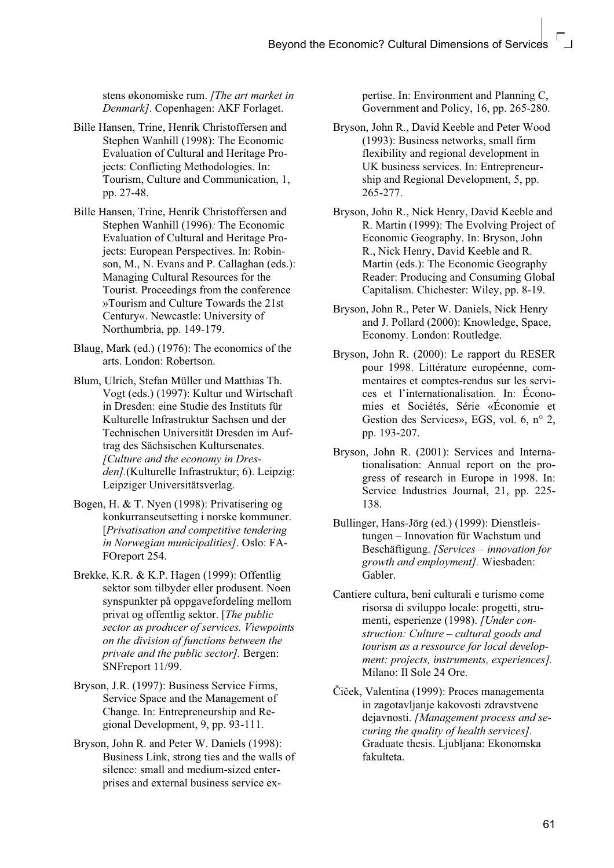stens økonomiske rum. *[The art market in Denmark]*. Copenhagen: AKF Forlaget.

- Bille Hansen, Trine, Henrik Christoffersen and Stephen Wanhill (1998): The Economic Evaluation of Cultural and Heritage Projects: Conflicting Methodologies. In: Tourism, Culture and Communication, 1, pp. 27-48.
- Bille Hansen, Trine, Henrik Christoffersen and Stephen Wanhill (1996)*:* The Economic Evaluation of Cultural and Heritage Projects: European Perspectives. In: Robinson, M., N. Evans and P. Callaghan (eds.): Managing Cultural Resources for the Tourist. Proceedings from the conference »Tourism and Culture Towards the 21st Century«. Newcastle: University of Northumbria, pp. 149-179.
- Blaug, Mark (ed.) (1976): The economics of the arts. London: Robertson.
- Blum, Ulrich, Stefan Müller und Matthias Th. Vogt (eds.) (1997): Kultur und Wirtschaft in Dresden: eine Studie des Instituts für Kulturelle Infrastruktur Sachsen und der Technischen Universität Dresden im Auftrag des Sächsischen Kultursenates. *[Culture and the economy in Dresden].*(Kulturelle Infrastruktur; 6). Leipzig: Leipziger Universitätsverlag.
- Bogen, H. & T. Nyen (1998): Privatisering og konkurranseutsetting i norske kommuner. [*Privatisation and competitive tendering in Norwegian municipalities]*. Oslo: FA-FOreport 254.
- Brekke, K.R. & K.P. Hagen (1999): Offentlig sektor som tilbyder eller produsent. Noen synspunkter på oppgavefordeling mellom privat og offentlig sektor. [*The public sector as producer of services. Viewpoints on the division of functions between the private and the public sector].* Bergen: SNFreport 11/99.
- Bryson, J.R. (1997): Business Service Firms, Service Space and the Management of Change. In: Entrepreneurship and Regional Development, 9, pp. 93-111.
- Bryson, John R. and Peter W. Daniels (1998): Business Link, strong ties and the walls of silence: small and medium-sized enterprises and external business service ex-

pertise. In: Environment and Planning C, Government and Policy, 16, pp. 265-280.

- Bryson, John R., David Keeble and Peter Wood (1993): Business networks, small firm flexibility and regional development in UK business services. In: Entrepreneurship and Regional Development, 5, pp. 265-277.
- Bryson, John R., Nick Henry, David Keeble and R. Martin (1999): The Evolving Project of Economic Geography. In: Bryson, John R., Nick Henry, David Keeble and R. Martin (eds.): The Economic Geography Reader: Producing and Consuming Global Capitalism. Chichester: Wiley, pp. 8-19.
- Bryson, John R., Peter W. Daniels, Nick Henry and J. Pollard (2000): Knowledge, Space, Economy. London: Routledge.
- Bryson, John R. (2000): Le rapport du RESER pour 1998. Littérature européenne, commentaires et comptes-rendus sur les services et l'internationalisation. In: Économies et Sociétés, Série «Économie et Gestion des Services», EGS, vol. 6, n° 2, pp. 193-207.
- Bryson, John R. (2001): Services and Internationalisation: Annual report on the progress of research in Europe in 1998. In: Service Industries Journal, 21, pp. 225- 138.
- Bullinger, Hans-Jörg (ed.) (1999): Dienstleistungen – Innovation für Wachstum und Beschäftigung. *[Services – innovation for growth and employment].* Wiesbaden: Gabler.
- Cantiere cultura, beni culturali e turismo come risorsa di sviluppo locale: progetti, strumenti, esperienze (1998). *[Under construction: Culture – cultural goods and tourism as a ressource for local development: projects, instruments, experiences].* Milano: Il Sole 24 Ore.
- Čiček, Valentina (1999): Proces managementa in zagotavljanje kakovosti zdravstvene dejavnosti. *[Management process and securing the quality of health services].* Graduate thesis. Ljubljana: Ekonomska fakulteta.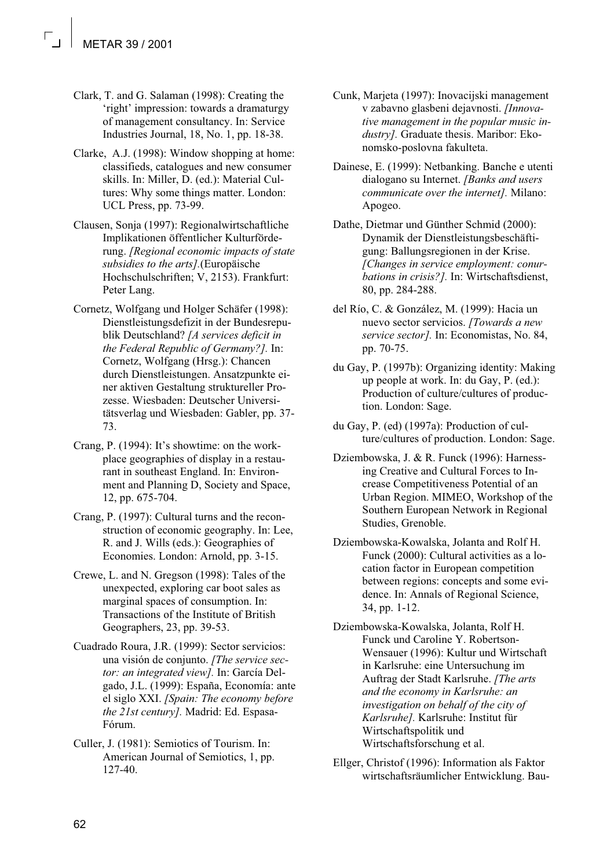- Clark, T. and G. Salaman (1998): Creating the 'right' impression: towards a dramaturgy of management consultancy. In: Service Industries Journal, 18, No. 1, pp. 18-38.
- Clarke, A.J. (1998): Window shopping at home: classifieds, catalogues and new consumer skills. In: Miller, D. (ed.): Material Cultures: Why some things matter. London: UCL Press, pp. 73-99.
- Clausen, Sonja (1997): Regionalwirtschaftliche Implikationen öffentlicher Kulturförderung. *[Regional economic impacts of state subsidies to the arts].*(Europäische Hochschulschriften; V, 2153). Frankfurt: Peter Lang.
- Cornetz, Wolfgang und Holger Schäfer (1998): Dienstleistungsdefizit in der Bundesrepublik Deutschland? *[A services deficit in the Federal Republic of Germany?].* In: Cornetz, Wolfgang (Hrsg.): Chancen durch Dienstleistungen. Ansatzpunkte einer aktiven Gestaltung struktureller Prozesse. Wiesbaden: Deutscher Universitätsverlag und Wiesbaden: Gabler, pp. 37- 73.
- Crang, P. (1994): It's showtime: on the workplace geographies of display in a restaurant in southeast England. In: Environment and Planning D, Society and Space, 12, pp. 675-704.
- Crang, P. (1997): Cultural turns and the reconstruction of economic geography. In: Lee, R. and J. Wills (eds.): Geographies of Economies. London: Arnold, pp. 3-15.
- Crewe, L. and N. Gregson (1998): Tales of the unexpected, exploring car boot sales as marginal spaces of consumption. In: Transactions of the Institute of British Geographers, 23, pp. 39-53.
- Cuadrado Roura, J.R. (1999): Sector servicios: una visión de conjunto. *[The service sector: an integrated view].* In: García Delgado, J.L. (1999): España, Economía: ante el siglo XXI. *[Spain: The economy before the 21st century].* Madrid: Ed. Espasa-Fórum.
- Culler, J. (1981): Semiotics of Tourism. In: American Journal of Semiotics, 1, pp. 127-40.
- Cunk, Marjeta (1997): Inovacijski management v zabavno glasbeni dejavnosti. *[Innovative management in the popular music industry].* Graduate thesis. Maribor: Ekonomsko-poslovna fakulteta.
- Dainese, E. (1999): Netbanking. Banche e utenti dialogano su Internet. *[Banks and users communicate over the internet].* Milano: Apogeo.
- Dathe, Dietmar und Günther Schmid (2000): Dynamik der Dienstleistungsbeschäftigung: Ballungsregionen in der Krise. *[Changes in service employment: conurbations in crisis?].* In: Wirtschaftsdienst, 80, pp. 284-288.
- del Río, C. & González, M. (1999): Hacia un nuevo sector servicios. *[Towards a new service sector].* In: Economistas, No. 84, pp. 70-75.
- du Gay, P. (1997b): Organizing identity: Making up people at work. In: du Gay, P. (ed.): Production of culture/cultures of production. London: Sage.
- du Gay, P. (ed) (1997a): Production of culture/cultures of production. London: Sage.
- Dziembowska, J. & R. Funck (1996): Harnessing Creative and Cultural Forces to Increase Competitiveness Potential of an Urban Region. MIMEO, Workshop of the Southern European Network in Regional Studies, Grenoble.
- Dziembowska-Kowalska, Jolanta and Rolf H. Funck (2000): Cultural activities as a location factor in European competition between regions: concepts and some evidence. In: Annals of Regional Science, 34, pp. 1-12.
- Dziembowska-Kowalska, Jolanta, Rolf H. Funck und Caroline Y. Robertson-Wensauer (1996): Kultur und Wirtschaft in Karlsruhe: eine Untersuchung im Auftrag der Stadt Karlsruhe. *[The arts and the economy in Karlsruhe: an investigation on behalf of the city of Karlsruhe].* Karlsruhe: Institut für Wirtschaftspolitik und Wirtschaftsforschung et al.
- Ellger, Christof (1996): Information als Faktor wirtschaftsräumlicher Entwicklung. Bau-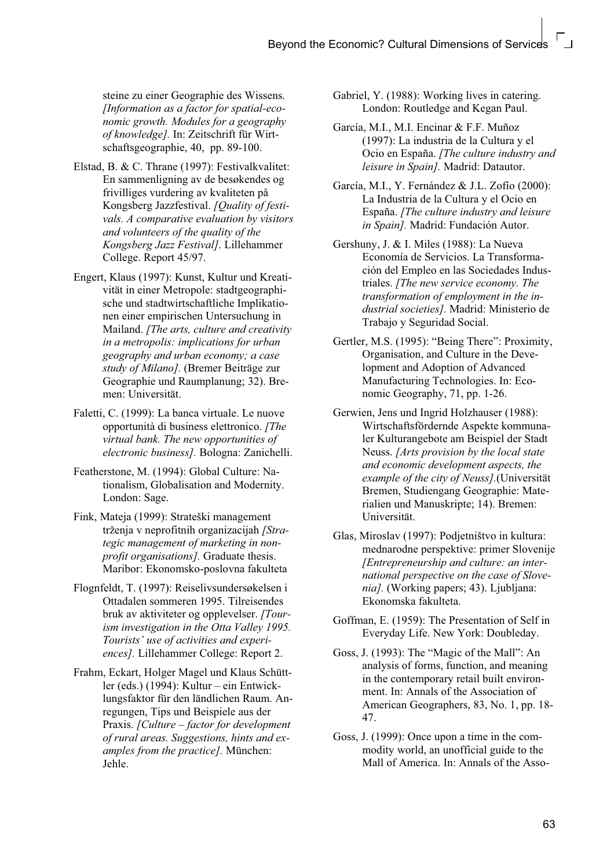steine zu einer Geographie des Wissens. *[Information as a factor for spatial-economic growth. Modules for a geography of knowledge].* In: Zeitschrift für Wirtschaftsgeographie, 40, pp. 89-100.

- Elstad, B. & C. Thrane (1997): Festivalkvalitet: En sammenligning av de besøkendes og frivilliges vurdering av kvaliteten på Kongsberg Jazzfestival. *[Quality of festivals. A comparative evaluation by visitors and volunteers of the quality of the Kongsberg Jazz Festival]*. Lillehammer College. Report 45/97.
- Engert, Klaus (1997): Kunst, Kultur und Kreativität in einer Metropole: stadtgeographische und stadtwirtschaftliche Implikationen einer empirischen Untersuchung in Mailand. *[The arts, culture and creativity in a metropolis: implications for urban geography and urban economy; a case study of Milano].* (Bremer Beiträge zur Geographie und Raumplanung; 32). Bremen: Universität.
- Faletti, C. (1999): La banca virtuale. Le nuove opportunità di business elettronico. *[The virtual bank. The new opportunities of electronic business].* Bologna: Zanichelli.
- Featherstone, M. (1994): Global Culture: Nationalism, Globalisation and Modernity. London: Sage.
- Fink, Mateja (1999): Strateški management trženja v neprofitnih organizacijah *[Strategic management of marketing in nonprofit organisations].* Graduate thesis. Maribor: Ekonomsko-poslovna fakulteta
- Flognfeldt, T. (1997): Reiselivsundersøkelsen i Ottadalen sommeren 1995. Tilreisendes bruk av aktiviteter og opplevelser. *[Tourism investigation in the Otta Valley 1995. Tourists' use of activities and experiences].* Lillehammer College: Report 2.
- Frahm, Eckart, Holger Magel und Klaus Schüttler (eds.) (1994): Kultur – ein Entwicklungsfaktor für den ländlichen Raum. Anregungen, Tips und Beispiele aus der Praxis. *[Culture – factor for development of rural areas. Suggestions, hints and examples from the practice].* München: Jehle.

Gabriel, Y. (1988): Working lives in catering. London: Routledge and Kegan Paul.

- García, M.I., M.I. Encinar & F.F. Muñoz (1997): La industria de la Cultura y el Ocio en España. *[The culture industry and leisure in Spain].* Madrid: Datautor.
- García, M.I., Y. Fernández & J.L. Zofío (2000): La Industria de la Cultura y el Ocio en España. *[The culture industry and leisure in Spain].* Madrid: Fundación Autor.
- Gershuny, J. & I. Miles (1988): La Nueva Economía de Servicios. La Transformación del Empleo en las Sociedades Industriales. *[The new service economy. The transformation of employment in the industrial societies].* Madrid: Ministerio de Trabajo y Seguridad Social.
- Gertler, M.S. (1995): "Being There": Proximity, Organisation, and Culture in the Development and Adoption of Advanced Manufacturing Technologies. In: Economic Geography, 71, pp. 1-26.
- Gerwien, Jens und Ingrid Holzhauser (1988): Wirtschaftsfördernde Aspekte kommunaler Kulturangebote am Beispiel der Stadt Neuss. *[Arts provision by the local state and economic development aspects, the example of the city of Neuss].*(Universität Bremen, Studiengang Geographie: Materialien und Manuskripte; 14). Bremen: Universität.
- Glas, Miroslav (1997): Podjetništvo in kultura: mednarodne perspektive: primer Slovenije *[Entrepreneurship and culture: an international perspective on the case of Slovenia].* (Working papers; 43). Ljubljana: Ekonomska fakulteta.
- Goffman, E. (1959): The Presentation of Self in Everyday Life. New York: Doubleday.
- Goss, J. (1993): The "Magic of the Mall": An analysis of forms, function, and meaning in the contemporary retail built environment. In: Annals of the Association of American Geographers, 83, No. 1, pp. 18- 47.
- Goss, J. (1999): Once upon a time in the commodity world, an unofficial guide to the Mall of America. In: Annals of the Asso-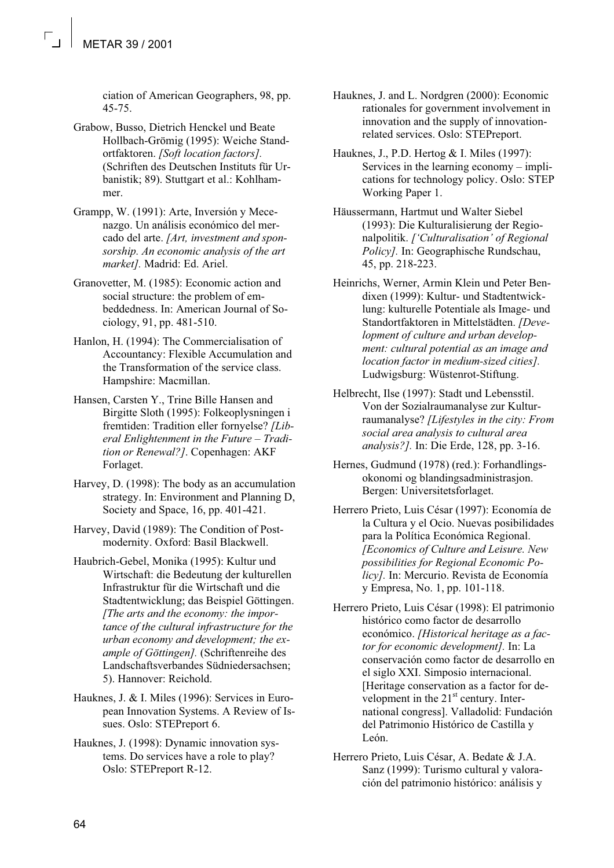ciation of American Geographers, 98, pp. 45-75.

- Grabow, Busso, Dietrich Henckel und Beate Hollbach-Grömig (1995): Weiche Standortfaktoren. *[Soft location factors].* (Schriften des Deutschen Instituts für Urbanistik; 89). Stuttgart et al.: Kohlhammer.
- Grampp, W. (1991): Arte, Inversión y Mecenazgo. Un análisis económico del mercado del arte. *[Art, investment and sponsorship. An economic analysis of the art market].* Madrid: Ed. Ariel.
- Granovetter, M. (1985): Economic action and social structure: the problem of embeddedness. In: American Journal of Sociology, 91, pp. 481-510.
- Hanlon, H. (1994): The Commercialisation of Accountancy: Flexible Accumulation and the Transformation of the service class. Hampshire: Macmillan.
- Hansen, Carsten Y., Trine Bille Hansen and Birgitte Sloth (1995): Folkeoplysningen i fremtiden: Tradition eller fornyelse? *[Liberal Enlightenment in the Future – Tradition or Renewal?]*. Copenhagen: AKF Forlaget.
- Harvey, D. (1998): The body as an accumulation strategy. In: Environment and Planning D, Society and Space, 16, pp. 401-421.
- Harvey, David (1989): The Condition of Postmodernity. Oxford: Basil Blackwell.
- Haubrich-Gebel, Monika (1995): Kultur und Wirtschaft: die Bedeutung der kulturellen Infrastruktur für die Wirtschaft und die Stadtentwicklung; das Beispiel Göttingen. *[The arts and the economy: the importance of the cultural infrastructure for the urban economy and development; the example of Göttingen].* (Schriftenreihe des Landschaftsverbandes Südniedersachsen; 5). Hannover: Reichold.
- Hauknes, J. & I. Miles (1996): Services in European Innovation Systems. A Review of Issues. Oslo: STEPreport 6.
- Hauknes, J. (1998): Dynamic innovation systems. Do services have a role to play? Oslo: STEPreport R-12.
- Hauknes, J. and L. Nordgren (2000): Economic rationales for government involvement in innovation and the supply of innovationrelated services. Oslo: STEPreport.
- Hauknes, J., P.D. Hertog & I. Miles (1997): Services in the learning economy – implications for technology policy. Oslo: STEP Working Paper 1.
- Häussermann, Hartmut und Walter Siebel (1993): Die Kulturalisierung der Regionalpolitik. *['Culturalisation' of Regional Policy].* In: Geographische Rundschau, 45, pp. 218-223.
- Heinrichs, Werner, Armin Klein und Peter Bendixen (1999): Kultur- und Stadtentwicklung: kulturelle Potentiale als Image- und Standortfaktoren in Mittelstädten. *[Development of culture and urban development: cultural potential as an image and location factor in medium-sized cities].* Ludwigsburg: Wüstenrot-Stiftung.
- Helbrecht, Ilse (1997): Stadt und Lebensstil. Von der Sozialraumanalyse zur Kulturraumanalyse? *[Lifestyles in the city: From social area analysis to cultural area analysis?].* In: Die Erde, 128, pp. 3-16.
- Hernes, Gudmund (1978) (red.): Forhandlingsokonomi og blandingsadministrasjon. Bergen: Universitetsforlaget.
- Herrero Prieto, Luis César (1997): Economía de la Cultura y el Ocio. Nuevas posibilidades para la Política Económica Regional. *[Economics of Culture and Leisure. New possibilities for Regional Economic Policy].* In: Mercurio. Revista de Economía y Empresa, No. 1, pp. 101-118.
- Herrero Prieto, Luis César (1998): El patrimonio histórico como factor de desarrollo económico. *[Historical heritage as a factor for economic development].* In: La conservación como factor de desarrollo en el siglo XXI. Simposio internacional. [Heritage conservation as a factor for development in the  $21<sup>st</sup>$  century. International congress]. Valladolid: Fundación del Patrimonio Histórico de Castilla y León.
- Herrero Prieto, Luis César, A. Bedate & J.A. Sanz (1999): Turismo cultural y valoración del patrimonio histórico: análisis y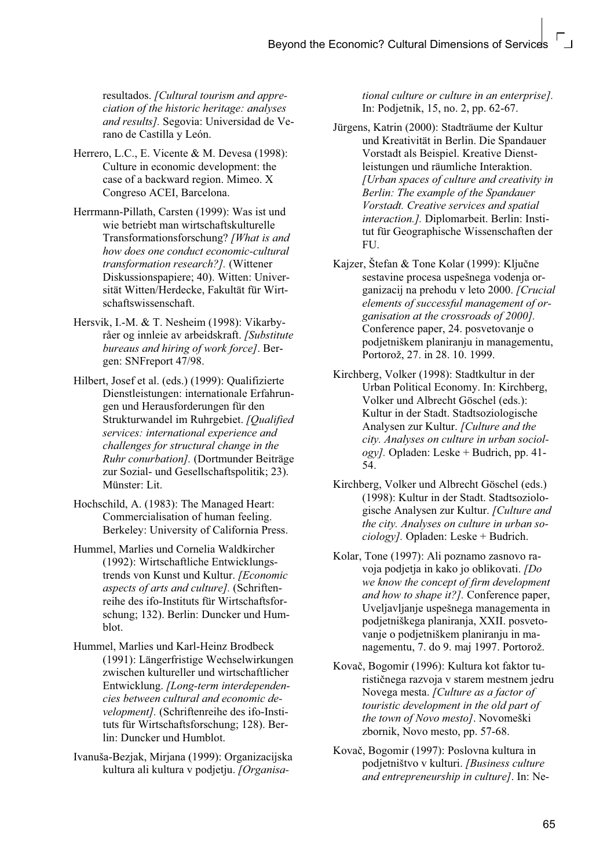resultados. *[Cultural tourism and appreciation of the historic heritage: analyses and results].* Segovia: Universidad de Verano de Castilla y León.

- Herrero, L.C., E. Vicente & M. Devesa (1998): Culture in economic development: the case of a backward region. Mimeo. X Congreso ACEI, Barcelona.
- Herrmann-Pillath, Carsten (1999): Was ist und wie betriebt man wirtschaftskulturelle Transformationsforschung? *[What is and how does one conduct economic-cultural transformation research?].* (Wittener Diskussionspapiere; 40). Witten: Universität Witten/Herdecke, Fakultät für Wirtschaftswissenschaft.
- Hersvik, I.-M. & T. Nesheim (1998): Vikarbyråer og innleie av arbeidskraft. *[Substitute bureaus and hiring of work force]*. Bergen: SNFreport 47/98.
- Hilbert, Josef et al. (eds.) (1999): Qualifizierte Dienstleistungen: internationale Erfahrungen und Herausforderungen für den Strukturwandel im Ruhrgebiet. *[Qualified services: international experience and challenges for structural change in the Ruhr conurbation].* (Dortmunder Beiträge zur Sozial- und Gesellschaftspolitik; 23). Münster: Lit.
- Hochschild, A. (1983): The Managed Heart: Commercialisation of human feeling. Berkeley: University of California Press.
- Hummel, Marlies und Cornelia Waldkircher (1992): Wirtschaftliche Entwicklungstrends von Kunst und Kultur. *[Economic aspects of arts and culture].* (Schriftenreihe des ifo-Instituts für Wirtschaftsforschung; 132). Berlin: Duncker und Humblot.
- Hummel, Marlies und Karl-Heinz Brodbeck (1991): Längerfristige Wechselwirkungen zwischen kultureller und wirtschaftlicher Entwicklung. *[Long-term interdependencies between cultural and economic development].* (Schriftenreihe des ifo-Instituts für Wirtschaftsforschung; 128). Berlin: Duncker und Humblot.
- Ivanuša-Bezjak, Mirjana (1999): Organizacijska kultura ali kultura v podjetju. *[Organisa-*

*tional culture or culture in an enterprise].* In: Podjetnik, 15, no. 2, pp. 62-67.

- Jürgens, Katrin (2000): Stadträume der Kultur und Kreativität in Berlin. Die Spandauer Vorstadt als Beispiel. Kreative Dienstleistungen und räumliche Interaktion. *[Urban spaces of culture and creativity in Berlin: The example of the Spandauer Vorstadt. Creative services and spatial interaction.].* Diplomarbeit. Berlin: Institut für Geographische Wissenschaften der FU.
- Kajzer, Štefan & Tone Kolar (1999): Ključne sestavine procesa uspešnega vodenja organizacij na prehodu v leto 2000. *[Crucial elements of successful management of organisation at the crossroads of 2000].* Conference paper, 24. posvetovanje o podjetniškem planiranju in managementu, Portorož, 27. in 28. 10. 1999.
- Kirchberg, Volker (1998): Stadtkultur in der Urban Political Economy. In: Kirchberg, Volker und Albrecht Göschel (eds.): Kultur in der Stadt. Stadtsoziologische Analysen zur Kultur. *[Culture and the city. Analyses on culture in urban sociology].* Opladen: Leske + Budrich, pp. 41- 54.
- Kirchberg, Volker und Albrecht Göschel (eds.) (1998): Kultur in der Stadt. Stadtsoziologische Analysen zur Kultur. *[Culture and the city. Analyses on culture in urban sociology].* Opladen: Leske + Budrich.
- Kolar, Tone (1997): Ali poznamo zasnovo ravoja podjetja in kako jo oblikovati. *[Do we know the concept of firm development and how to shape it?].* Conference paper, Uveljavljanje uspešnega managementa in podjetniškega planiranja, XXII. posvetovanje o podjetniškem planiranju in managementu, 7. do 9. maj 1997. Portorož.
- Kovač, Bogomir (1996): Kultura kot faktor turističnega razvoja v starem mestnem jedru Novega mesta. *[Culture as a factor of touristic development in the old part of the town of Novo mesto]*. Novomeški zbornik, Novo mesto, pp. 57-68.
- Kovač, Bogomir (1997): Poslovna kultura in podjetništvo v kulturi. *[Business culture and entrepreneurship in culture]*. In: Ne-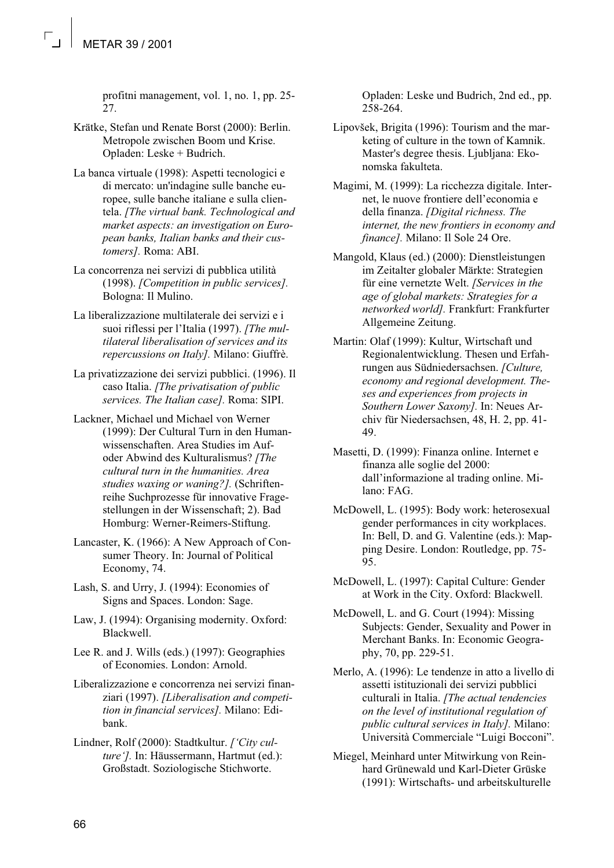profitni management, vol. 1, no. 1, pp. 25- 27.

- Krätke, Stefan und Renate Borst (2000): Berlin. Metropole zwischen Boom und Krise. Opladen: Leske + Budrich.
- La banca virtuale (1998): Aspetti tecnologici e di mercato: un'indagine sulle banche europee, sulle banche italiane e sulla clientela. *[The virtual bank. Technological and market aspects: an investigation on European banks, Italian banks and their customers].* Roma: ABI.
- La concorrenza nei servizi di pubblica utilità (1998). *[Competition in public services].* Bologna: Il Mulino.
- La liberalizzazione multilaterale dei servizi e i suoi riflessi per l'Italia (1997). *[The multilateral liberalisation of services and its repercussions on Italy].* Milano: Giuffrè.
- La privatizzazione dei servizi pubblici. (1996). Il caso Italia. *[The privatisation of public services. The Italian case].* Roma: SIPI.
- Lackner, Michael und Michael von Werner (1999): Der Cultural Turn in den Humanwissenschaften. Area Studies im Aufoder Abwind des Kulturalismus? *[The cultural turn in the humanities. Area studies waxing or waning?].* (Schriftenreihe Suchprozesse für innovative Fragestellungen in der Wissenschaft; 2). Bad Homburg: Werner-Reimers-Stiftung.
- Lancaster, K. (1966): A New Approach of Consumer Theory. In: Journal of Political Economy, 74.
- Lash, S. and Urry, J. (1994): Economies of Signs and Spaces. London: Sage.
- Law, J. (1994): Organising modernity. Oxford: Blackwell.
- Lee R. and J. Wills (eds.) (1997): Geographies of Economies. London: Arnold.
- Liberalizzazione e concorrenza nei servizi finanziari (1997). *[Liberalisation and competition in financial services].* Milano: Edibank.
- Lindner, Rolf (2000): Stadtkultur. *['City culture'].* In: Häussermann, Hartmut (ed.): Großstadt. Soziologische Stichworte.

Opladen: Leske und Budrich, 2nd ed., pp. 258-264.

- Lipovšek, Brigita (1996): Tourism and the marketing of culture in the town of Kamnik. Master's degree thesis. Ljubljana: Ekonomska fakulteta.
- Magimi, M. (1999): La ricchezza digitale. Internet, le nuove frontiere dell'economia e della finanza. *[Digital richness. The internet, the new frontiers in economy and finance].* Milano: Il Sole 24 Ore.
- Mangold, Klaus (ed.) (2000): Dienstleistungen im Zeitalter globaler Märkte: Strategien für eine vernetzte Welt. *[Services in the age of global markets: Strategies for a networked world].* Frankfurt: Frankfurter Allgemeine Zeitung.
- Martin: Olaf (1999): Kultur, Wirtschaft und Regionalentwicklung. Thesen und Erfahrungen aus Südniedersachsen. *[Culture, economy and regional development. Theses and experiences from projects in Southern Lower Saxony].* In: Neues Archiv für Niedersachsen, 48, H. 2, pp. 41- 49.
- Masetti, D. (1999): Finanza online. Internet e finanza alle soglie del 2000: dall'informazione al trading online. Milano: FAG.
- McDowell, L. (1995): Body work: heterosexual gender performances in city workplaces. In: Bell, D. and G. Valentine (eds.): Mapping Desire. London: Routledge, pp. 75- 95.
- McDowell, L. (1997): Capital Culture: Gender at Work in the City. Oxford: Blackwell.
- McDowell, L. and G. Court (1994): Missing Subjects: Gender, Sexuality and Power in Merchant Banks. In: Economic Geography, 70, pp. 229-51.
- Merlo, A. (1996): Le tendenze in atto a livello di assetti istituzionali dei servizi pubblici culturali in Italia. *[The actual tendencies on the level of institutional regulation of public cultural services in Italy].* Milano: Università Commerciale "Luigi Bocconi".
- Miegel, Meinhard unter Mitwirkung von Reinhard Grünewald und Karl-Dieter Grüske (1991): Wirtschafts- und arbeitskulturelle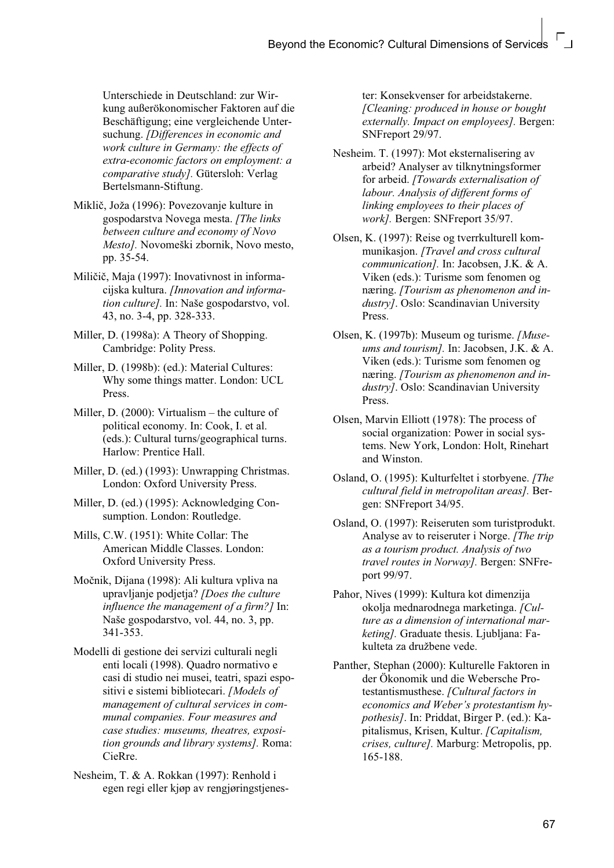Unterschiede in Deutschland: zur Wirkung außerökonomischer Faktoren auf die Beschäftigung; eine vergleichende Untersuchung. *[Differences in economic and work culture in Germany: the effects of extra-economic factors on employment: a comparative study].* Gütersloh: Verlag Bertelsmann-Stiftung.

- Miklič, Joža (1996): Povezovanje kulture in gospodarstva Novega mesta. *[The links between culture and economy of Novo Mesto].* Novomeški zbornik, Novo mesto, pp. 35-54.
- Miličič, Maja (1997): Inovativnost in informacijska kultura. *[Innovation and information culture].* In: Naše gospodarstvo, vol. 43, no. 3-4, pp. 328-333.
- Miller, D. (1998a): A Theory of Shopping. Cambridge: Polity Press.
- Miller, D. (1998b): (ed.): Material Cultures: Why some things matter. London: UCL Press.
- Miller, D. (2000): Virtualism the culture of political economy. In: Cook, I. et al. (eds.): Cultural turns/geographical turns. Harlow: Prentice Hall.
- Miller, D. (ed.) (1993): Unwrapping Christmas. London: Oxford University Press.
- Miller, D. (ed.) (1995): Acknowledging Consumption. London: Routledge.
- Mills, C.W. (1951): White Collar: The American Middle Classes. London: Oxford University Press.
- Močnik, Dijana (1998): Ali kultura vpliva na upravljanje podjetja? *[Does the culture influence the management of a firm?]* In: Naše gospodarstvo, vol. 44, no. 3, pp. 341-353.
- Modelli di gestione dei servizi culturali negli enti locali (1998). Quadro normativo e casi di studio nei musei, teatri, spazi espositivi e sistemi bibliotecari. *[Models of management of cultural services in communal companies. Four measures and case studies: museums, theatres, exposition grounds and library systems].* Roma: CieRre.
- Nesheim, T. & A. Rokkan (1997): Renhold i egen regi eller kjøp av rengjøringstjenes-

ter: Konsekvenser for arbeidstakerne. *[Cleaning: produced in house or bought externally. Impact on employees].* Bergen: SNFreport 29/97.

- Nesheim. T. (1997): Mot eksternalisering av arbeid? Analyser av tilknytningsformer for arbeid. *[Towards externalisation of labour. Analysis of different forms of linking employees to their places of work].* Bergen: SNFreport 35/97.
- Olsen, K. (1997): Reise og tverrkulturell kommunikasjon. *[Travel and cross cultural communication].* In: Jacobsen, J.K. & A. Viken (eds.): Turisme som fenomen og næring. *[Tourism as phenomenon and industry]*. Oslo: Scandinavian University Press.
- Olsen, K. (1997b): Museum og turisme. *[Museums and tourism].* In: Jacobsen, J.K. & A. Viken (eds.): Turisme som fenomen og næring. *[Tourism as phenomenon and industry]*. Oslo: Scandinavian University Press.
- Olsen, Marvin Elliott (1978): The process of social organization: Power in social systems. New York, London: Holt, Rinehart and Winston.
- Osland, O. (1995): Kulturfeltet i storbyene. *[The cultural field in metropolitan areas].* Bergen: SNFreport 34/95.
- Osland, O. (1997): Reiseruten som turistprodukt. Analyse av to reiseruter i Norge. *[The trip as a tourism product. Analysis of two travel routes in Norway].* Bergen: SNFreport 99/97.
- Pahor, Nives (1999): Kultura kot dimenzija okolja mednarodnega marketinga. *[Culture as a dimension of international marketing].* Graduate thesis. Ljubljana: Fakulteta za družbene vede.
- Panther, Stephan (2000): Kulturelle Faktoren in der Ökonomik und die Webersche Protestantismusthese. *[Cultural factors in economics and Weber's protestantism hypothesis]*. In: Priddat, Birger P. (ed.): Kapitalismus, Krisen, Kultur. *[Capitalism, crises, culture].* Marburg: Metropolis, pp. 165-188.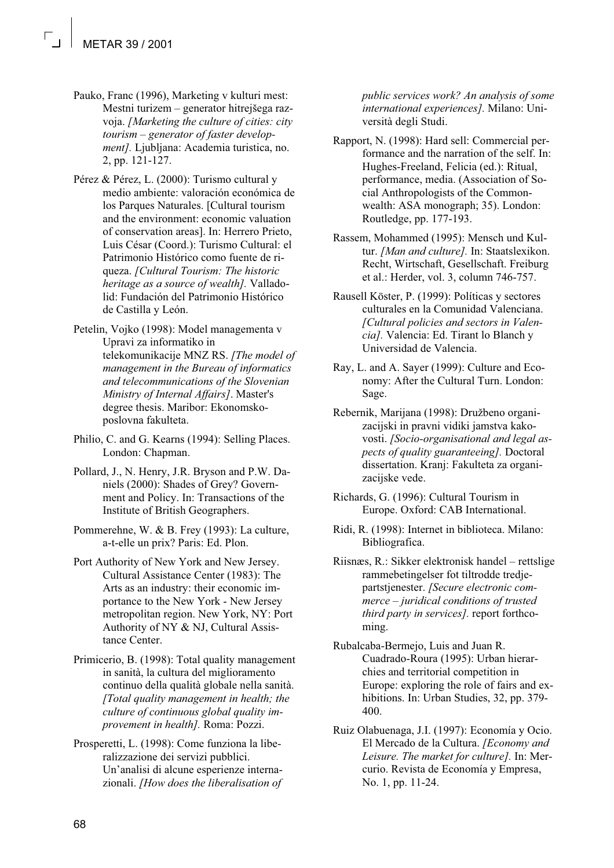- Pauko, Franc (1996), Marketing v kulturi mest: Mestni turizem – generator hitrejšega razvoja. *[Marketing the culture of cities: city tourism – generator of faster development].* Ljubljana: Academia turistica, no. 2, pp. 121-127.
- Pérez & Pérez, L. (2000): Turismo cultural y medio ambiente: valoración económica de los Parques Naturales. [Cultural tourism] and the environment: economic valuation of conservation areas]. In: Herrero Prieto, Luis César (Coord.): Turismo Cultural: el Patrimonio Histórico como fuente de riqueza. *[Cultural Tourism: The historic heritage as a source of wealth].* Valladolid: Fundación del Patrimonio Histórico de Castilla y León.
- Petelin, Vojko (1998): Model managementa v Upravi za informatiko in telekomunikacije MNZ RS. *[The model of management in the Bureau of informatics and telecommunications of the Slovenian Ministry of Internal Affairs]*. Master's degree thesis. Maribor: Ekonomskoposlovna fakulteta.
- Philio, C. and G. Kearns (1994): Selling Places. London: Chapman.
- Pollard, J., N. Henry, J.R. Bryson and P.W. Daniels (2000): Shades of Grey? Government and Policy. In: Transactions of the Institute of British Geographers.
- Pommerehne, W. & B. Frey (1993): La culture, a-t-elle un prix? Paris: Ed. Plon.
- Port Authority of New York and New Jersey. Cultural Assistance Center (1983): The Arts as an industry: their economic importance to the New York - New Jersey metropolitan region. New York, NY: Port Authority of NY & NJ, Cultural Assistance Center.
- Primicerio, B. (1998): Total quality management in sanità, la cultura del miglioramento continuo della qualità globale nella sanità. *[Total quality management in health; the culture of continuous global quality improvement in health].* Roma: Pozzi.
- Prosperetti, L. (1998): Come funziona la liberalizzazione dei servizi pubblici. Un'analisi di alcune esperienze internazionali. *[How does the liberalisation of*

*public services work? An analysis of some international experiences].* Milano: Università degli Studi.

- Rapport, N. (1998): Hard sell: Commercial performance and the narration of the self. In: Hughes-Freeland, Felicia (ed.): Ritual, performance, media. (Association of Social Anthropologists of the Commonwealth: ASA monograph; 35). London: Routledge, pp. 177-193.
- Rassem, Mohammed (1995): Mensch und Kultur. *[Man and culture].* In: Staatslexikon. Recht, Wirtschaft, Gesellschaft. Freiburg et al.: Herder, vol. 3, column 746-757.
- Rausell Köster, P. (1999): Políticas y sectores culturales en la Comunidad Valenciana. *[Cultural policies and sectors in Valencia].* Valencia: Ed. Tirant lo Blanch y Universidad de Valencia.
- Ray, L. and A. Sayer (1999): Culture and Economy: After the Cultural Turn. London: Sage.
- Rebernik, Marijana (1998): Družbeno organizacijski in pravni vidiki jamstva kakovosti. *[Socio-organisational and legal aspects of quality guaranteeing].* Doctoral dissertation. Kranj: Fakulteta za organizacijske vede.
- Richards, G. (1996): Cultural Tourism in Europe. Oxford: CAB International.
- Ridi, R. (1998): Internet in biblioteca. Milano: Bibliografica.
- Riisnæs, R.: Sikker elektronisk handel rettslige rammebetingelser fot tiltrodde tredjepartstjenester. *[Secure electronic commerce – juridical conditions of trusted third party in services].* report forthcoming.
- Rubalcaba-Bermejo, Luis and Juan R. Cuadrado-Roura (1995): Urban hierarchies and territorial competition in Europe: exploring the role of fairs and exhibitions. In: Urban Studies, 32, pp. 379- 400.
- Ruiz Olabuenaga, J.I. (1997): Economía y Ocio. El Mercado de la Cultura. *[Economy and Leisure. The market for culture].* In: Mercurio. Revista de Economía y Empresa, No. 1, pp. 11-24.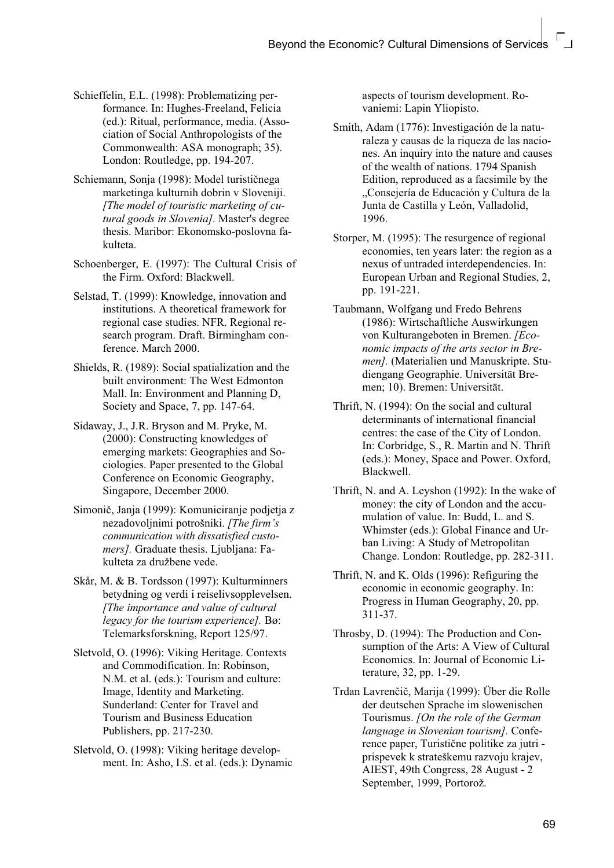- Schieffelin, E.L. (1998): Problematizing performance. In: Hughes-Freeland, Felicia (ed.): Ritual, performance, media. (Association of Social Anthropologists of the Commonwealth: ASA monograph; 35). London: Routledge, pp. 194-207.
- Schiemann, Sonja (1998): Model turističnega marketinga kulturnih dobrin v Sloveniji. *[The model of touristic marketing of cutural goods in Slovenia]*. Master's degree thesis. Maribor: Ekonomsko-poslovna fakulteta.
- Schoenberger, E. (1997): The Cultural Crisis of the Firm. Oxford: Blackwell.
- Selstad, T. (1999): Knowledge, innovation and institutions. A theoretical framework for regional case studies. NFR. Regional research program. Draft. Birmingham conference. March 2000.
- Shields, R. (1989): Social spatialization and the built environment: The West Edmonton Mall. In: Environment and Planning D, Society and Space, 7, pp. 147-64.
- Sidaway, J., J.R. Bryson and M. Pryke, M. (2000): Constructing knowledges of emerging markets: Geographies and Sociologies. Paper presented to the Global Conference on Economic Geography, Singapore, December 2000.
- Simonič, Janja (1999): Komuniciranje podjetja z nezadovoljnimi potrošniki. *[The firm's communication with dissatisfied customers].* Graduate thesis. Ljubljana: Fakulteta za družbene vede.
- Skår, M. & B. Tordsson (1997): Kulturminners betydning og verdi i reiselivsopplevelsen. *[The importance and value of cultural legacy for the tourism experience].* Bø: Telemarksforskning, Report 125/97.
- Sletvold, O. (1996): Viking Heritage. Contexts and Commodification. In: Robinson, N.M. et al. (eds.): Tourism and culture: Image, Identity and Marketing. Sunderland: Center for Travel and Tourism and Business Education Publishers, pp. 217-230.
- Sletvold, O. (1998): Viking heritage development. In: Asho, I.S. et al. (eds.): Dynamic

aspects of tourism development. Rovaniemi: Lapin Yliopisto.

- Smith, Adam (1776): Investigación de la naturaleza y causas de la riqueza de las naciones. An inquiry into the nature and causes of the wealth of nations. 1794 Spanish Edition, reproduced as a facsimile by the "Consejería de Educación y Cultura de la Junta de Castilla y León, Valladolid, 1996.
- Storper, M. (1995): The resurgence of regional economies, ten years later: the region as a nexus of untraded interdependencies. In: European Urban and Regional Studies, 2, pp. 191-221.
- Taubmann, Wolfgang und Fredo Behrens (1986): Wirtschaftliche Auswirkungen von Kulturangeboten in Bremen. *[Economic impacts of the arts sector in Bremen].* (Materialien und Manuskripte. Studiengang Geographie. Universität Bremen; 10). Bremen: Universität.
- Thrift, N. (1994): On the social and cultural determinants of international financial centres: the case of the City of London. In: Corbridge, S., R. Martin and N. Thrift (eds.): Money, Space and Power. Oxford, Blackwell.
- Thrift, N. and A. Leyshon (1992): In the wake of money: the city of London and the accumulation of value. In: Budd, L. and S. Whimster (eds.): Global Finance and Urban Living: A Study of Metropolitan Change. London: Routledge, pp. 282-311.
- Thrift, N. and K. Olds (1996): Refiguring the economic in economic geography. In: Progress in Human Geography, 20, pp. 311-37.
- Throsby, D. (1994): The Production and Consumption of the Arts: A View of Cultural Economics. In: Journal of Economic Literature, 32, pp. 1-29.
- Trdan Lavrenčič, Marija (1999): Über die Rolle der deutschen Sprache im slowenischen Tourismus. *[On the role of the German language in Slovenian tourism].* Conference paper, Turistične politike za jutri prispevek k strateškemu razvoju krajev, AIEST, 49th Congress, 28 August - 2 September, 1999, Portorož.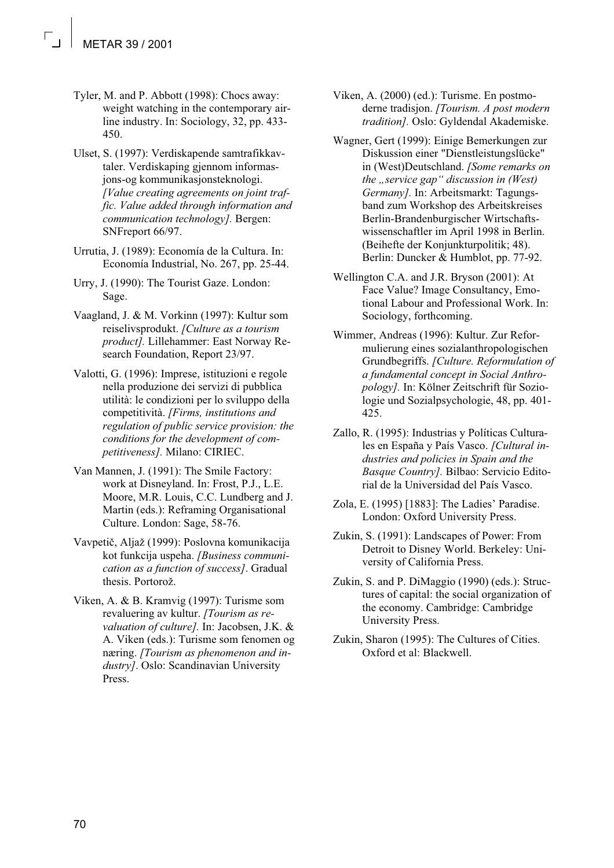- Tyler, M. and P. Abbott (1998): Chocs away: weight watching in the contemporary airline industry. In: Sociology, 32, pp. 433- 450.
- Ulset, S. (1997): Verdiskapende samtrafikkavtaler. Verdiskaping gjennom informasjons-og kommunikasjonsteknologi. *[Value creating agreements on joint traffic. Value added through information and communication technology].* Bergen: SNFreport 66/97.
- Urrutia, J. (1989): Economía de la Cultura. In: Economía Industrial, No. 267, pp. 25-44.
- Urry, J. (1990): The Tourist Gaze. London: Sage.
- Vaagland, J. & M. Vorkinn (1997): Kultur som reiselivsprodukt. *[Culture as a tourism product].* Lillehammer: East Norway Research Foundation, Report 23/97.
- Valotti, G. (1996): Imprese, istituzioni e regole nella produzione dei servizi di pubblica utilità: le condizioni per lo sviluppo della competitività. *[Firms, institutions and regulation of public service provision: the conditions for the development of competitiveness].* Milano: CIRIEC.
- Van Mannen, J. (1991): The Smile Factory: work at Disneyland. In: Frost, P.J., L.E. Moore, M.R. Louis, C.C. Lundberg and J. Martin (eds.): Reframing Organisational Culture. London: Sage, 58-76.
- Vavpetič, Aljaž (1999): Poslovna komunikacija kot funkcija uspeha. *[Business communication as a function of success]*. Gradual thesis. Portorož.
- Viken, A. & B. Kramvig (1997): Turisme som revaluering av kultur. *[Tourism as revaluation of culture].* In: Jacobsen, J.K. & A. Viken (eds.): Turisme som fenomen og næring. *[Tourism as phenomenon and industry]*. Oslo: Scandinavian University Press.

Viken, A. (2000) (ed.): Turisme. En postmoderne tradisjon. *[Tourism. A post modern tradition].* Oslo: Gyldendal Akademiske.

- Wagner, Gert (1999): Einige Bemerkungen zur Diskussion einer "Dienstleistungslücke" in (West)Deutschland. *[Some remarks on the "service gap" discussion in (West) Germany].* In: Arbeitsmarkt: Tagungsband zum Workshop des Arbeitskreises Berlin-Brandenburgischer Wirtschaftswissenschaftler im April 1998 in Berlin. (Beihefte der Konjunkturpolitik; 48). Berlin: Duncker & Humblot, pp. 77-92.
- Wellington C.A. and J.R. Bryson (2001): At Face Value? Image Consultancy, Emotional Labour and Professional Work. In: Sociology, forthcoming.
- Wimmer, Andreas (1996): Kultur. Zur Reformulierung eines sozialanthropologischen Grundbegriffs. *[Culture. Reformulation of a fundamental concept in Social Anthropology].* In: Kölner Zeitschrift für Soziologie und Sozialpsychologie, 48, pp. 401- 425.
- Zallo, R. (1995): Industrias y Políticas Culturales en España y País Vasco. *[Cultural industries and policies in Spain and the Basque Country].* Bilbao: Servicio Editorial de la Universidad del País Vasco.
- Zola, E. (1995) [1883]: The Ladies' Paradise. London: Oxford University Press.
- Zukin, S. (1991): Landscapes of Power: From Detroit to Disney World. Berkeley: University of California Press.
- Zukin, S. and P. DiMaggio (1990) (eds.): Structures of capital: the social organization of the economy. Cambridge: Cambridge University Press.
- Zukin, Sharon (1995): The Cultures of Cities. Oxford et al: Blackwell.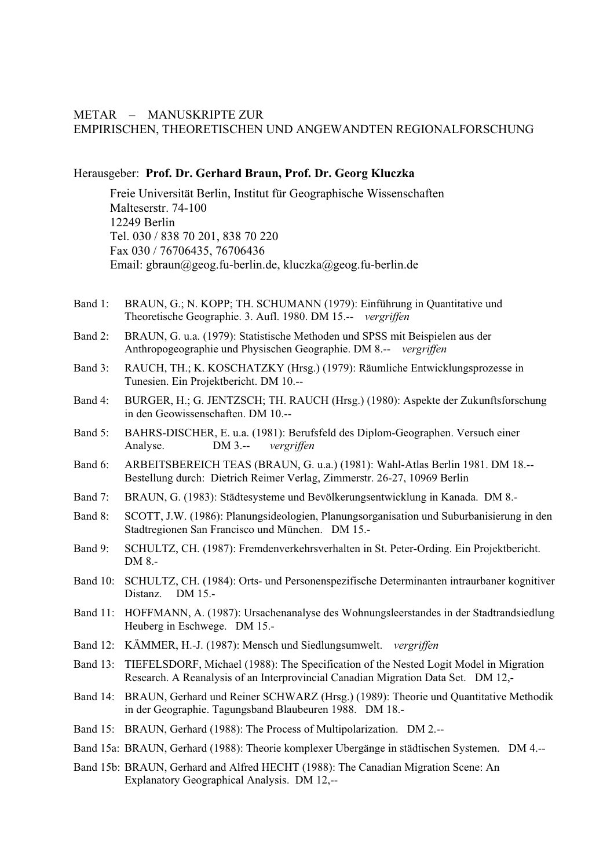### METAR – MANUSKRIPTE ZUR EMPIRISCHEN, THEORETISCHEN UND ANGEWANDTEN REGIONALFORSCHUNG

#### Herausgeber: **Prof. Dr. Gerhard Braun, Prof. Dr. Georg Kluczka**

Freie Universität Berlin, Institut für Geographische Wissenschaften Malteserstr. 74-100 12249 Berlin Tel. 030 / 838 70 201, 838 70 220 Fax 030 / 76706435, 76706436 Email: gbraun@geog.fu-berlin.de, kluczka@geog.fu-berlin.de

- Band 1: BRAUN, G.; N. KOPP; TH. SCHUMANN (1979): Einführung in Quantitative und Theoretische Geographie. 3. Aufl. 1980. DM 15.-- *vergriffen*
- Band 2: BRAUN, G. u.a. (1979): Statistische Methoden und SPSS mit Beispielen aus der Anthropogeographie und Physischen Geographie. DM 8.-- *vergriffen*
- Band 3: RAUCH, TH.; K. KOSCHATZKY (Hrsg.) (1979): Räumliche Entwicklungsprozesse in Tunesien. Ein Projektbericht. DM 10.--
- Band 4: BURGER, H.; G. JENTZSCH; TH. RAUCH (Hrsg.) (1980): Aspekte der Zukunftsforschung in den Geowissenschaften. DM 10.--
- Band 5: BAHRS-DISCHER, E. u.a. (1981): Berufsfeld des Diplom-Geographen. Versuch einer Analyse. DM 3.-- *vergriffen*
- Band 6: ARBEITSBEREICH TEAS (BRAUN, G. u.a.) (1981): Wahl-Atlas Berlin 1981. DM 18.-- Bestellung durch: Dietrich Reimer Verlag, Zimmerstr. 26-27, 10969 Berlin
- Band 7: BRAUN, G. (1983): Städtesysteme und Bevölkerungsentwicklung in Kanada. DM 8.-
- Band 8: SCOTT, J.W. (1986): Planungsideologien, Planungsorganisation und Suburbanisierung in den Stadtregionen San Francisco und München. DM 15.-
- Band 9: SCHULTZ, CH. (1987): Fremdenverkehrsverhalten in St. Peter-Ording. Ein Projektbericht. DM 8.-
- Band 10: SCHULTZ, CH. (1984): Orts- und Personenspezifische Determinanten intraurbaner kognitiver Distanz. DM 15.-
- Band 11: HOFFMANN, A. (1987): Ursachenanalyse des Wohnungsleerstandes in der Stadtrandsiedlung Heuberg in Eschwege. DM 15.-
- Band 12: KÄMMER, H.-J. (1987): Mensch und Siedlungsumwelt. *vergriffen*
- Band 13: TIEFELSDORF, Michael (1988): The Specification of the Nested Logit Model in Migration Research. A Reanalysis of an Interprovincial Canadian Migration Data Set. DM 12,-
- Band 14: BRAUN, Gerhard und Reiner SCHWARZ (Hrsg.) (1989): Theorie und Quantitative Methodik in der Geographie. Tagungsband Blaubeuren 1988. DM 18.-
- Band 15: BRAUN, Gerhard (1988): The Process of Multipolarization. DM 2.--
- Band 15a: BRAUN, Gerhard (1988): Theorie komplexer Ubergänge in städtischen Systemen. DM 4.--
- Band 15b: BRAUN, Gerhard and Alfred HECHT (1988): The Canadian Migration Scene: An Explanatory Geographical Analysis. DM 12,--